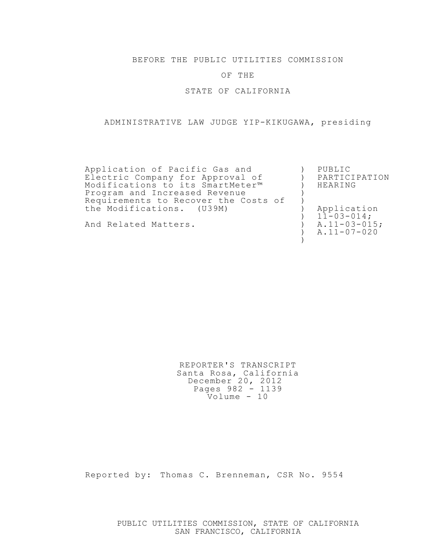BEFORE THE PUBLIC UTILITIES COMMISSION

## OF THE

STATE OF CALIFORNIA

## ADMINISTRATIVE LAW JUDGE YIP-KIKUGAWA, presiding

| Application of Pacific Gas and       | PUBLIC             |
|--------------------------------------|--------------------|
| Electric Company for Approval of     | PARTICIPATION      |
| Modifications to its SmartMeter™     | HEARING            |
| Program and Increased Revenue        |                    |
| Requirements to Recover the Costs of |                    |
| the Modifications. (U39M)            | Application        |
|                                      | $11 - 03 - 014$ ;  |
| And Related Matters.                 | $A.11 - 03 - 015;$ |
|                                      | $A.11 - 07 - 020$  |
|                                      |                    |

REPORTER'S TRANSCRIPT Santa Rosa, California December 20, 2012 Pages 982 - 1139 Volume - 10

Reported by: Thomas C. Brenneman, CSR No. 9554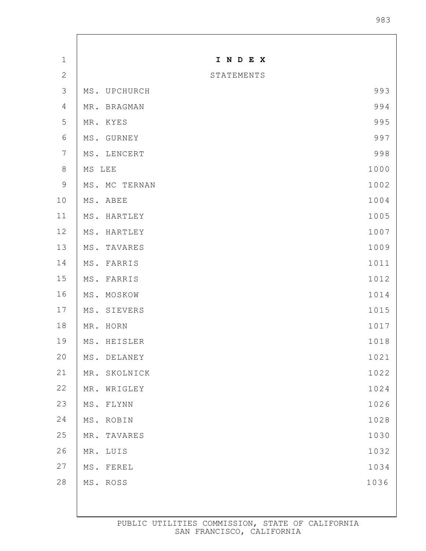| $\mathbf 1$      |                 |                | INDEX      |      |
|------------------|-----------------|----------------|------------|------|
| $\mathbf{2}$     |                 |                | STATEMENTS |      |
| $\mathfrak{Z}$   | MS.             | UPCHURCH       |            | 993  |
| $\overline{4}$   | MR.             | <b>BRAGMAN</b> |            | 994  |
| 5                | MR.             | KYES           |            | 995  |
| $\sqrt{6}$       | MS.             | GURNEY         |            | 997  |
| $\boldsymbol{7}$ | MS.             | LENCERT        |            | 998  |
| $\,8\,$          | MS LEE          |                |            | 1000 |
| $\mathcal{G}$    |                 | MS. MC TERNAN  |            | 1002 |
| 10               | MS.             | ABEE           |            | 1004 |
| 11               | MS.             | HARTLEY        |            | 1005 |
| 12               | MS.             | HARTLEY        |            | 1007 |
| 13               | MS.             | TAVARES        |            | 1009 |
| 14               | MS.             | FARRIS         |            | 1011 |
| 15               | MS.             | FARRIS         |            | 1012 |
| 16               | MS.             | MOSKOW         |            | 1014 |
| 17               | MS.             | <b>SIEVERS</b> |            | 1015 |
| 18               | MR.             | HORN           |            | 1017 |
| 19               |                 | MS. HEISLER    |            | 1018 |
| $20$             | MS.             | DELANEY        |            | 1021 |
| 21               | MR.             | SKOLNICK       |            | 1022 |
| $2\sqrt{2}$      | MR.             | WRIGLEY        |            | 1024 |
| 23               | MS.             | FLYNN          |            | 1026 |
| 24               | $\texttt{MS}$ . | ROBIN          |            | 1028 |
| $2\,5$           | MR.             | TAVARES        |            | 1030 |
| 26               | MR.             | LUIS           |            | 1032 |
| 27               | MS.             | FEREL          |            | 1034 |
| $2\,8$           |                 | MS. ROSS       |            | 1036 |
|                  |                 |                |            |      |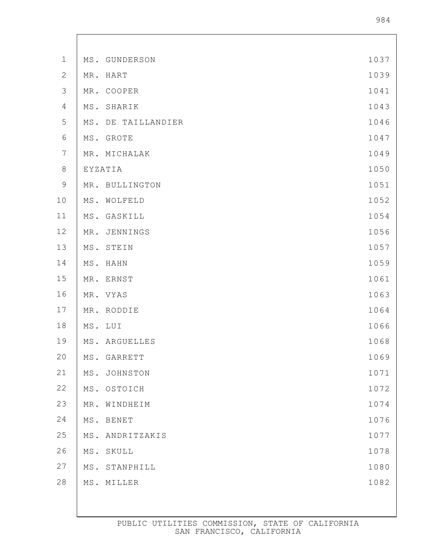| $1\,$          | MS. | GUNDERSON         | 1037 |
|----------------|-----|-------------------|------|
| $\mathbf{2}$   | MR. | HART              | 1039 |
| $\mathcal{S}$  | MR. | COOPER            | 1041 |
| $\overline{4}$ | MS. | SHARIK            | 1043 |
| 5              | MS. | DE TAILLANDIER    | 1046 |
| $\sqrt{6}$     | MS. | GROTE             | 1047 |
| $7\phantom{.}$ |     | MR. MICHALAK      | 1049 |
| $\,8\,$        |     | EYZATIA           | 1050 |
| $\mathsf 9$    | MR. | <b>BULLINGTON</b> | 1051 |
| 10             | MS. | WOLFELD           | 1052 |
| $11$           | MS. | GASKILL           | 1054 |
| 12             | MR. | JENNINGS          | 1056 |
| 13             | MS. | STEIN             | 1057 |
| 14             | MS. | HAHN              | 1059 |
| 15             | MR. | ERNST             | 1061 |
| 16             | MR. | VYAS              | 1063 |
| 17             | MR. | RODDIE            | 1064 |
| 18             | MS. | LUI               | 1066 |
| 19             |     | MS. ARGUELLES     | 1068 |
| 20             | MS. | <b>GARRETT</b>    | 1069 |
| $21$           | MS. | JOHNSTON          | 1071 |
| 22             | MS. | OSTOICH           | 1072 |
| 23             | MR. | WINDHEIM          | 1074 |
| 24             | MS. | BENET             | 1076 |
| 25             | MS. | ANDRITZAKIS       | 1077 |
| 26             | MS. | SKULL             | 1078 |
| 27             | MS. | STANPHILL         | 1080 |
| 28             |     | MS. MILLER        | 1082 |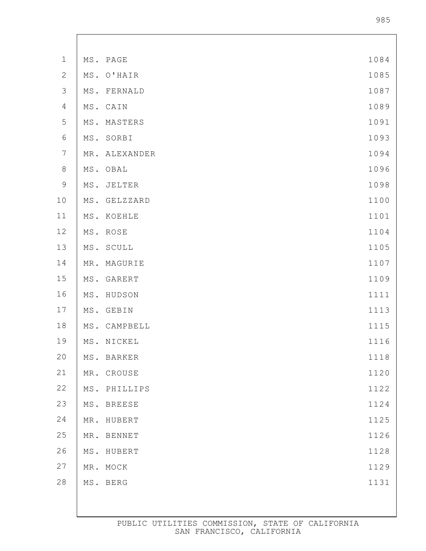| $1\,$            |     | MS. PAGE      | 1084 |
|------------------|-----|---------------|------|
| $\mathbf{2}$     | MS. | O'HAIR        | 1085 |
| $\mathfrak{Z}$   | MS. | FERNALD       | 1087 |
| $\sqrt{4}$       | MS. | CAIN          | 1089 |
| 5                | MS. | MASTERS       | 1091 |
| $\sqrt{6}$       | MS. | SORBI         | 1093 |
| $\boldsymbol{7}$ | MR. | ALEXANDER     | 1094 |
| $\,8\,$          | MS. | OBAL          | 1096 |
| $\mathcal{G}$    | MS. | JELTER        | 1098 |
| 10               | MS. | GELZZARD      | 1100 |
| 11               | MS. | KOEHLE        | 1101 |
| 12               | MS. | ROSE          | 1104 |
| 13               | MS. | SCULL         | 1105 |
| 14               | MR. | MAGURIE       | 1107 |
| 15               | MS. | GARERT        | 1109 |
| 16               | MS. | HUDSON        | 1111 |
| 17               | MS. | GEBIN         | 1113 |
| 18               | MS. | CAMPBELL      | 1115 |
| 19               |     | MS. NICKEL    | 1116 |
| 20               |     | MS. BARKER    | 1118 |
| 21               |     | MR. CROUSE    | 1120 |
| 22               |     | MS. PHILLIPS  | 1122 |
| 23               |     | MS. BREESE    | 1124 |
| 24               | MR. | HUBERT        | 1125 |
| 25               | MR. | <b>BENNET</b> | 1126 |
| 26               | MS. | HUBERT        | 1128 |
| 27               |     | MR. MOCK      | 1129 |
| 28               |     | MS. BERG      | 1131 |
|                  |     |               |      |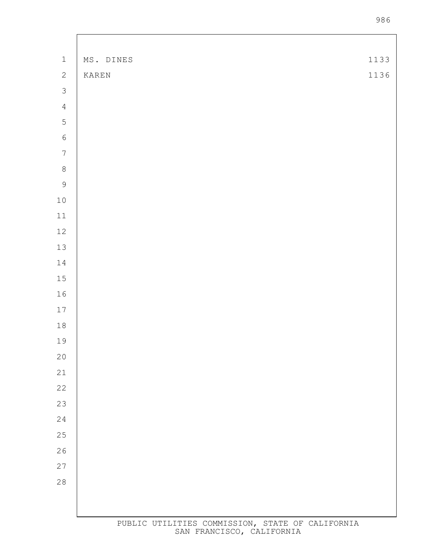| $\ensuremath{\mathbbm{1}}$ | MS. DINES | 1133 |
|----------------------------|-----------|------|
| $\sqrt{2}$                 | KAREN     | 1136 |
| $\mathcal{S}$              |           |      |
| $\sqrt{4}$                 |           |      |
| $\overline{5}$             |           |      |
| $\sqrt{6}$                 |           |      |
| $\boldsymbol{7}$           |           |      |
| $8\,$                      |           |      |
| $\overline{9}$             |           |      |
| $1\,0$                     |           |      |
| $11$                       |           |      |
| $12\,$                     |           |      |
| 13                         |           |      |
| $1\,4$                     |           |      |
| $1\,5$                     |           |      |
| $16$                       |           |      |
| $17\,$                     |           |      |
| $1\,8$                     |           |      |
| 19                         |           |      |
| $20$                       |           |      |
| 21                         |           |      |
| 22                         |           |      |
| 23                         |           |      |
| 24                         |           |      |
| 25                         |           |      |
| 26                         |           |      |
| 27                         |           |      |
| 28                         |           |      |
|                            |           |      |
|                            |           |      |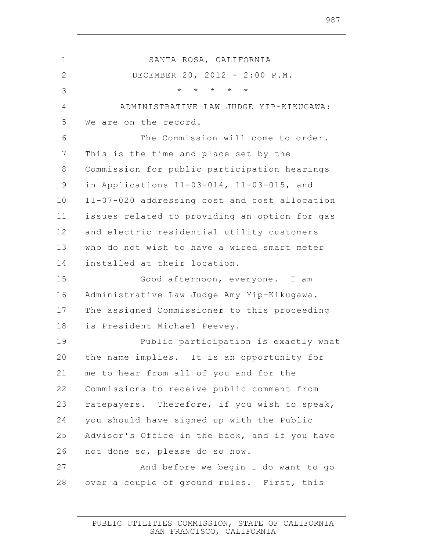1 2 3 4 5 6 7 8 9 10 11 12 13 14 15 16 17 18 19 20 21 22 23 24 25 26 27 28 SANTA ROSA, CALIFORNIA DECEMBER 20, 2012 - 2:00 P.M. \* \* \* \* \* ADMINISTRATIVE LAW JUDGE YIP-KIKUGAWA: We are on the record. The Commission will come to order. This is the time and place set by the Commission for public participation hearings in Applications 11-03-014, 11-03-015, and 11-07-020 addressing cost and cost allocation issues related to providing an option for gas and electric residential utility customers who do not wish to have a wired smart meter installed at their location. Good afternoon, everyone. I am Administrative Law Judge Amy Yip-Kikugawa. The assigned Commissioner to this proceeding is President Michael Peevey. Public participation is exactly what the name implies. It is an opportunity for me to hear from all of you and for the Commissions to receive public comment from ratepayers. Therefore, if you wish to speak, you should have signed up with the Public Advisor's Office in the back, and if you have not done so, please do so now. And before we begin I do want to go over a couple of ground rules. First, this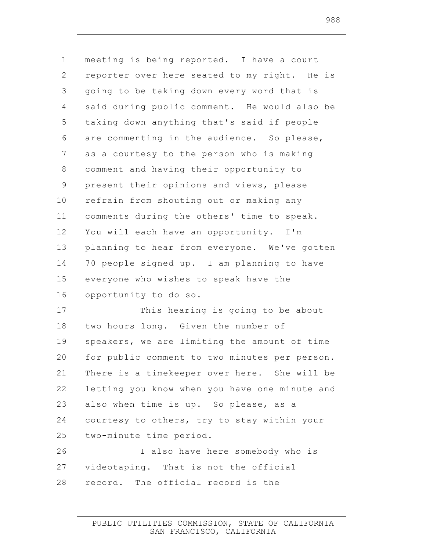| $\mathbf 1$  | meeting is being reported. I have a court     |
|--------------|-----------------------------------------------|
| $\mathbf{2}$ | reporter over here seated to my right. He is  |
| 3            | going to be taking down every word that is    |
| 4            | said during public comment. He would also be  |
| 5            | taking down anything that's said if people    |
| 6            | are commenting in the audience. So please,    |
| 7            | as a courtesy to the person who is making     |
| 8            | comment and having their opportunity to       |
| $\mathsf 9$  | present their opinions and views, please      |
| 10           | refrain from shouting out or making any       |
| 11           | comments during the others' time to speak.    |
| 12           | You will each have an opportunity. I'm        |
| 13           | planning to hear from everyone. We've gotten  |
| 14           | 70 people signed up. I am planning to have    |
| 15           | everyone who wishes to speak have the         |
|              |                                               |
| 16           | opportunity to do so.                         |
| 17           | This hearing is going to be about             |
| 18           | two hours long. Given the number of           |
| 19           | speakers, we are limiting the amount of time  |
| 20           | for public comment to two minutes per person. |
| 21           | There is a timekeeper over here. She will be  |
| 22           | letting you know when you have one minute and |
| 23           | also when time is up. So please, as a         |
| 24           | courtesy to others, try to stay within your   |
| 25           | two-minute time period.                       |
| 26           | I also have here somebody who is              |
| 27           | videotaping. That is not the official         |
| 28           | record. The official record is the            |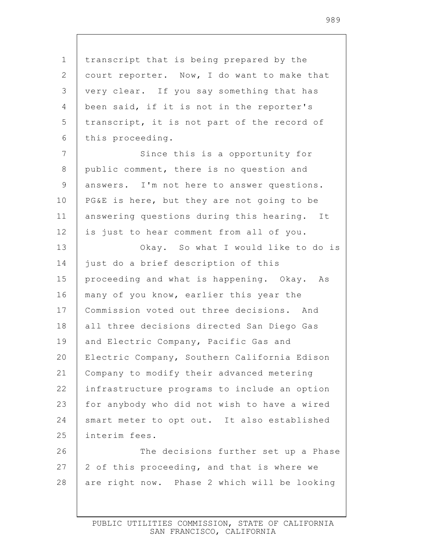1 2 3 4 5 6 7 8 9 10 11 12 13 14 15 16 17 18 19 20 21 22 23 24 25 26 27 28 transcript that is being prepared by the court reporter. Now, I do want to make that very clear. If you say something that has been said, if it is not in the reporter's transcript, it is not part of the record of this proceeding. Since this is a opportunity for public comment, there is no question and answers. I'm not here to answer questions. PG&E is here, but they are not going to be answering questions during this hearing. It is just to hear comment from all of you. Okay. So what I would like to do is just do a brief description of this proceeding and what is happening. Okay. As many of you know, earlier this year the Commission voted out three decisions. And all three decisions directed San Diego Gas and Electric Company, Pacific Gas and Electric Company, Southern California Edison Company to modify their advanced metering infrastructure programs to include an option for anybody who did not wish to have a wired smart meter to opt out. It also established interim fees. The decisions further set up a Phase 2 of this proceeding, and that is where we are right now. Phase 2 which will be looking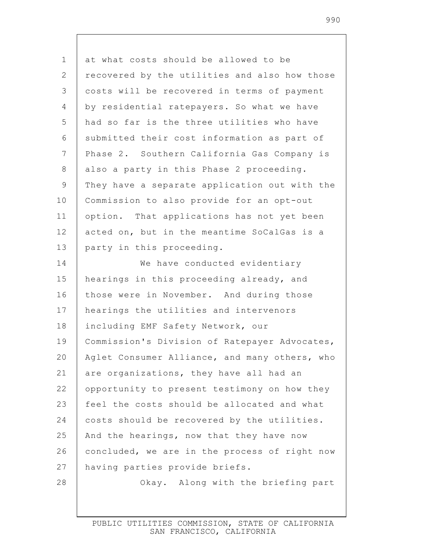| 1               | at what costs should be allowed to be         |
|-----------------|-----------------------------------------------|
| 2               | recovered by the utilities and also how those |
| 3               | costs will be recovered in terms of payment   |
| 4               | by residential ratepayers. So what we have    |
| 5               | had so far is the three utilities who have    |
| 6               | submitted their cost information as part of   |
| $7\phantom{.0}$ | Phase 2. Southern California Gas Company is   |
| $\,8\,$         | also a party in this Phase 2 proceeding.      |
| $\mathsf 9$     | They have a separate application out with the |
| 10              | Commission to also provide for an opt-out     |
| 11              | option. That applications has not yet been    |
| 12              | acted on, but in the meantime SoCalGas is a   |
| 13              | party in this proceeding.                     |
| 14              | We have conducted evidentiary                 |
| 15              | hearings in this proceeding already, and      |
| 16              | those were in November. And during those      |
| 17              | hearings the utilities and intervenors        |
| 18              | including EMF Safety Network, our             |
| 19              | Commission's Division of Ratepayer Advocates, |
| 20              | Aglet Consumer Alliance, and many others, who |
| 21              | are organizations, they have all had an       |
| 22              | opportunity to present testimony on how they  |
| 23              | feel the costs should be allocated and what   |
| 24              | costs should be recovered by the utilities.   |
| 25              | And the hearings, now that they have now      |
| 26              | concluded, we are in the process of right now |
| 27              | having parties provide briefs.                |
| 28              | Okay. Along with the briefing part            |
|                 |                                               |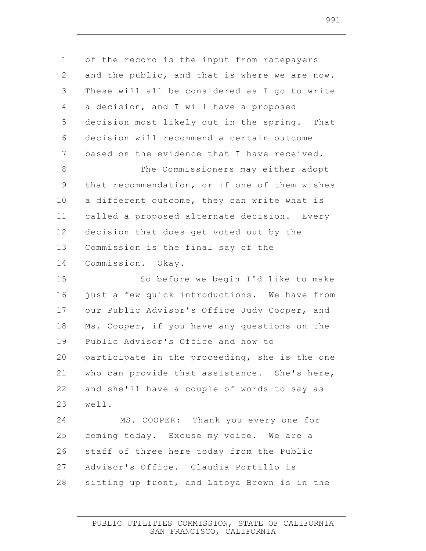| $\mathbf 1$<br>$\mathbf{2}$<br>$\mathfrak{Z}$<br>a decision, and I will have a proposed<br>4<br>5<br>$6\,$<br>$\overline{7}$<br>$\,8\,$<br>$\mathsf 9$<br>10<br>11<br>12<br>13<br>Commission is the final say of the<br>14<br>Commission. Okay.<br>15<br>16<br>17<br>18<br>19<br>Public Advisor's Office and how to<br>20<br>21<br>22<br>23<br>well.<br>24<br>25<br>26<br>27<br>Advisor's Office. Claudia Portillo is<br>28 |                                               |
|-----------------------------------------------------------------------------------------------------------------------------------------------------------------------------------------------------------------------------------------------------------------------------------------------------------------------------------------------------------------------------------------------------------------------------|-----------------------------------------------|
|                                                                                                                                                                                                                                                                                                                                                                                                                             | of the record is the input from ratepayers    |
|                                                                                                                                                                                                                                                                                                                                                                                                                             | and the public, and that is where we are now. |
|                                                                                                                                                                                                                                                                                                                                                                                                                             | These will all be considered as I go to write |
|                                                                                                                                                                                                                                                                                                                                                                                                                             |                                               |
|                                                                                                                                                                                                                                                                                                                                                                                                                             | decision most likely out in the spring. That  |
|                                                                                                                                                                                                                                                                                                                                                                                                                             | decision will recommend a certain outcome     |
|                                                                                                                                                                                                                                                                                                                                                                                                                             | based on the evidence that I have received.   |
|                                                                                                                                                                                                                                                                                                                                                                                                                             | The Commissioners may either adopt            |
|                                                                                                                                                                                                                                                                                                                                                                                                                             | that recommendation, or if one of them wishes |
|                                                                                                                                                                                                                                                                                                                                                                                                                             | a different outcome, they can write what is   |
|                                                                                                                                                                                                                                                                                                                                                                                                                             | called a proposed alternate decision. Every   |
|                                                                                                                                                                                                                                                                                                                                                                                                                             | decision that does get voted out by the       |
|                                                                                                                                                                                                                                                                                                                                                                                                                             |                                               |
|                                                                                                                                                                                                                                                                                                                                                                                                                             |                                               |
|                                                                                                                                                                                                                                                                                                                                                                                                                             | So before we begin I'd like to make           |
|                                                                                                                                                                                                                                                                                                                                                                                                                             | just a few quick introductions. We have from  |
|                                                                                                                                                                                                                                                                                                                                                                                                                             | our Public Advisor's Office Judy Cooper, and  |
|                                                                                                                                                                                                                                                                                                                                                                                                                             | Ms. Cooper, if you have any questions on the  |
|                                                                                                                                                                                                                                                                                                                                                                                                                             |                                               |
|                                                                                                                                                                                                                                                                                                                                                                                                                             | participate in the proceeding, she is the one |
|                                                                                                                                                                                                                                                                                                                                                                                                                             | who can provide that assistance. She's here,  |
|                                                                                                                                                                                                                                                                                                                                                                                                                             | and she'll have a couple of words to say as   |
|                                                                                                                                                                                                                                                                                                                                                                                                                             |                                               |
|                                                                                                                                                                                                                                                                                                                                                                                                                             | MS. COOPER: Thank you every one for           |
|                                                                                                                                                                                                                                                                                                                                                                                                                             | coming today. Excuse my voice. We are a       |
|                                                                                                                                                                                                                                                                                                                                                                                                                             | staff of three here today from the Public     |
|                                                                                                                                                                                                                                                                                                                                                                                                                             |                                               |
|                                                                                                                                                                                                                                                                                                                                                                                                                             | sitting up front, and Latoya Brown is in the  |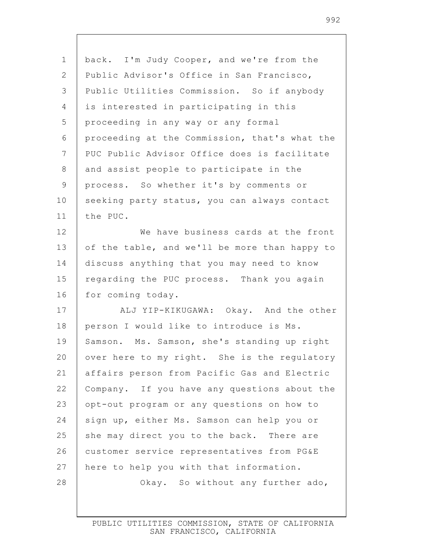| $\mathbf 1$    | back. I'm Judy Cooper, and we're from the     |
|----------------|-----------------------------------------------|
| 2              | Public Advisor's Office in San Francisco,     |
| 3              | Public Utilities Commission. So if anybody    |
| $\overline{4}$ | is interested in participating in this        |
| 5              | proceeding in any way or any formal           |
| 6              | proceeding at the Commission, that's what the |
| 7              | PUC Public Advisor Office does is facilitate  |
| $\,8\,$        | and assist people to participate in the       |
| $\mathsf 9$    | process. So whether it's by comments or       |
| 10             | seeking party status, you can always contact  |
| 11             | the PUC.                                      |
| 12             | We have business cards at the front           |
| 13             | of the table, and we'll be more than happy to |
| 14             | discuss anything that you may need to know    |
| 15             | regarding the PUC process. Thank you again    |
| 16             | for coming today.                             |
| 17             | ALJ YIP-KIKUGAWA: Okay. And the other         |
| 18             | person I would like to introduce is Ms.       |
| 19             | Samson. Ms. Samson, she's standing up right   |
| 20             | over here to my right. She is the regulatory  |
| 21             | affairs person from Pacific Gas and Electric  |
| 22             | Company. If you have any questions about the  |
| 23             | opt-out program or any questions on how to    |
| 24             | sign up, either Ms. Samson can help you or    |
| 25             | she may direct you to the back. There are     |
| 26             | customer service representatives from PG&E    |
| 27             | here to help you with that information.       |
| 28             | Okay. So without any further ado,             |
|                |                                               |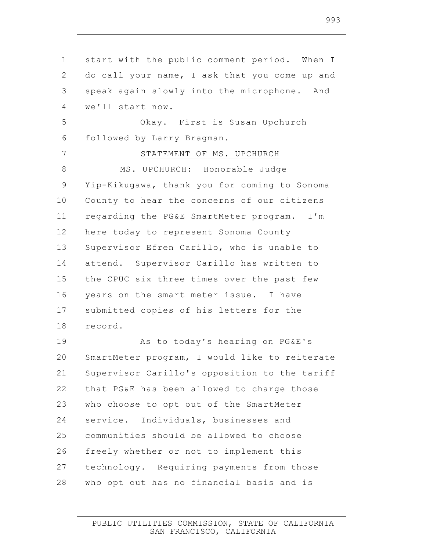1 2 3 4 5 6 7 8 9 10 11 12 13 14 15 16 17 18 19 20 21 22 23 24 25 26 27 28 start with the public comment period. When I do call your name, I ask that you come up and speak again slowly into the microphone. And we'll start now. Okay. First is Susan Upchurch followed by Larry Bragman. STATEMENT OF MS. UPCHURCH MS. UPCHURCH: Honorable Judge Yip-Kikugawa, thank you for coming to Sonoma County to hear the concerns of our citizens regarding the PG&E SmartMeter program. I'm here today to represent Sonoma County Supervisor Efren Carillo, who is unable to attend. Supervisor Carillo has written to the CPUC six three times over the past few years on the smart meter issue. I have submitted copies of his letters for the record. As to today's hearing on PG&E's SmartMeter program, I would like to reiterate Supervisor Carillo's opposition to the tariff that PG&E has been allowed to charge those who choose to opt out of the SmartMeter service. Individuals, businesses and communities should be allowed to choose freely whether or not to implement this technology. Requiring payments from those who opt out has no financial basis and is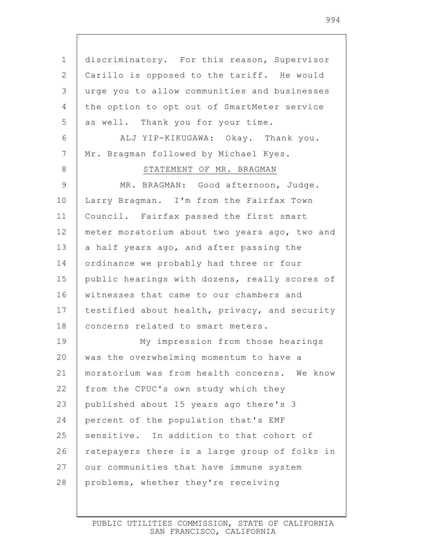1 2 3 4 5 6 7 8 9 10 11 12 13 14 15 16 17 18 19 20 21 22 23 24 25 26 27 28 discriminatory. For this reason, Supervisor Carillo is opposed to the tariff. He would urge you to allow communities and businesses the option to opt out of SmartMeter service as well. Thank you for your time. ALJ YIP-KIKUGAWA: Okay. Thank you. Mr. Bragman followed by Michael Kyes. STATEMENT OF MR. BRAGMAN MR. BRAGMAN: Good afternoon, Judge. Larry Bragman. I'm from the Fairfax Town Council. Fairfax passed the first smart meter moratorium about two years ago, two and a half years ago, and after passing the ordinance we probably had three or four public hearings with dozens, really scores of witnesses that came to our chambers and testified about health, privacy, and security concerns related to smart meters. My impression from those hearings was the overwhelming momentum to have a moratorium was from health concerns. We know from the CPUC's own study which they published about 15 years ago there's 3 percent of the population that's EMF sensitive. In addition to that cohort of ratepayers there is a large group of folks in our communities that have immune system problems, whether they're receiving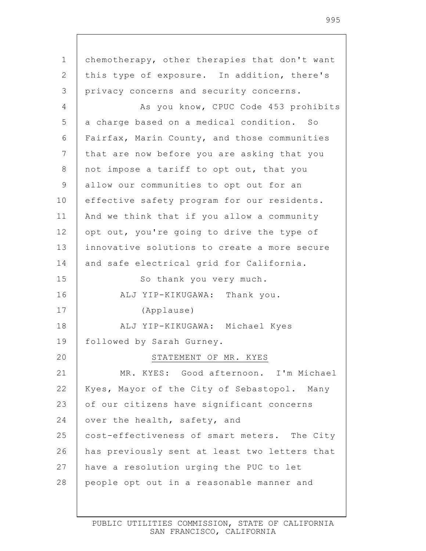1 2 3 4 5 6 7 8 9 10 11 12 13 14 15 16 17 18 19 20 21 22 23 24 25 26 27 28 chemotherapy, other therapies that don't want this type of exposure. In addition, there's privacy concerns and security concerns. As you know, CPUC Code 453 prohibits a charge based on a medical condition. So Fairfax, Marin County, and those communities that are now before you are asking that you not impose a tariff to opt out, that you allow our communities to opt out for an effective safety program for our residents. And we think that if you allow a community opt out, you're going to drive the type of innovative solutions to create a more secure and safe electrical grid for California. So thank you very much. ALJ YIP-KIKUGAWA: Thank you. (Applause) ALJ YIP-KIKUGAWA: Michael Kyes followed by Sarah Gurney. STATEMENT OF MR. KYES MR. KYES: Good afternoon. I'm Michael Kyes, Mayor of the City of Sebastopol. Many of our citizens have significant concerns over the health, safety, and cost-effectiveness of smart meters. The City has previously sent at least two letters that have a resolution urging the PUC to let people opt out in a reasonable manner and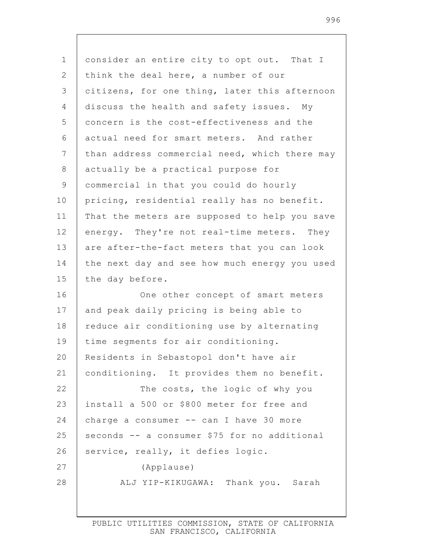| $\mathbf 1$    | consider an entire city to opt out. That I    |
|----------------|-----------------------------------------------|
| 2              | think the deal here, a number of our          |
| $\mathcal{S}$  | citizens, for one thing, later this afternoon |
| $\overline{4}$ | discuss the health and safety issues. My      |
| 5              | concern is the cost-effectiveness and the     |
| $6\,$          | actual need for smart meters. And rather      |
| $\overline{7}$ | than address commercial need, which there may |
| 8              | actually be a practical purpose for           |
| 9              | commercial in that you could do hourly        |
| 10             | pricing, residential really has no benefit.   |
| 11             | That the meters are supposed to help you save |
| 12             | energy. They're not real-time meters. They    |
| 13             | are after-the-fact meters that you can look   |
| 14             | the next day and see how much energy you used |
| 15             | the day before.                               |
| 16             | One other concept of smart meters             |
| 17             | and peak daily pricing is being able to       |
| 18             | reduce air conditioning use by alternating    |
| 19             | time segments for air conditioning.           |
| 20             | Residents in Sebastopol don't have air        |
| 21             | conditioning. It provides them no benefit.    |
| 22             | The costs, the logic of why you               |
| 23             | install a 500 or \$800 meter for free and     |
| 24             | charge a consumer -- can I have 30 more       |
| 25             | seconds -- a consumer \$75 for no additional  |
| 26             | service, really, it defies logic.             |
| 27             | (Applause)                                    |
| 28             | ALJ YIP-KIKUGAWA: Thank you. Sarah            |
|                |                                               |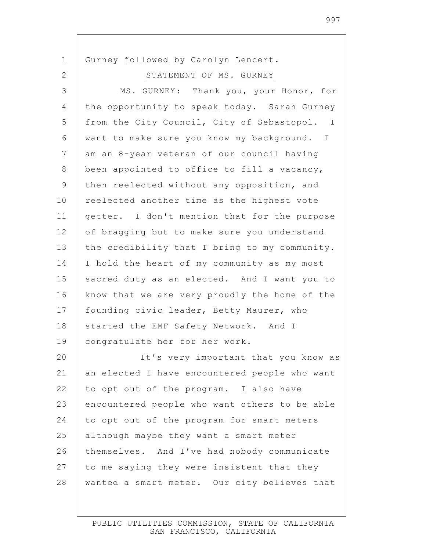| $\mathbf 1$    | Gurney followed by Carolyn Lencert.           |
|----------------|-----------------------------------------------|
| 2              | STATEMENT OF MS. GURNEY                       |
| $\mathfrak{Z}$ | MS. GURNEY: Thank you, your Honor, for        |
| $\overline{4}$ | the opportunity to speak today. Sarah Gurney  |
| 5              | from the City Council, City of Sebastopol. I  |
| 6              | want to make sure you know my background. I   |
| $\overline{7}$ | am an 8-year veteran of our council having    |
| 8              | been appointed to office to fill a vacancy,   |
| $\mathcal{G}$  | then reelected without any opposition, and    |
| 10             | reelected another time as the highest vote    |
| 11             | getter. I don't mention that for the purpose  |
| 12             | of bragging but to make sure you understand   |
| 13             | the credibility that I bring to my community. |
| 14             | I hold the heart of my community as my most   |
| 15             | sacred duty as an elected. And I want you to  |
| 16             | know that we are very proudly the home of the |
| 17             | founding civic leader, Betty Maurer, who      |
| 18             | started the EMF Safety Network. And I         |
| 19             | congratulate her for her work.                |
| 20             | It's very important that you know as          |
| 21             | an elected I have encountered people who want |
| 22             | to opt out of the program. I also have        |
| 23             | encountered people who want others to be able |
| 24             | to opt out of the program for smart meters    |
| 25             | although maybe they want a smart meter        |
| 26             | themselves. And I've had nobody communicate   |
| 27             | to me saying they were insistent that they    |
| 28             | wanted a smart meter. Our city believes that  |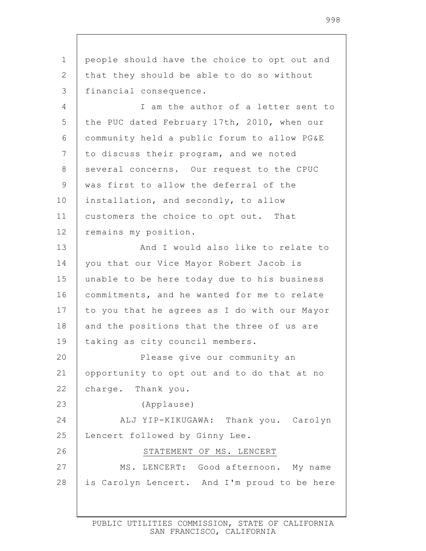1 2 3 4 5 6 7 8 9 10 11 12 13 14 15 16 17 18 19 20 21 22 23 24 25 26 27 28 people should have the choice to opt out and that they should be able to do so without financial consequence. I am the author of a letter sent to the PUC dated February 17th, 2010, when our community held a public forum to allow PG&E to discuss their program, and we noted several concerns. Our request to the CPUC was first to allow the deferral of the installation, and secondly, to allow customers the choice to opt out. That remains my position. And I would also like to relate to you that our Vice Mayor Robert Jacob is unable to be here today due to his business commitments, and he wanted for me to relate to you that he agrees as I do with our Mayor and the positions that the three of us are taking as city council members. Please give our community an opportunity to opt out and to do that at no charge. Thank you. (Applause) ALJ YIP-KIKUGAWA: Thank you. Carolyn Lencert followed by Ginny Lee. STATEMENT OF MS. LENCERT MS. LENCERT: Good afternoon. My name is Carolyn Lencert. And I'm proud to be here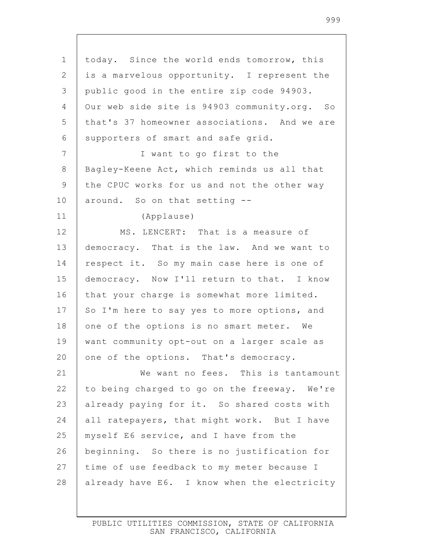| $\mathbf 1$  | today. Since the world ends tomorrow, this   |
|--------------|----------------------------------------------|
| $\mathbf{2}$ | is a marvelous opportunity. I represent the  |
| 3            | public good in the entire zip code 94903.    |
| 4            | Our web side site is 94903 community.org. So |
| 5            | that's 37 homeowner associations. And we are |
| 6            | supporters of smart and safe grid.           |
| 7            | I want to go first to the                    |
| $\,8\,$      | Bagley-Keene Act, which reminds us all that  |
| $\mathsf 9$  | the CPUC works for us and not the other way  |
| 10           | around. So on that setting --                |
| 11           | (Applause)                                   |
| 12           | MS. LENCERT: That is a measure of            |
| 13           | democracy. That is the law. And we want to   |
| 14           | respect it. So my main case here is one of   |
| 15           | democracy. Now I'll return to that. I know   |
| 16           | that your charge is somewhat more limited.   |
| 17           | So I'm here to say yes to more options, and  |
| 18           | one of the options is no smart meter. We     |
| 19           | want community opt-out on a larger scale as  |
| 20           | one of the options. That's democracy.        |
| 21           | We want no fees. This is tantamount          |
| 22           | to being charged to go on the freeway. We're |
| 23           | already paying for it. So shared costs with  |
| 24           | all ratepayers, that might work. But I have  |
| 25           | myself E6 service, and I have from the       |
| 26           | beginning. So there is no justification for  |
| 27           | time of use feedback to my meter because I   |
| 28           | already have E6. I know when the electricity |
|              |                                              |

 $\mathbf{I}$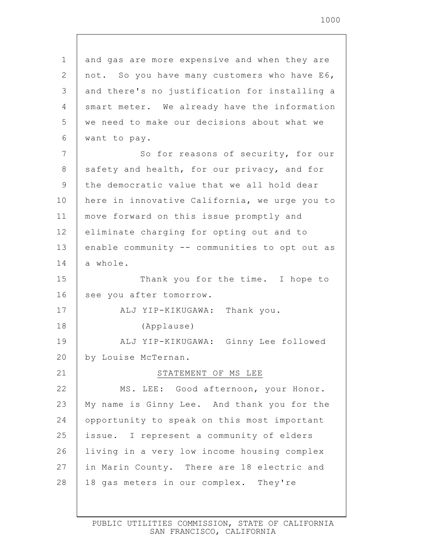| 1     | and gas are more expensive and when they are  |
|-------|-----------------------------------------------|
| 2     | not. So you have many customers who have E6,  |
| 3     | and there's no justification for installing a |
| 4     | smart meter. We already have the information  |
| 5     | we need to make our decisions about what we   |
| 6     | want to pay.                                  |
| 7     | So for reasons of security, for our           |
| $8\,$ | safety and health, for our privacy, and for   |
| 9     | the democratic value that we all hold dear    |
| 10    | here in innovative California, we urge you to |
| 11    | move forward on this issue promptly and       |
| 12    | eliminate charging for opting out and to      |
| 13    | enable community -- communities to opt out as |
| 14    | a whole.                                      |
| 15    | Thank you for the time. I hope to             |
| 16    | see you after tomorrow.                       |
| 17    | ALJ YIP-KIKUGAWA: Thank you.                  |
| 18    | (Applause)                                    |
| 19    | ALJ YIP-KIKUGAWA: Ginny Lee followed          |
| 20    | by Louise McTernan.                           |
| 21    | STATEMENT OF MS LEE                           |
| 22    | MS. LEE: Good afternoon, your Honor.          |
| 23    | My name is Ginny Lee. And thank you for the   |
| 24    | opportunity to speak on this most important   |
| 25    | issue. I represent a community of elders      |
| 26    | living in a very low income housing complex   |
| 27    | in Marin County. There are 18 electric and    |
| 28    | 18 gas meters in our complex. They're         |
|       |                                               |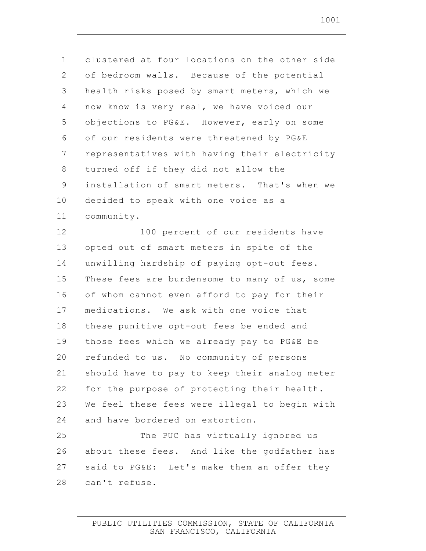| $\mathbf 1$    | clustered at four locations on the other side |
|----------------|-----------------------------------------------|
| $\mathbf{2}$   | of bedroom walls. Because of the potential    |
| $\mathcal{S}$  | health risks posed by smart meters, which we  |
| $\overline{4}$ | now know is very real, we have voiced our     |
| 5              | objections to PG&E. However, early on some    |
| 6              | of our residents were threatened by PG&E      |
| $\overline{7}$ | representatives with having their electricity |
| $\,8\,$        | turned off if they did not allow the          |
| $\mathsf 9$    | installation of smart meters. That's when we  |
| 10             | decided to speak with one voice as a          |
| 11             | community.                                    |
| 12             | 100 percent of our residents have             |
| 13             | opted out of smart meters in spite of the     |
| 14             | unwilling hardship of paying opt-out fees.    |
| 15             | These fees are burdensome to many of us, some |
| 16             | of whom cannot even afford to pay for their   |
| 17             | medications. We ask with one voice that       |
| 18             | these punitive opt-out fees be ended and      |
| 19             | those fees which we already pay to PG&E be    |
| 20             | refunded to us. No community of persons       |
| 21             | should have to pay to keep their analog meter |
| 22             | for the purpose of protecting their health.   |
| 23             | We feel these fees were illegal to begin with |
| 24             | and have bordered on extortion.               |
| 25             | The PUC has virtually ignored us              |
| 26             | about these fees. And like the godfather has  |
| 27             | said to PG&E: Let's make them an offer they   |
| 28             | can't refuse.                                 |

 $\mathsf{I}$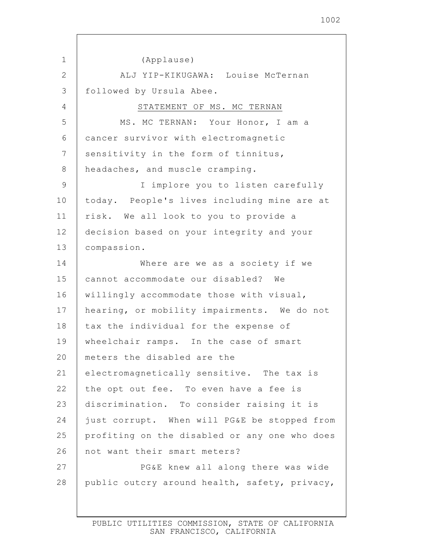1 2 3 4 5 6 7 8 9 10 11 12 13 14 15 16 17 18 19 20 21 22 23 24 25 26 27 28 (Applause) ALJ YIP-KIKUGAWA: Louise McTernan followed by Ursula Abee. STATEMENT OF MS. MC TERNAN MS. MC TERNAN: Your Honor, I am a cancer survivor with electromagnetic sensitivity in the form of tinnitus, headaches, and muscle cramping. I implore you to listen carefully today. People's lives including mine are at risk. We all look to you to provide a decision based on your integrity and your compassion. Where are we as a society if we cannot accommodate our disabled? We willingly accommodate those with visual, hearing, or mobility impairments. We do not tax the individual for the expense of wheelchair ramps. In the case of smart meters the disabled are the electromagnetically sensitive. The tax is the opt out fee. To even have a fee is discrimination. To consider raising it is just corrupt. When will PG&E be stopped from profiting on the disabled or any one who does not want their smart meters? PG&E knew all along there was wide public outcry around health, safety, privacy,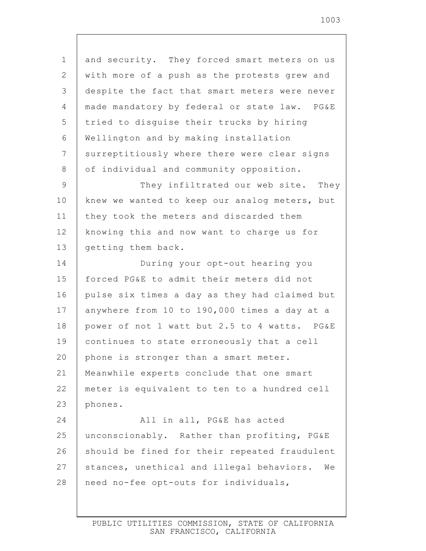1 2 3 4 5 6 7 8 9 10 11 12 13 14 15 16 17 18 19 20 21 22 23 24 25 26 27 28 and security. They forced smart meters on us with more of a push as the protests grew and despite the fact that smart meters were never made mandatory by federal or state law. PG&E tried to disguise their trucks by hiring Wellington and by making installation surreptitiously where there were clear signs of individual and community opposition. They infiltrated our web site. They knew we wanted to keep our analog meters, but they took the meters and discarded them knowing this and now want to charge us for getting them back. During your opt-out hearing you forced PG&E to admit their meters did not pulse six times a day as they had claimed but anywhere from 10 to 190,000 times a day at a power of not 1 watt but 2.5 to 4 watts. PG&E continues to state erroneously that a cell phone is stronger than a smart meter. Meanwhile experts conclude that one smart meter is equivalent to ten to a hundred cell phones. All in all, PG&E has acted unconscionably. Rather than profiting, PG&E should be fined for their repeated fraudulent stances, unethical and illegal behaviors. We need no-fee opt-outs for individuals,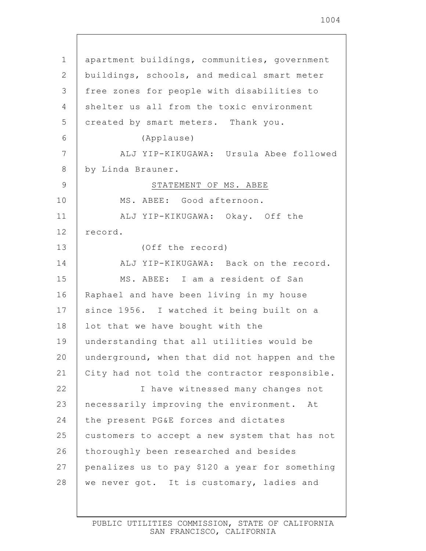1 2 3 4 5 6 7 8 9 10 11 12 13 14 15 16 17 18 19 20 21 22 23 24 25 26 27 28 apartment buildings, communities, government buildings, schools, and medical smart meter free zones for people with disabilities to shelter us all from the toxic environment created by smart meters. Thank you. (Applause) ALJ YIP-KIKUGAWA: Ursula Abee followed by Linda Brauner. STATEMENT OF MS. ABEE MS. ABEE: Good afternoon. ALJ YIP-KIKUGAWA: Okay. Off the record. (Off the record) ALJ YIP-KIKUGAWA: Back on the record. MS. ABEE: I am a resident of San Raphael and have been living in my house since 1956. I watched it being built on a lot that we have bought with the understanding that all utilities would be underground, when that did not happen and the City had not told the contractor responsible. I have witnessed many changes not necessarily improving the environment. At the present PG&E forces and dictates customers to accept a new system that has not thoroughly been researched and besides penalizes us to pay \$120 a year for something we never got. It is customary, ladies and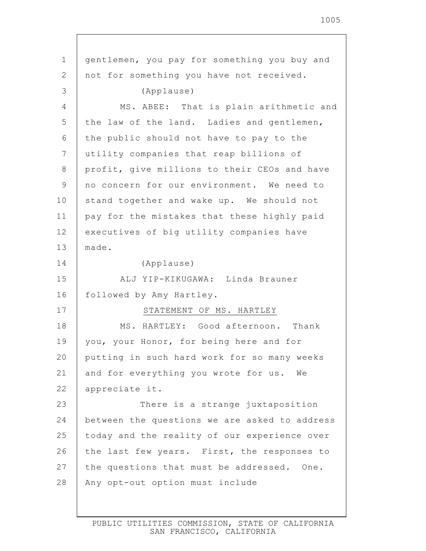| 1              | gentlemen, you pay for something you buy and  |
|----------------|-----------------------------------------------|
| $\overline{2}$ | not for something you have not received.      |
| 3              | (Applause)                                    |
| 4              | MS. ABEE: That is plain arithmetic and        |
| 5              | the law of the land. Ladies and gentlemen,    |
| 6              | the public should not have to pay to the      |
| 7              | utility companies that reap billions of       |
| 8              | profit, give millions to their CEOs and have  |
| $\mathsf 9$    | no concern for our environment. We need to    |
| 10             | stand together and wake up. We should not     |
| 11             | pay for the mistakes that these highly paid   |
| 12             | executives of big utility companies have      |
| 13             | made.                                         |
| 14             | (Applause)                                    |
| 15             | ALJ YIP-KIKUGAWA: Linda Brauner               |
| 16             | followed by Amy Hartley.                      |
| 17             | STATEMENT OF MS. HARTLEY                      |
| 18             | MS. HARTLEY: Good afternoon. Thank            |
| 19             | you, your Honor, for being here and for       |
| 20             | putting in such hard work for so many weeks   |
| 21             | and for everything you wrote for us. We       |
| 22             | appreciate it.                                |
| 23             | There is a strange juxtaposition              |
| 24             | between the questions we are asked to address |
| 25             | today and the reality of our experience over  |
| 26             | the last few years. First, the responses to   |
| 27             | the questions that must be addressed. One.    |
| 28             | Any opt-out option must include               |
|                |                                               |

 $\mathsf{I}$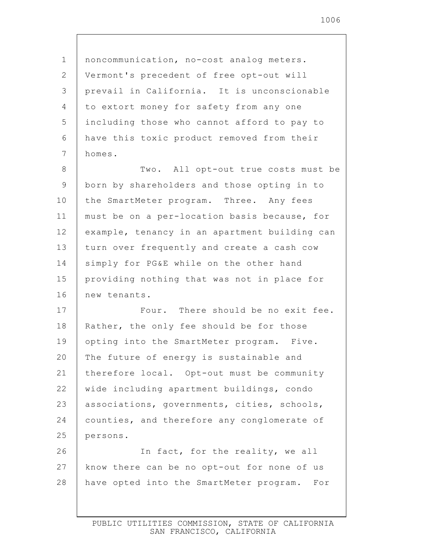| $\mathbf 1$    | noncommunication, no-cost analog meters.      |
|----------------|-----------------------------------------------|
| 2              | Vermont's precedent of free opt-out will      |
| 3              | prevail in California. It is unconscionable   |
| $\overline{4}$ | to extort money for safety from any one       |
| 5              | including those who cannot afford to pay to   |
| 6              | have this toxic product removed from their    |
| 7              | homes.                                        |
| $8\,$          | Two. All opt-out true costs must be           |
| $\mathsf 9$    | born by shareholders and those opting in to   |
| 10             | the SmartMeter program. Three. Any fees       |
| 11             | must be on a per-location basis because, for  |
| 12             | example, tenancy in an apartment building can |
| 13             | turn over frequently and create a cash cow    |
| 14             | simply for PG&E while on the other hand       |
| 15             | providing nothing that was not in place for   |
| 16             | new tenants.                                  |
| 17             | Four. There should be no exit fee.            |
| 18             | Rather, the only fee should be for those      |
| 19             | opting into the SmartMeter program. Five.     |
| 20             | The future of energy is sustainable and       |
| 21             | therefore local. Opt-out must be community    |
| 22             | wide including apartment buildings, condo     |
| 23             | associations, governments, cities, schools,   |
| 24             | counties, and therefore any conglomerate of   |
| 25             | persons.                                      |
| 26             | In fact, for the reality, we all              |
| 27             | know there can be no opt-out for none of us   |
| 28             | have opted into the SmartMeter program. For   |
|                |                                               |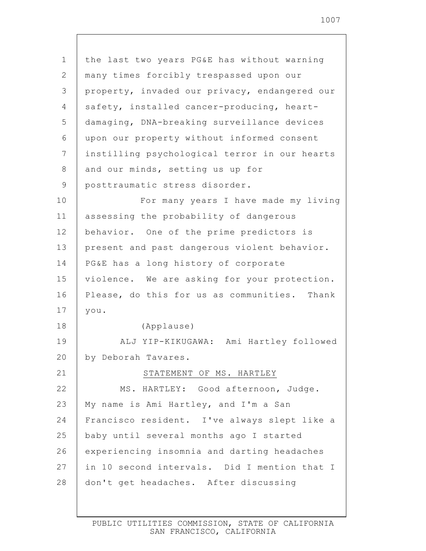1 2 3 4 5 6 7 8 9 10 11 12 13 14 15 16 17 18 19 20 21 22 23 24 25 26 27 28 the last two years PG&E has without warning many times forcibly trespassed upon our property, invaded our privacy, endangered our safety, installed cancer-producing, heartdamaging, DNA-breaking surveillance devices upon our property without informed consent instilling psychological terror in our hearts and our minds, setting us up for posttraumatic stress disorder. For many years I have made my living assessing the probability of dangerous behavior. One of the prime predictors is present and past dangerous violent behavior. PG&E has a long history of corporate violence. We are asking for your protection. Please, do this for us as communities. Thank you. (Applause) ALJ YIP-KIKUGAWA: Ami Hartley followed by Deborah Tavares. STATEMENT OF MS. HARTLEY MS. HARTLEY: Good afternoon, Judge. My name is Ami Hartley, and I'm a San Francisco resident. I've always slept like a baby until several months ago I started experiencing insomnia and darting headaches in 10 second intervals. Did I mention that I don't get headaches. After discussing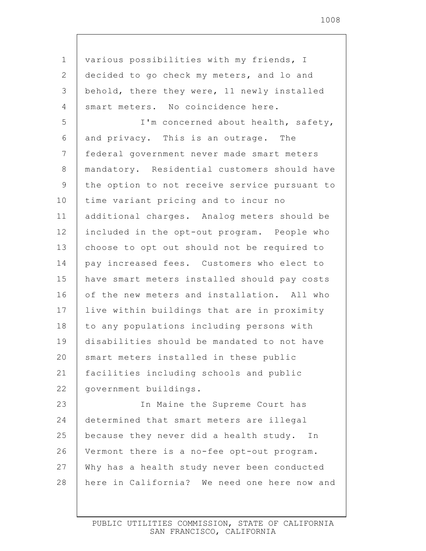1 2 3 4 5 6 7 8 9 10 11 12 13 14 15 16 17 18 19 20 21 22 23 24 25 26 27 28 various possibilities with my friends, I decided to go check my meters, and lo and behold, there they were, 11 newly installed smart meters. No coincidence here. I'm concerned about health, safety, and privacy. This is an outrage. The federal government never made smart meters mandatory. Residential customers should have the option to not receive service pursuant to time variant pricing and to incur no additional charges. Analog meters should be included in the opt-out program. People who choose to opt out should not be required to pay increased fees. Customers who elect to have smart meters installed should pay costs of the new meters and installation. All who live within buildings that are in proximity to any populations including persons with disabilities should be mandated to not have smart meters installed in these public facilities including schools and public government buildings. In Maine the Supreme Court has determined that smart meters are illegal because they never did a health study. In Vermont there is a no-fee opt-out program. Why has a health study never been conducted here in California? We need one here now and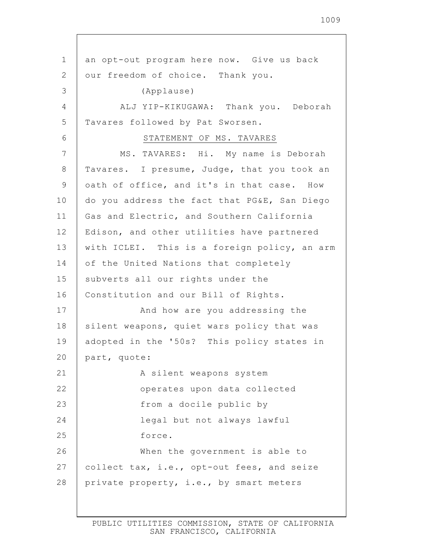1 2 3 4 5 6 7 8 9 10 11 12 13 14 15 16 17 18 19 20 21 22 23 24 25 26 27 28 an opt-out program here now. Give us back our freedom of choice. Thank you. (Applause) ALJ YIP-KIKUGAWA: Thank you. Deborah Tavares followed by Pat Sworsen. STATEMENT OF MS. TAVARES MS. TAVARES: Hi. My name is Deborah Tavares. I presume, Judge, that you took an oath of office, and it's in that case. How do you address the fact that PG&E, San Diego Gas and Electric, and Southern California Edison, and other utilities have partnered with ICLEI. This is a foreign policy, an arm of the United Nations that completely subverts all our rights under the Constitution and our Bill of Rights. And how are you addressing the silent weapons, quiet wars policy that was adopted in the '50s? This policy states in part, quote: A silent weapons system operates upon data collected from a docile public by legal but not always lawful force. When the government is able to collect tax, i.e., opt-out fees, and seize private property, i.e., by smart meters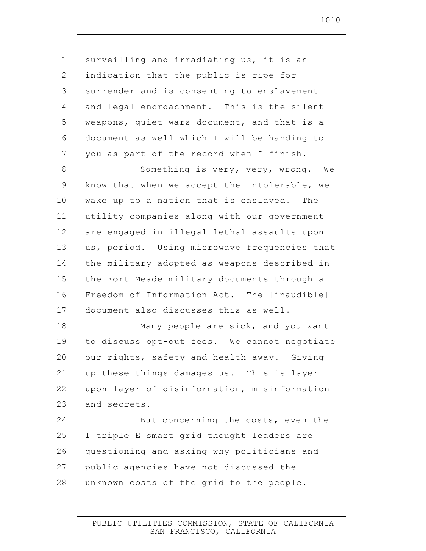1 2 3 4 5 6 7 8 9 10 11 12 13 14 15 16 17 18 19 20 21 22 23 24 25 26 27 28 surveilling and irradiating us, it is an indication that the public is ripe for surrender and is consenting to enslavement and legal encroachment. This is the silent weapons, quiet wars document, and that is a document as well which I will be handing to you as part of the record when I finish. Something is very, very, wrong. We know that when we accept the intolerable, we wake up to a nation that is enslaved. The utility companies along with our government are engaged in illegal lethal assaults upon us, period. Using microwave frequencies that the military adopted as weapons described in the Fort Meade military documents through a Freedom of Information Act. The [inaudible] document also discusses this as well. Many people are sick, and you want to discuss opt-out fees. We cannot negotiate our rights, safety and health away. Giving up these things damages us. This is layer upon layer of disinformation, misinformation and secrets. But concerning the costs, even the I triple E smart grid thought leaders are questioning and asking why politicians and public agencies have not discussed the unknown costs of the grid to the people.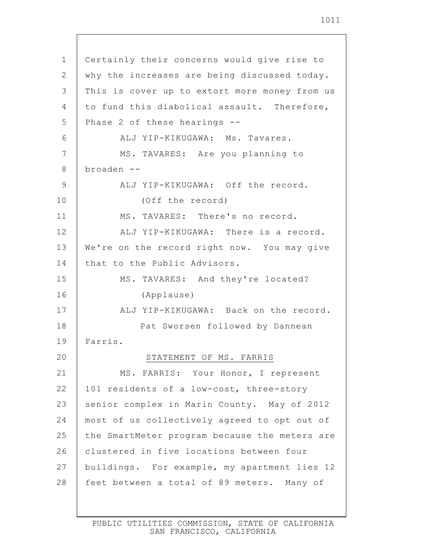| $\mathbf 1$ | Certainly their concerns would give rise to   |
|-------------|-----------------------------------------------|
| 2           | why the increases are being discussed today.  |
| 3           | This is cover up to extort more money from us |
| 4           | to fund this diabolical assault. Therefore,   |
| 5           | Phase 2 of these hearings --                  |
| 6           | ALJ YIP-KIKUGAWA: Ms. Tavares.                |
| 7           | MS. TAVARES: Are you planning to              |
| 8           | $broaden$ --                                  |
| 9           | ALJ YIP-KIKUGAWA: Off the record.             |
| 10          | (Off the record)                              |
| 11          | MS. TAVARES: There's no record.               |
| 12          | ALJ YIP-KIKUGAWA: There is a record.          |
| 13          | We're on the record right now. You may give   |
| 14          | that to the Public Advisors.                  |
| 15          | MS. TAVARES: And they're located?             |
| 16          | (Applause)                                    |
| 17          | ALJ YIP-KIKUGAWA: Back on the record.         |
| 18          | Pat Sworsen followed by Dannean               |
| 19          | Farris.                                       |
| 20          | STATEMENT OF MS. FARRIS                       |
| 21          | MS. FARRIS: Your Honor, I represent           |
| 22          | 101 residents of a low-cost, three-story      |
| 23          | senior complex in Marin County. May of 2012   |
| 24          | most of us collectively agreed to opt out of  |
| 25          | the SmartMeter program because the meters are |
| 26          | clustered in five locations between four      |
| 27          | buildings. For example, my apartment lies 12  |
| 28          | feet between a total of 89 meters. Many of    |
|             |                                               |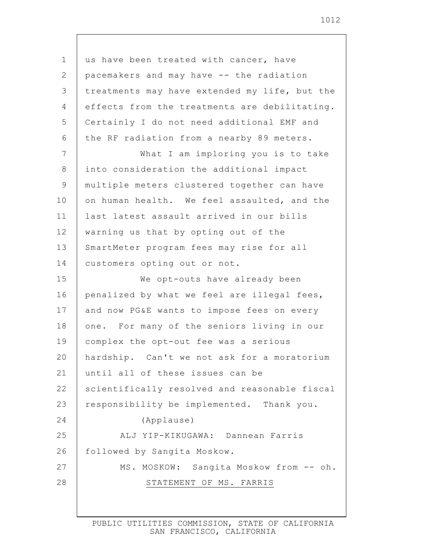1 2 3 4 5 6 7 8 9 10 11 12 13 14 15 16 17 18 19 20 21 22 23 24 25 26 27 28 us have been treated with cancer, have pacemakers and may have -- the radiation treatments may have extended my life, but the effects from the treatments are debilitating. Certainly I do not need additional EMF and the RF radiation from a nearby 89 meters. What I am imploring you is to take into consideration the additional impact multiple meters clustered together can have on human health. We feel assaulted, and the last latest assault arrived in our bills warning us that by opting out of the SmartMeter program fees may rise for all customers opting out or not. We opt-outs have already been penalized by what we feel are illegal fees, and now PG&E wants to impose fees on every one. For many of the seniors living in our complex the opt-out fee was a serious hardship. Can't we not ask for a moratorium until all of these issues can be scientifically resolved and reasonable fiscal responsibility be implemented. Thank you. (Applause) ALJ YIP-KIKUGAWA: Dannean Farris followed by Sangita Moskow. MS. MOSKOW: Sangita Moskow from -- oh. STATEMENT OF MS. FARRIS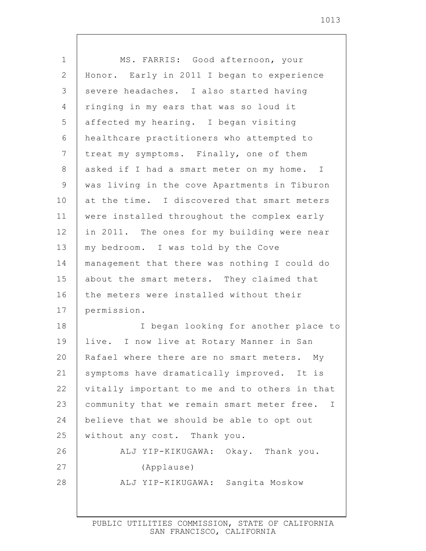| $\mathbf 1$    | MS. FARRIS: Good afternoon, your                          |
|----------------|-----------------------------------------------------------|
| $\mathbf{2}$   | Honor. Early in 2011 I began to experience                |
| 3              | severe headaches. I also started having                   |
| $\overline{4}$ | ringing in my ears that was so loud it                    |
| 5              | affected my hearing. I began visiting                     |
| 6              | healthcare practitioners who attempted to                 |
| 7              | treat my symptoms. Finally, one of them                   |
| $8\,$          | asked if I had a smart meter on my home. I                |
| $\mathsf 9$    | was living in the cove Apartments in Tiburon              |
| 10             | at the time. I discovered that smart meters               |
| 11             | were installed throughout the complex early               |
| 12             | in 2011. The ones for my building were near               |
| 13             | my bedroom. I was told by the Cove                        |
| 14             | management that there was nothing I could do              |
| 15             | about the smart meters. They claimed that                 |
| 16             | the meters were installed without their                   |
| 17             | permission.                                               |
| 18             | I began looking for another place to                      |
| 19             | live. I now live at Rotary Manner in San                  |
| 20             | Rafael where there are no smart meters.<br>Mу             |
| 21             | symptoms have dramatically improved. It is                |
| 22             | vitally important to me and to others in that             |
| 23             | community that we remain smart meter free.<br>$\mathbf I$ |
| 24             | believe that we should be able to opt out                 |
| 25             | without any cost. Thank you.                              |
| 26             | ALJ YIP-KIKUGAWA: Okay. Thank you.                        |
| 27             | (Applause)                                                |
| 28             | ALJ YIP-KIKUGAWA: Sangita Moskow                          |
|                |                                                           |

 $\mathsf{l}$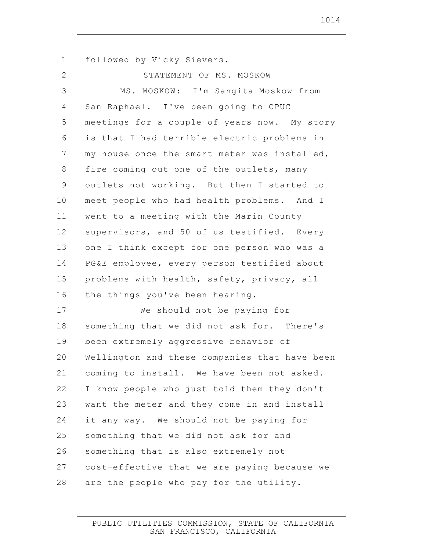1 2 3 4 5 6 7 8 9 10 11 12 13 14 15 16 17 18 19 20 21 22 23 24 25 26 27 28 followed by Vicky Sievers. STATEMENT OF MS. MOSKOW MS. MOSKOW: I'm Sangita Moskow from San Raphael. I've been going to CPUC meetings for a couple of years now. My story is that I had terrible electric problems in my house once the smart meter was installed, fire coming out one of the outlets, many outlets not working. But then I started to meet people who had health problems. And I went to a meeting with the Marin County supervisors, and 50 of us testified. Every one I think except for one person who was a PG&E employee, every person testified about problems with health, safety, privacy, all the things you've been hearing. We should not be paying for something that we did not ask for. There's been extremely aggressive behavior of Wellington and these companies that have been coming to install. We have been not asked. I know people who just told them they don't want the meter and they come in and install it any way. We should not be paying for something that we did not ask for and something that is also extremely not cost-effective that we are paying because we are the people who pay for the utility.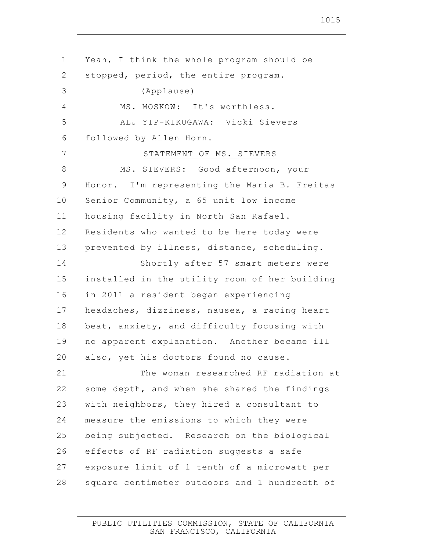1 2 3 4 5 6 7 8 9 10 11 12 13 14 15 16 17 18 19 20 21 22 23 24 25 26 27 28 Yeah, I think the whole program should be stopped, period, the entire program. (Applause) MS. MOSKOW: It's worthless. ALJ YIP-KIKUGAWA: Vicki Sievers followed by Allen Horn. STATEMENT OF MS. SIEVERS MS. SIEVERS: Good afternoon, your Honor. I'm representing the Maria B. Freitas Senior Community, a 65 unit low income housing facility in North San Rafael. Residents who wanted to be here today were prevented by illness, distance, scheduling. Shortly after 57 smart meters were installed in the utility room of her building in 2011 a resident began experiencing headaches, dizziness, nausea, a racing heart beat, anxiety, and difficulty focusing with no apparent explanation. Another became ill also, yet his doctors found no cause. The woman researched RF radiation at some depth, and when she shared the findings with neighbors, they hired a consultant to measure the emissions to which they were being subjected. Research on the biological effects of RF radiation suggests a safe exposure limit of 1 tenth of a microwatt per square centimeter outdoors and 1 hundredth of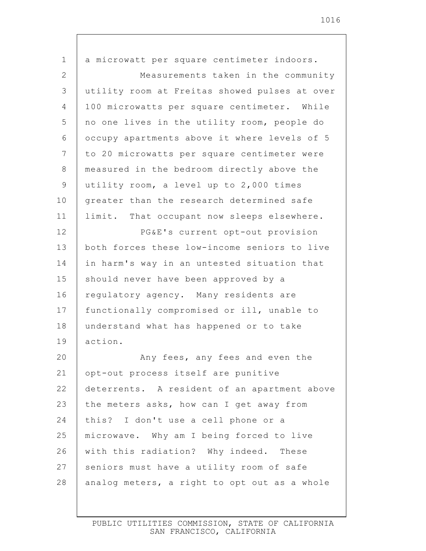| $\mathbf 1$    | a microwatt per square centimeter indoors.    |
|----------------|-----------------------------------------------|
| 2              | Measurements taken in the community           |
| 3              | utility room at Freitas showed pulses at over |
| $\overline{4}$ | 100 microwatts per square centimeter. While   |
| 5              | no one lives in the utility room, people do   |
| 6              | occupy apartments above it where levels of 5  |
| $\overline{7}$ | to 20 microwatts per square centimeter were   |
| $8\,$          | measured in the bedroom directly above the    |
| $\mathsf 9$    | utility room, a level up to 2,000 times       |
| 10             | greater than the research determined safe     |
| 11             | limit. That occupant now sleeps elsewhere.    |
| 12             | PG&E's current opt-out provision              |
| 13             | both forces these low-income seniors to live  |
| 14             | in harm's way in an untested situation that   |
| 15             | should never have been approved by a          |
| 16             | regulatory agency. Many residents are         |
| 17             | functionally compromised or ill, unable to    |
| 18             | understand what has happened or to take       |
| 19             | action.                                       |
| 20             | Any fees, any fees and even the               |
| 21             | opt-out process itself are punitive           |
| 22             | deterrents. A resident of an apartment above  |
| 23             | the meters asks, how can I get away from      |
| 24             | this? I don't use a cell phone or a           |
| 25             | microwave. Why am I being forced to live      |
| 26             | with this radiation? Why indeed. These        |
| 27             | seniors must have a utility room of safe      |
| 28             | analog meters, a right to opt out as a whole  |

 $\mathsf{l}$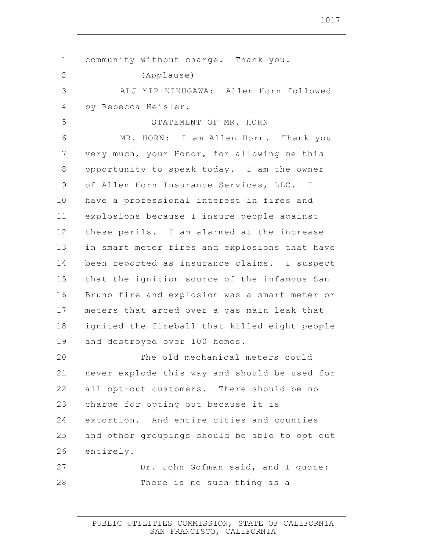1 2 3 4 5 6 7 8 9 10 11 12 13 14 15 16 17 18 19 20 21 22 23 24 25 26 27 28 community without charge. Thank you. (Applause) ALJ YIP-KIKUGAWA: Allen Horn followed by Rebecca Heisler. STATEMENT OF MR. HORN MR. HORN: I am Allen Horn. Thank you very much, your Honor, for allowing me this opportunity to speak today. I am the owner of Allen Horn Insurance Services, LLC. I have a professional interest in fires and explosions because I insure people against these perils. I am alarmed at the increase in smart meter fires and explosions that have been reported as insurance claims. I suspect that the ignition source of the infamous San Bruno fire and explosion was a smart meter or meters that arced over a gas main leak that ignited the fireball that killed eight people and destroyed over 100 homes. The old mechanical meters could never explode this way and should be used for all opt-out customers. There should be no charge for opting out because it is extortion. And entire cities and counties and other groupings should be able to opt out entirely. Dr. John Gofman said, and I quote: There is no such thing as a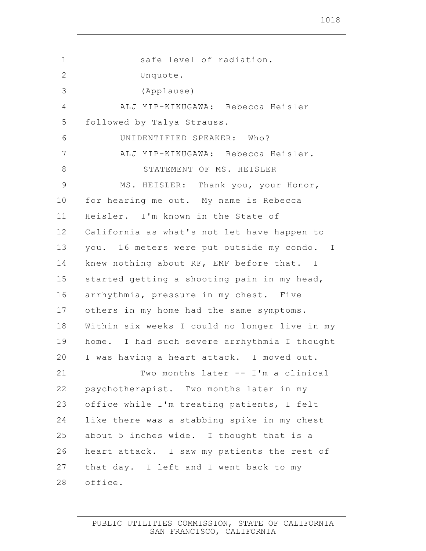1 2 3 4 5 6 7 8 9 10 11 12 13 14 15 16 17 18 19 20 21 22 23 24 25 26 27 28 safe level of radiation. Unquote. (Applause) ALJ YIP-KIKUGAWA: Rebecca Heisler followed by Talya Strauss. UNIDENTIFIED SPEAKER: Who? ALJ YIP-KIKUGAWA: Rebecca Heisler. STATEMENT OF MS. HEISLER MS. HEISLER: Thank you, your Honor, for hearing me out. My name is Rebecca Heisler. I'm known in the State of California as what's not let have happen to you. 16 meters were put outside my condo. I knew nothing about RF, EMF before that. I started getting a shooting pain in my head, arrhythmia, pressure in my chest. Five others in my home had the same symptoms. Within six weeks I could no longer live in my home. I had such severe arrhythmia I thought I was having a heart attack. I moved out. Two months later -- I'm a clinical psychotherapist. Two months later in my office while I'm treating patients, I felt like there was a stabbing spike in my chest about 5 inches wide. I thought that is a heart attack. I saw my patients the rest of that day. I left and I went back to my office.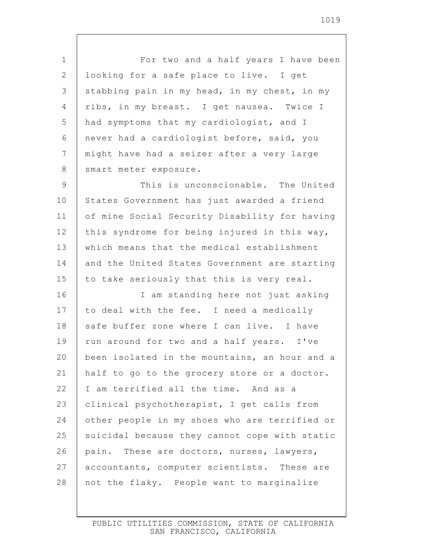1 2 3 4 5 6 7 8 9 10 11 12 13 14 15 16 17 18 19 20 21 22 23 24 25 26 27 28 For two and a half years I have been looking for a safe place to live. I get stabbing pain in my head, in my chest, in my ribs, in my breast. I get nausea. Twice I had symptoms that my cardiologist, and I never had a cardiologist before, said, you might have had a seizer after a very large smart meter exposure. This is unconscionable. The United States Government has just awarded a friend of mine Social Security Disability for having this syndrome for being injured in this way, which means that the medical establishment and the United States Government are starting to take seriously that this is very real. I am standing here not just asking to deal with the fee. I need a medically safe buffer zone where I can live. I have run around for two and a half years. I've been isolated in the mountains, an hour and a half to go to the grocery store or a doctor. I am terrified all the time. And as a clinical psychotherapist, I get calls from other people in my shoes who are terrified or suicidal because they cannot cope with static pain. These are doctors, nurses, lawyers, accountants, computer scientists. These are not the flaky. People want to marginalize

> PUBLIC UTILITIES COMMISSION, STATE OF CALIFORNIA SAN FRANCISCO, CALIFORNIA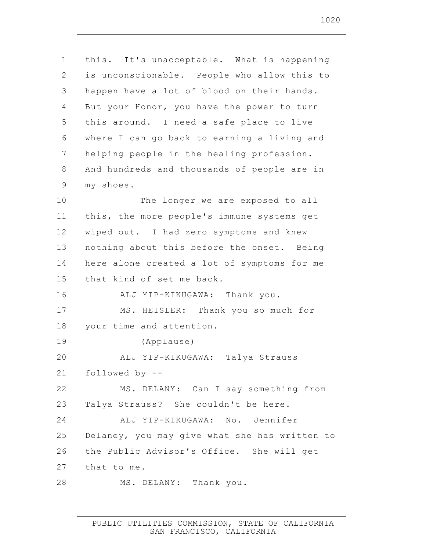| $\mathbf 1$ | this. It's unacceptable. What is happening    |
|-------------|-----------------------------------------------|
| 2           | is unconscionable. People who allow this to   |
| 3           | happen have a lot of blood on their hands.    |
| 4           | But your Honor, you have the power to turn    |
| 5           | this around. I need a safe place to live      |
| 6           | where I can go back to earning a living and   |
| 7           | helping people in the healing profession.     |
| 8           | And hundreds and thousands of people are in   |
| 9           | my shoes.                                     |
| 10          | The longer we are exposed to all              |
| 11          | this, the more people's immune systems get    |
| 12          | wiped out. I had zero symptoms and knew       |
| 13          | nothing about this before the onset. Being    |
| 14          | here alone created a lot of symptoms for me   |
| 15          | that kind of set me back.                     |
| 16          | ALJ YIP-KIKUGAWA: Thank you.                  |
| 17          | MS. HEISLER: Thank you so much for            |
| 18          | your time and attention.                      |
| 19          | (Applause)                                    |
| 20          | ALJ YIP-KIKUGAWA: Talya Strauss               |
| 21          | followed by $-$ -                             |
| 22          | MS. DELANY: Can I say something from          |
| 23          | Talya Strauss? She couldn't be here.          |
| 24          | ALJ YIP-KIKUGAWA: No. Jennifer                |
| 25          | Delaney, you may give what she has written to |
| 26          | the Public Advisor's Office. She will get     |
| 27          | that to me.                                   |
| 28          | MS. DELANY: Thank you.                        |
|             |                                               |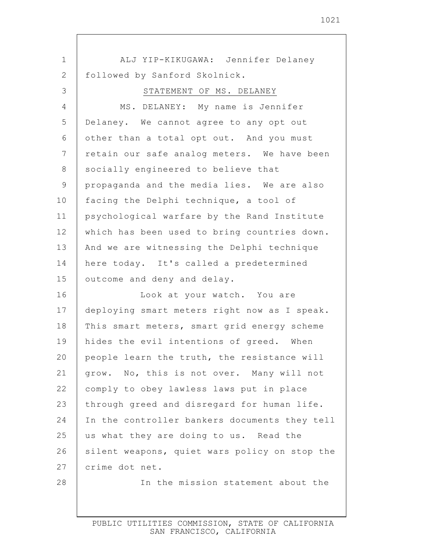| $\mathbf 1$    | ALJ YIP-KIKUGAWA: Jennifer Delaney            |
|----------------|-----------------------------------------------|
| $\mathbf{2}$   | followed by Sanford Skolnick.                 |
| 3              | STATEMENT OF MS. DELANEY                      |
| 4              | MS. DELANEY: My name is Jennifer              |
| 5              | Delaney. We cannot agree to any opt out       |
| 6              | other than a total opt out. And you must      |
| $\overline{7}$ | retain our safe analog meters. We have been   |
| $8\,$          | socially engineered to believe that           |
| $\mathsf 9$    | propaganda and the media lies. We are also    |
| 10             | facing the Delphi technique, a tool of        |
| 11             | psychological warfare by the Rand Institute   |
| 12             | which has been used to bring countries down.  |
| 13             | And we are witnessing the Delphi technique    |
| 14             | here today. It's called a predetermined       |
| 15             | outcome and deny and delay.                   |
| 16             | Look at your watch. You are                   |
| 17             | deploying smart meters right now as I speak.  |
| 18             | This smart meters, smart grid energy scheme   |
| 19             | hides the evil intentions of greed. When      |
| 20             | people learn the truth, the resistance will   |
| 21             | grow. No, this is not over. Many will not     |
| 22             | comply to obey lawless laws put in place      |
| 23             | through greed and disregard for human life.   |
| 24             | In the controller bankers documents they tell |
| 25             | us what they are doing to us. Read the        |
| 26             | silent weapons, quiet wars policy on stop the |
| 27             | crime dot net.                                |
| 28             | In the mission statement about the            |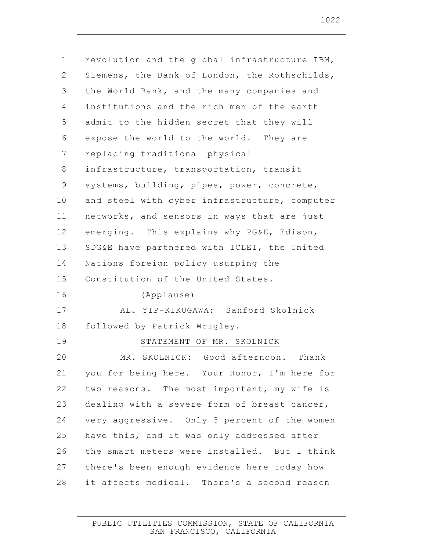| $\mathbf 1$ | revolution and the global infrastructure IBM, |
|-------------|-----------------------------------------------|
| 2           | Siemens, the Bank of London, the Rothschilds, |
| 3           | the World Bank, and the many companies and    |
| 4           | institutions and the rich men of the earth    |
| 5           | admit to the hidden secret that they will     |
| 6           | expose the world to the world. They are       |
| 7           | replacing traditional physical                |
| 8           | infrastructure, transportation, transit       |
| 9           | systems, building, pipes, power, concrete,    |
| 10          | and steel with cyber infrastructure, computer |
| 11          | networks, and sensors in ways that are just   |
| 12          | emerging. This explains why PG&E, Edison,     |
| 13          | SDG&E have partnered with ICLEI, the United   |
| 14          | Nations foreign policy usurping the           |
| 15          | Constitution of the United States.            |
| 16          | (Applause)                                    |
| 17          | ALJ YIP-KIKUGAWA: Sanford Skolnick            |
| 18          | followed by Patrick Wrigley.                  |
| 19          | STATEMENT OF MR. SKOLNICK                     |
| 20          | SKOLNICK: Good afternoon.<br>MR.<br>Thank     |
| 21          | you for being here. Your Honor, I'm here for  |
| 22          | two reasons. The most important, my wife is   |
| 23          | dealing with a severe form of breast cancer,  |
| 24          | very aggressive. Only 3 percent of the women  |
| 25          | have this, and it was only addressed after    |
| 26          | the smart meters were installed. But I think  |
| 27          | there's been enough evidence here today how   |
| 28          | it affects medical. There's a second reason   |
|             |                                               |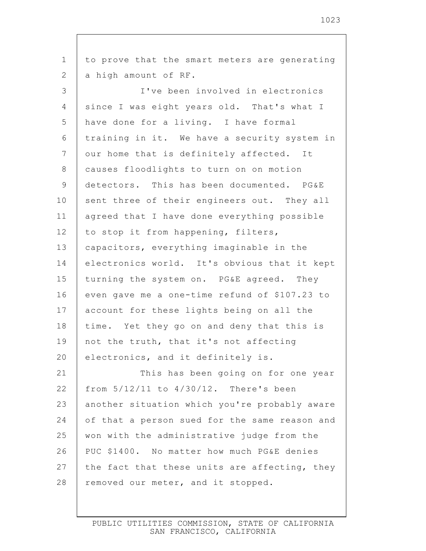1 2 3 4 5 6 7 8 9 10 11 12 13 14 15 16 17 18 19 20 21 22 23 24 25 26 27 28 to prove that the smart meters are generating a high amount of RF. I've been involved in electronics since I was eight years old. That's what I have done for a living. I have formal training in it. We have a security system in our home that is definitely affected. It causes floodlights to turn on on motion detectors. This has been documented. PG&E sent three of their engineers out. They all agreed that I have done everything possible to stop it from happening, filters, capacitors, everything imaginable in the electronics world. It's obvious that it kept turning the system on. PG&E agreed. They even gave me a one-time refund of \$107.23 to account for these lights being on all the time. Yet they go on and deny that this is not the truth, that it's not affecting electronics, and it definitely is. This has been going on for one year from 5/12/11 to 4/30/12. There's been another situation which you're probably aware of that a person sued for the same reason and won with the administrative judge from the PUC \$1400. No matter how much PG&E denies the fact that these units are affecting, they removed our meter, and it stopped.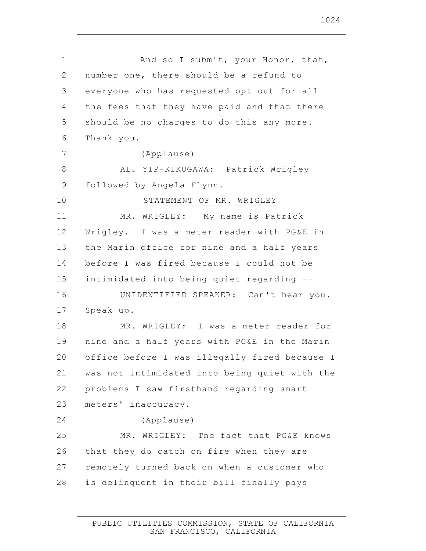| $\mathbf 1$     | And so I submit, your Honor, that,            |
|-----------------|-----------------------------------------------|
| $\overline{2}$  | number one, there should be a refund to       |
| 3               | everyone who has requested opt out for all    |
| 4               | the fees that they have paid and that there   |
| 5               | should be no charges to do this any more.     |
| 6               | Thank you.                                    |
| $7\phantom{.0}$ | (Applause)                                    |
| 8               | ALJ YIP-KIKUGAWA: Patrick Wrigley             |
| $\mathsf 9$     | followed by Angela Flynn.                     |
| 10              | STATEMENT OF MR. WRIGLEY                      |
| 11              | MR. WRIGLEY: My name is Patrick               |
| 12              | Wrigley. I was a meter reader with PG&E in    |
| 13              | the Marin office for nine and a half years    |
| 14              | before I was fired because I could not be     |
| 15              | intimidated into being quiet regarding --     |
| 16              | UNIDENTIFIED SPEAKER: Can't hear you.         |
| 17              | Speak up.                                     |
| 18              | MR. WRIGLEY: I was a meter reader for         |
| 19              | nine and a half years with PG&E in the Marin  |
| 20              | office before I was illegally fired because I |
| 21              | was not intimidated into being quiet with the |
| 22              | problems I saw firsthand regarding smart      |
| 23              | meters' inaccuracy.                           |
| 24              | (Applause)                                    |
| 25              | MR. WRIGLEY: The fact that PG&E knows         |
| 26              | that they do catch on fire when they are      |
| 27              | remotely turned back on when a customer who   |
| 28              | is delinquent in their bill finally pays      |
|                 |                                               |

 $\mathsf{I}$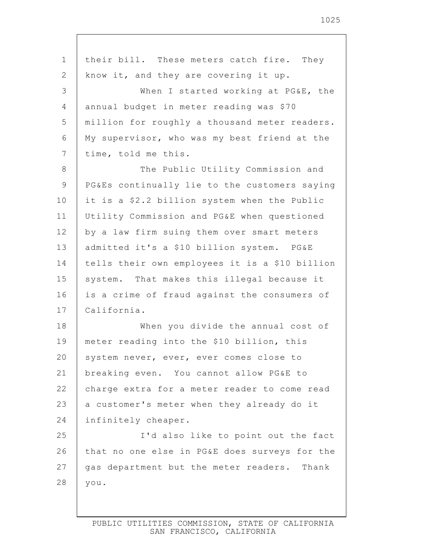| $\mathbf 1$     | their bill. These meters catch fire. They      |
|-----------------|------------------------------------------------|
| $\mathbf{2}$    | know it, and they are covering it up.          |
| 3               | When I started working at PG&E, the            |
| 4               | annual budget in meter reading was \$70        |
| 5               | million for roughly a thousand meter readers.  |
| 6               | My supervisor, who was my best friend at the   |
| $7\phantom{.0}$ | time, told me this.                            |
| 8               | The Public Utility Commission and              |
| $\mathsf 9$     | PG&Es continually lie to the customers saying  |
| 10              | it is a \$2.2 billion system when the Public   |
| 11              | Utility Commission and PG&E when questioned    |
| 12              | by a law firm suing them over smart meters     |
| 13              | admitted it's a \$10 billion system. PG&E      |
| 14              | tells their own employees it is a \$10 billion |
| 15              | system. That makes this illegal because it     |
| 16              | is a crime of fraud against the consumers of   |
| 17              | California.                                    |
| 18              | When you divide the annual cost of             |
| 19              | meter reading into the \$10 billion, this      |
| 20              | system never, ever, ever comes close to        |
| 21              | breaking even. You cannot allow PG&E to        |
| 22              | charge extra for a meter reader to come read   |
| 23              | a customer's meter when they already do it     |
| 24              | infinitely cheaper.                            |
| 25              | I'd also like to point out the fact            |
| 26              | that no one else in PG&E does surveys for the  |
| 27              | gas department but the meter readers. Thank    |
| 28              | you.                                           |
|                 |                                                |

Г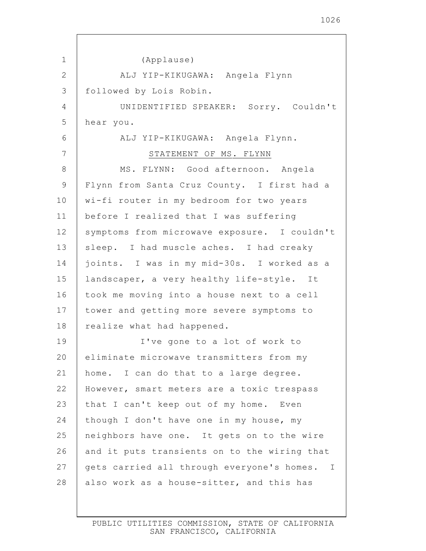| $\mathbf 1$    | (Applause)                                   |
|----------------|----------------------------------------------|
| $\mathbf{2}$   | ALJ YIP-KIKUGAWA: Angela Flynn               |
| 3              | followed by Lois Robin.                      |
| 4              | UNIDENTIFIED SPEAKER: Sorry. Couldn't        |
| 5              | hear you.                                    |
| 6              | ALJ YIP-KIKUGAWA: Angela Flynn.              |
| $\overline{7}$ | STATEMENT OF MS. FLYNN                       |
| 8              | MS. FLYNN: Good afternoon. Angela            |
| 9              | Flynn from Santa Cruz County. I first had a  |
| 10             | wi-fi router in my bedroom for two years     |
| 11             | before I realized that I was suffering       |
| 12             | symptoms from microwave exposure. I couldn't |
| 13             | sleep. I had muscle aches. I had creaky      |
| 14             | joints. I was in my mid-30s. I worked as a   |
| 15             | landscaper, a very healthy life-style. It    |
| 16             | took me moving into a house next to a cell   |
| 17             | tower and getting more severe symptoms to    |
| 18             | realize what had happened.                   |
| 19             | I've gone to a lot of work to                |
| 20             | eliminate microwave transmitters from my     |
| 21             | home. I can do that to a large degree.       |
| 22             | However, smart meters are a toxic trespass   |
| 23             | that I can't keep out of my home. Even       |
| 24             | though I don't have one in my house, my      |
| 25             | neighbors have one. It gets on to the wire   |
| 26             | and it puts transients on to the wiring that |
| 27             | gets carried all through everyone's homes. I |
| 28             | also work as a house-sitter, and this has    |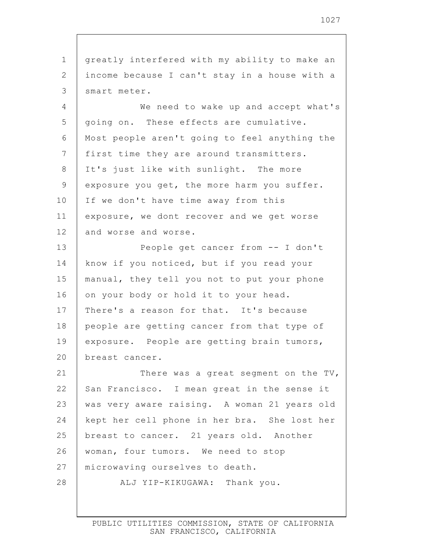1 2 3 4 5 6 7 8 9 10 11 12 13 14 15 16 17 18 19 20 21 22 23 24 25 26 27 28 greatly interfered with my ability to make an income because I can't stay in a house with a smart meter. We need to wake up and accept what's going on. These effects are cumulative. Most people aren't going to feel anything the first time they are around transmitters. It's just like with sunlight. The more exposure you get, the more harm you suffer. If we don't have time away from this exposure, we dont recover and we get worse and worse and worse. People get cancer from -- I don't know if you noticed, but if you read your manual, they tell you not to put your phone on your body or hold it to your head. There's a reason for that. It's because people are getting cancer from that type of exposure. People are getting brain tumors, breast cancer. There was a great segment on the TV, San Francisco. I mean great in the sense it was very aware raising. A woman 21 years old kept her cell phone in her bra. She lost her breast to cancer. 21 years old. Another woman, four tumors. We need to stop microwaving ourselves to death. ALJ YIP-KIKUGAWA: Thank you.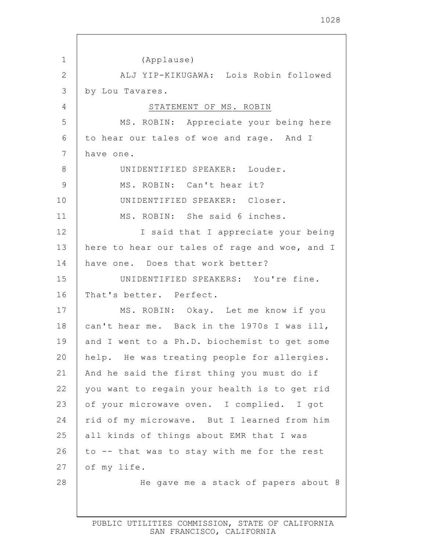1 2 3 4 5 6 7 8 9 10 11 12 13 14 15 16 17 18 19 20 21 22 23 24 25 26 27 28 (Applause) ALJ YIP-KIKUGAWA: Lois Robin followed by Lou Tavares. STATEMENT OF MS. ROBIN MS. ROBIN: Appreciate your being here to hear our tales of woe and rage. And I have one. UNIDENTIFIED SPEAKER: Louder. MS. ROBIN: Can't hear it? UNIDENTIFIED SPEAKER: Closer. MS. ROBIN: She said 6 inches. I said that I appreciate your being here to hear our tales of rage and woe, and I have one. Does that work better? UNIDENTIFIED SPEAKERS: You're fine. That's better. Perfect. MS. ROBIN: Okay. Let me know if you can't hear me. Back in the 1970s I was ill, and I went to a Ph.D. biochemist to get some help. He was treating people for allergies. And he said the first thing you must do if you want to regain your health is to get rid of your microwave oven. I complied. I got rid of my microwave. But I learned from him all kinds of things about EMR that I was to -- that was to stay with me for the rest of my life. He gave me a stack of papers about 8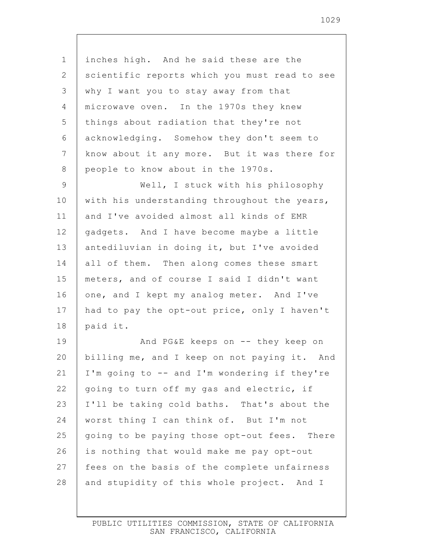1 2 3 4 5 6 7 8 9 10 11 12 13 14 15 16 17 18 19 20 21 22 23 24 25 26 27 inches high. And he said these are the scientific reports which you must read to see why I want you to stay away from that microwave oven. In the 1970s they knew things about radiation that they're not acknowledging. Somehow they don't seem to know about it any more. But it was there for people to know about in the 1970s. Well, I stuck with his philosophy with his understanding throughout the years, and I've avoided almost all kinds of EMR gadgets. And I have become maybe a little antediluvian in doing it, but I've avoided all of them. Then along comes these smart meters, and of course I said I didn't want one, and I kept my analog meter. And I've had to pay the opt-out price, only I haven't paid it. And PG&E keeps on -- they keep on billing me, and I keep on not paying it. And I'm going to -- and I'm wondering if they're going to turn off my gas and electric, if I'll be taking cold baths. That's about the worst thing I can think of. But I'm not going to be paying those opt-out fees. There is nothing that would make me pay opt-out fees on the basis of the complete unfairness

28 and stupidity of this whole project. And I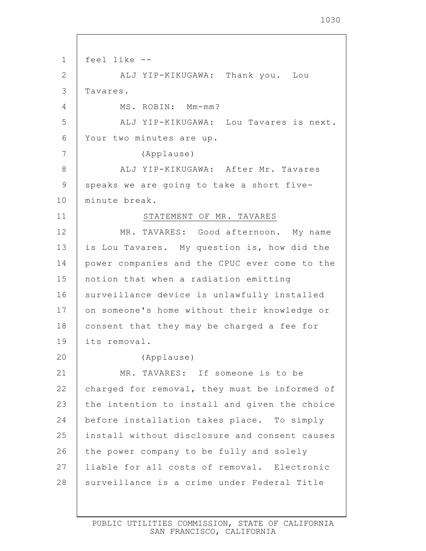1 2 3 4 5 6 7 8 9 10 11 12 13 14 15 16 17 18 19 20 21 22 23 24 25 26 27 28 feel like -- ALJ YIP-KIKUGAWA: Thank you. Lou Tavares. MS. ROBIN: Mm-mm? ALJ YIP-KIKUGAWA: Lou Tavares is next. Your two minutes are up. (Applause) ALJ YIP-KIKUGAWA: After Mr. Tavares speaks we are going to take a short fiveminute break. STATEMENT OF MR. TAVARES MR. TAVARES: Good afternoon. My name is Lou Tavares. My question is, how did the power companies and the CPUC ever come to the notion that when a radiation emitting surveillance device is unlawfully installed on someone's home without their knowledge or consent that they may be charged a fee for its removal. (Applause) MR. TAVARES: If someone is to be charged for removal, they must be informed of the intention to install and given the choice before installation takes place. To simply install without disclosure and consent causes the power company to be fully and solely liable for all costs of removal. Electronic surveillance is a crime under Federal Title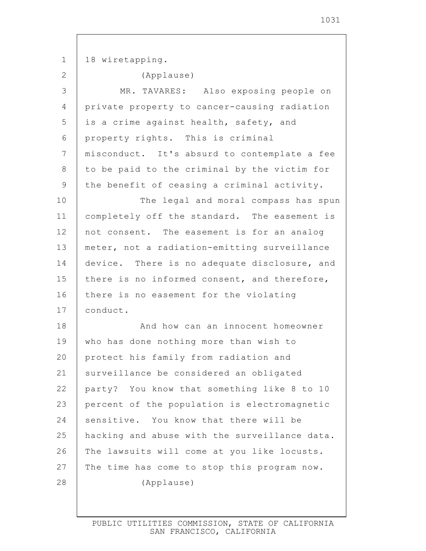1 2 3 4 5 6 7 8 9 10 11 12 13 14 15 16 17 18 19 20 21 22 23 24 25 26 27 28 18 wiretapping. (Applause) MR. TAVARES: Also exposing people on private property to cancer-causing radiation is a crime against health, safety, and property rights. This is criminal misconduct. It's absurd to contemplate a fee to be paid to the criminal by the victim for the benefit of ceasing a criminal activity. The legal and moral compass has spun completely off the standard. The easement is not consent. The easement is for an analog meter, not a radiation-emitting surveillance device. There is no adequate disclosure, and there is no informed consent, and therefore, there is no easement for the violating conduct. And how can an innocent homeowner who has done nothing more than wish to protect his family from radiation and surveillance be considered an obligated party? You know that something like 8 to 10 percent of the population is electromagnetic sensitive. You know that there will be hacking and abuse with the surveillance data. The lawsuits will come at you like locusts. The time has come to stop this program now. (Applause)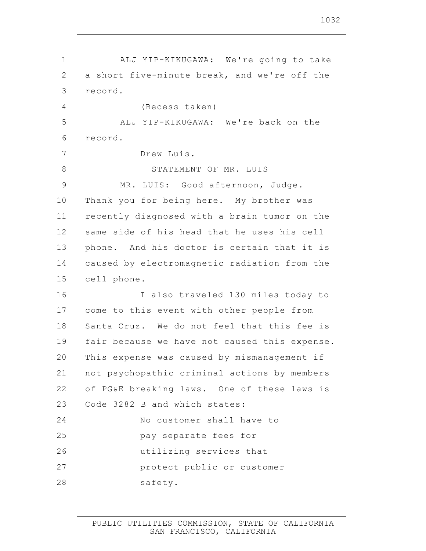1 2 3 4 5 6 7 8 9 10 11 12 13 14 15 16 17 18 19 20 21 22 23 24 25 26 27 28 ALJ YIP-KIKUGAWA: We're going to take a short five-minute break, and we're off the record. (Recess taken) ALJ YIP-KIKUGAWA: We're back on the record. Drew Luis. STATEMENT OF MR. LUIS MR. LUIS: Good afternoon, Judge. Thank you for being here. My brother was recently diagnosed with a brain tumor on the same side of his head that he uses his cell phone. And his doctor is certain that it is caused by electromagnetic radiation from the cell phone. I also traveled 130 miles today to come to this event with other people from Santa Cruz. We do not feel that this fee is fair because we have not caused this expense. This expense was caused by mismanagement if not psychopathic criminal actions by members of PG&E breaking laws. One of these laws is Code 3282 B and which states: No customer shall have to pay separate fees for utilizing services that protect public or customer safety.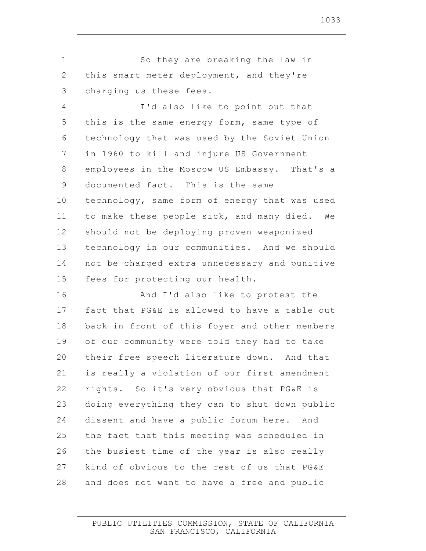1 2 3 4 5 6 7 8 9 10 11 12 13 14 15 16 17 18 19 20 21 22 23 24 25 26 27 28 So they are breaking the law in this smart meter deployment, and they're charging us these fees. I'd also like to point out that this is the same energy form, same type of technology that was used by the Soviet Union in 1960 to kill and injure US Government employees in the Moscow US Embassy. That's a documented fact. This is the same technology, same form of energy that was used to make these people sick, and many died. We should not be deploying proven weaponized technology in our communities. And we should not be charged extra unnecessary and punitive fees for protecting our health. And I'd also like to protest the fact that PG&E is allowed to have a table out back in front of this foyer and other members of our community were told they had to take their free speech literature down. And that is really a violation of our first amendment rights. So it's very obvious that PG&E is doing everything they can to shut down public dissent and have a public forum here. And the fact that this meeting was scheduled in the busiest time of the year is also really kind of obvious to the rest of us that PG&E and does not want to have a free and public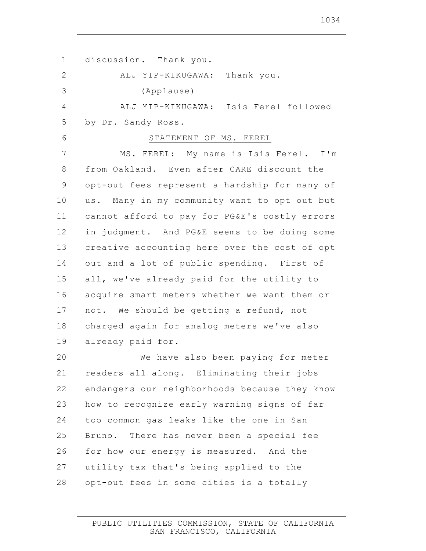1 2 3 4 5 6 7 8 9 10 11 12 13 14 15 16 17 18 19 20 21 22 23 24 25 26 27 28 discussion. Thank you. ALJ YIP-KIKUGAWA: Thank you. (Applause) ALJ YIP-KIKUGAWA: Isis Ferel followed by Dr. Sandy Ross. STATEMENT OF MS. FEREL MS. FEREL: My name is Isis Ferel. I'm from Oakland. Even after CARE discount the opt-out fees represent a hardship for many of us. Many in my community want to opt out but cannot afford to pay for PG&E's costly errors in judgment. And PG&E seems to be doing some creative accounting here over the cost of opt out and a lot of public spending. First of all, we've already paid for the utility to acquire smart meters whether we want them or not. We should be getting a refund, not charged again for analog meters we've also already paid for. We have also been paying for meter readers all along. Eliminating their jobs endangers our neighborhoods because they know how to recognize early warning signs of far too common gas leaks like the one in San Bruno. There has never been a special fee for how our energy is measured. And the utility tax that's being applied to the opt-out fees in some cities is a totally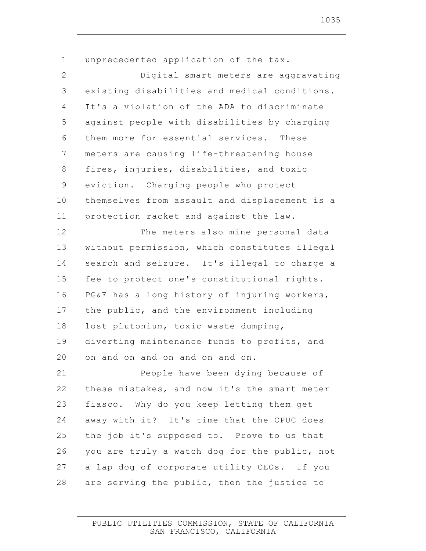| $\mathbf 1$ | unprecedented application of the tax.         |
|-------------|-----------------------------------------------|
| 2           | Digital smart meters are aggravating          |
| 3           | existing disabilities and medical conditions. |
| 4           | It's a violation of the ADA to discriminate   |
| 5           | against people with disabilities by charging  |
| 6           | them more for essential services. These       |
| 7           | meters are causing life-threatening house     |
| 8           | fires, injuries, disabilities, and toxic      |
| 9           | eviction. Charging people who protect         |
| 10          | themselves from assault and displacement is a |
| 11          | protection racket and against the law.        |
| 12          | The meters also mine personal data            |
| 13          | without permission, which constitutes illegal |
| 14          | search and seizure. It's illegal to charge a  |
| 15          | fee to protect one's constitutional rights.   |
| 16          | PG&E has a long history of injuring workers,  |
| 17          | the public, and the environment including     |
| 18          | lost plutonium, toxic waste dumping,          |
| 19          | diverting maintenance funds to profits, and   |
| 20          | on and on and on and on and on.               |
| 21          | People have been dying because of             |
| 22          | these mistakes, and now it's the smart meter  |
| 23          | fiasco. Why do you keep letting them get      |
| 24          | away with it? It's time that the CPUC does    |
| 25          | the job it's supposed to. Prove to us that    |
| 26          | you are truly a watch dog for the public, not |
| 27          | a lap dog of corporate utility CEOs. If you   |
| 28          | are serving the public, then the justice to   |

Г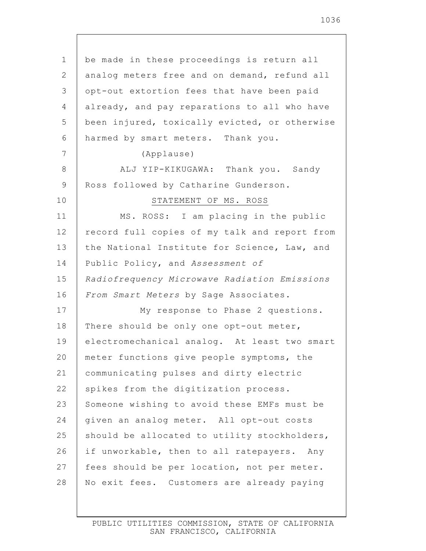| $\mathbf 1$     | be made in these proceedings is return all    |
|-----------------|-----------------------------------------------|
| 2               | analog meters free and on demand, refund all  |
| 3               | opt-out extortion fees that have been paid    |
| 4               | already, and pay reparations to all who have  |
| 5               | been injured, toxically evicted, or otherwise |
| 6               | harmed by smart meters. Thank you.            |
| $7\phantom{.0}$ | (Applause)                                    |
| 8               | ALJ YIP-KIKUGAWA: Thank you. Sandy            |
| 9               | Ross followed by Catharine Gunderson.         |
| 10              | STATEMENT OF MS. ROSS                         |
| 11              | MS. ROSS: I am placing in the public          |
| 12              | record full copies of my talk and report from |
| 13              | the National Institute for Science, Law, and  |
| 14              | Public Policy, and Assessment of              |
| 15              | Radiofrequency Microwave Radiation Emissions  |
| 16              | From Smart Meters by Sage Associates.         |
| 17              | My response to Phase 2 questions.             |
| 18              | There should be only one opt-out meter,       |
| 19              | electromechanical analog. At least two smart  |
| 20              | meter functions give people symptoms, the     |
| 21              | communicating pulses and dirty electric       |
| 22              | spikes from the digitization process.         |
| 23              | Someone wishing to avoid these EMFs must be   |
| 24              | given an analog meter. All opt-out costs      |
| 25              | should be allocated to utility stockholders,  |
| 26              | if unworkable, then to all ratepayers. Any    |
| 27              | fees should be per location, not per meter.   |
| 28              | No exit fees. Customers are already paying    |
|                 |                                               |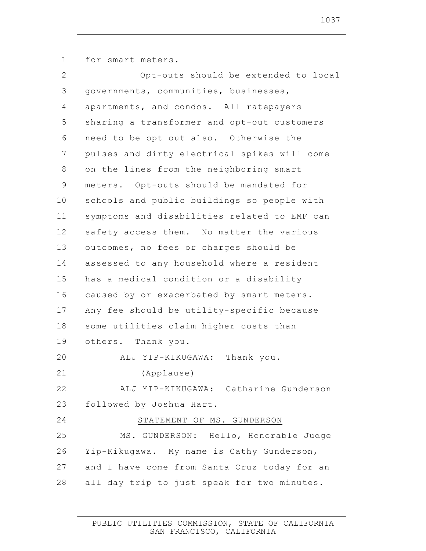1 2 3 4 5 6 7 8 9 10 11 12 13 14 15 16 17 18 19 20 21 22 23 24 25 26 27 28 for smart meters. Opt-outs should be extended to local governments, communities, businesses, apartments, and condos. All ratepayers sharing a transformer and opt-out customers need to be opt out also. Otherwise the pulses and dirty electrical spikes will come on the lines from the neighboring smart meters. Opt-outs should be mandated for schools and public buildings so people with symptoms and disabilities related to EMF can safety access them. No matter the various outcomes, no fees or charges should be assessed to any household where a resident has a medical condition or a disability caused by or exacerbated by smart meters. Any fee should be utility-specific because some utilities claim higher costs than others. Thank you. ALJ YIP-KIKUGAWA: Thank you. (Applause) ALJ YIP-KIKUGAWA: Catharine Gunderson followed by Joshua Hart. STATEMENT OF MS. GUNDERSON MS. GUNDERSON: Hello, Honorable Judge Yip-Kikugawa. My name is Cathy Gunderson, and I have come from Santa Cruz today for an all day trip to just speak for two minutes.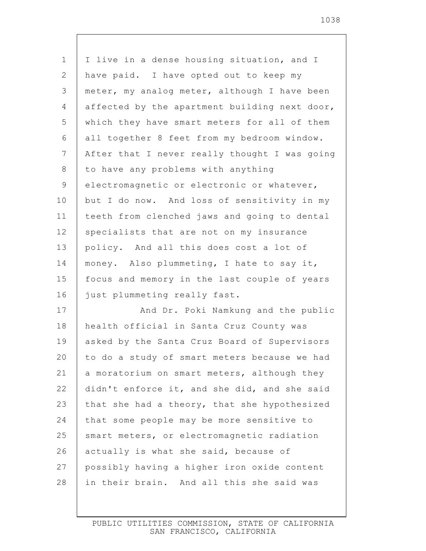| $\mathbf 1$    | I live in a dense housing situation, and I    |
|----------------|-----------------------------------------------|
| $\mathbf{2}$   | have paid. I have opted out to keep my        |
| $\mathfrak{Z}$ | meter, my analog meter, although I have been  |
| 4              | affected by the apartment building next door, |
| 5              | which they have smart meters for all of them  |
| 6              | all together 8 feet from my bedroom window.   |
| $\overline{7}$ | After that I never really thought I was going |
| $8\,$          | to have any problems with anything            |
| $\mathsf 9$    | electromagnetic or electronic or whatever,    |
| 10             | but I do now. And loss of sensitivity in my   |
| 11             | teeth from clenched jaws and going to dental  |
| 12             | specialists that are not on my insurance      |
| 13             | policy. And all this does cost a lot of       |
| 14             | money. Also plummeting, I hate to say it,     |
| 15             | focus and memory in the last couple of years  |
| 16             | just plummeting really fast.                  |
| 17             | And Dr. Poki Namkung and the public           |
| 18             | health official in Santa Cruz County was      |
| 19             | asked by the Santa Cruz Board of Supervisors  |
| 20             | to do a study of smart meters because we had  |
| 21             | a moratorium on smart meters, although they   |
| 22             | didn't enforce it, and she did, and she said  |
| 23             | that she had a theory, that she hypothesized  |
| 24             | that some people may be more sensitive to     |
| 25             | smart meters, or electromagnetic radiation    |
| 26             | actually is what she said, because of         |
| 27             | possibly having a higher iron oxide content   |
| 28             | in their brain. And all this she said was     |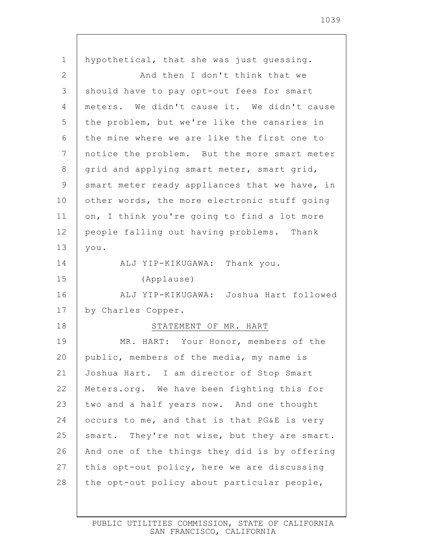| 1              | hypothetical, that she was just guessing.     |
|----------------|-----------------------------------------------|
| $\mathbf{2}$   | And then I don't think that we                |
| 3              | should have to pay opt-out fees for smart     |
| $\overline{4}$ | meters. We didn't cause it. We didn't cause   |
| 5              | the problem, but we're like the canaries in   |
| 6              | the mine where we are like the first one to   |
| 7              | notice the problem. But the more smart meter  |
| 8              | grid and applying smart meter, smart grid,    |
| $\mathcal{G}$  | smart meter ready appliances that we have, in |
| 10             | other words, the more electronic stuff going  |
| 11             | on, I think you're going to find a lot more   |
| 12             | people falling out having problems. Thank     |
| 13             | you.                                          |
| 14             | ALJ YIP-KIKUGAWA: Thank you.                  |
| 15             | (Applause)                                    |
| 16             | ALJ YIP-KIKUGAWA: Joshua Hart followed        |
| 17             | by Charles Copper.                            |
| 18             | STATEMENT OF MR. HART                         |
| 19             | MR. HART: Your Honor, members of the          |
| 20             | public, members of the media, my name is      |
| 21             | Joshua Hart. I am director of Stop Smart      |
| 22             | Meters.org. We have been fighting this for    |
| 23             | two and a half years now. And one thought     |
| 24             | occurs to me, and that is that PG&E is very   |
| 25             | smart. They're not wise, but they are smart.  |
| 26             | And one of the things they did is by offering |
| 27             |                                               |
|                | this opt-out policy, here we are discussing   |
| 28             | the opt-out policy about particular people,   |

 $\mathsf{I}$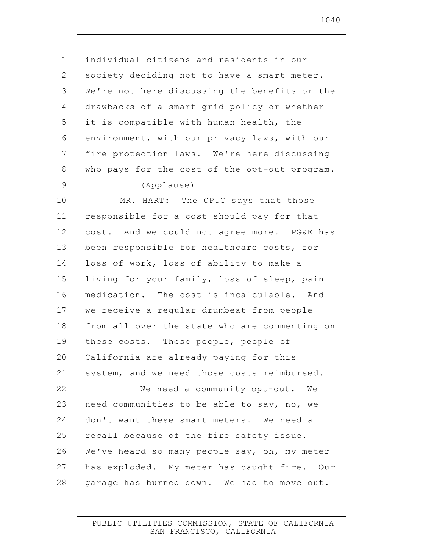individual citizens and residents in our society deciding not to have a smart meter. We're not here discussing the benefits or the drawbacks of a smart grid policy or whether it is compatible with human health, the environment, with our privacy laws, with our fire protection laws. We're here discussing who pays for the cost of the opt-out program. (Applause) MR. HART: The CPUC says that those responsible for a cost should pay for that cost. And we could not agree more. PG&E has been responsible for healthcare costs, for loss of work, loss of ability to make a living for your family, loss of sleep, pain medication. The cost is incalculable. And we receive a regular drumbeat from people from all over the state who are commenting on these costs. These people, people of California are already paying for this system, and we need those costs reimbursed. We need a community opt-out. We need communities to be able to say, no, we don't want these smart meters. We need a

1

2

3

4

5

6

7

8

9

10

11

12

13

14

15

16

17

18

19

20

21

22

23

24

25

26 27 28 We've heard so many people say, oh, my meter has exploded. My meter has caught fire. Our garage has burned down. We had to move out.

recall because of the fire safety issue.

PUBLIC UTILITIES COMMISSION, STATE OF CALIFORNIA SAN FRANCISCO, CALIFORNIA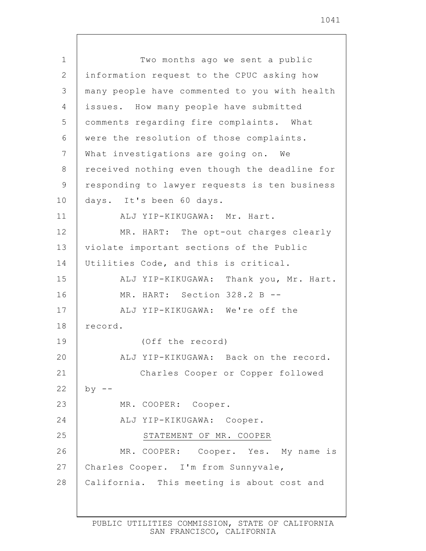1 2 3 4 5 6 7 8 9 10 11 12 13 14 15 16 17 18 19 20 21 22 23 24 25 26 27 28 Two months ago we sent a public information request to the CPUC asking how many people have commented to you with health issues. How many people have submitted comments regarding fire complaints. What were the resolution of those complaints. What investigations are going on. We received nothing even though the deadline for responding to lawyer requests is ten business days. It's been 60 days. ALJ YIP-KIKUGAWA: Mr. Hart. MR. HART: The opt-out charges clearly violate important sections of the Public Utilities Code, and this is critical. ALJ YIP-KIKUGAWA: Thank you, Mr. Hart. MR. HART: Section 328.2 B --ALJ YIP-KIKUGAWA: We're off the record. (Off the record) ALJ YIP-KIKUGAWA: Back on the record. Charles Cooper or Copper followed  $by$  --MR. COOPER: Cooper. ALJ YIP-KIKUGAWA: Cooper. STATEMENT OF MR. COOPER MR. COOPER: Cooper. Yes. My name is Charles Cooper. I'm from Sunnyvale, California. This meeting is about cost and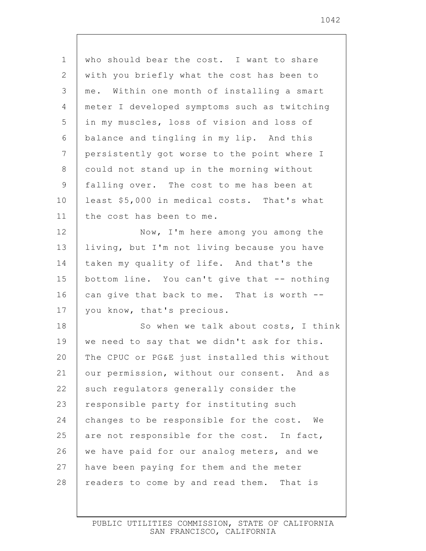1 2 3 4 5 6 7 8 9 10 11 12 13 14 15 16 17 18 19 20 21 22 23 24 25 26 27 28 who should bear the cost. I want to share with you briefly what the cost has been to me. Within one month of installing a smart meter I developed symptoms such as twitching in my muscles, loss of vision and loss of balance and tingling in my lip. And this persistently got worse to the point where I could not stand up in the morning without falling over. The cost to me has been at least \$5,000 in medical costs. That's what the cost has been to me. Now, I'm here among you among the living, but I'm not living because you have taken my quality of life. And that's the bottom line. You can't give that -- nothing can give that back to me. That is worth - you know, that's precious. So when we talk about costs, I think we need to say that we didn't ask for this. The CPUC or PG&E just installed this without our permission, without our consent. And as such regulators generally consider the responsible party for instituting such changes to be responsible for the cost. We are not responsible for the cost. In fact, we have paid for our analog meters, and we have been paying for them and the meter readers to come by and read them. That is

> PUBLIC UTILITIES COMMISSION, STATE OF CALIFORNIA SAN FRANCISCO, CALIFORNIA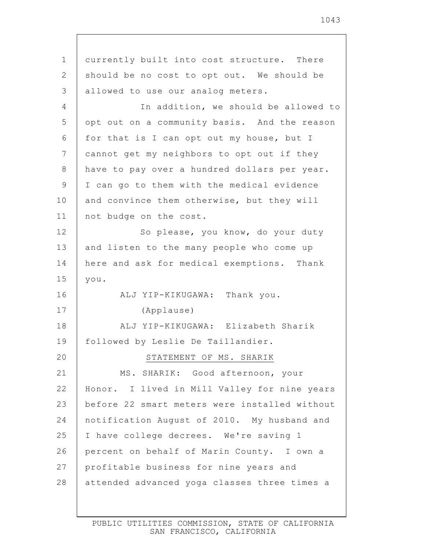| $\mathbf 1$     | currently built into cost structure. There    |
|-----------------|-----------------------------------------------|
| 2               | should be no cost to opt out. We should be    |
| 3               | allowed to use our analog meters.             |
| 4               | In addition, we should be allowed to          |
| 5               | opt out on a community basis. And the reason  |
| 6               | for that is I can opt out my house, but I     |
| $7\phantom{.0}$ | cannot get my neighbors to opt out if they    |
| 8               | have to pay over a hundred dollars per year.  |
| 9               | I can go to them with the medical evidence    |
| 10              | and convince them otherwise, but they will    |
| 11              | not budge on the cost.                        |
| 12              | So please, you know, do your duty             |
| 13              | and listen to the many people who come up     |
| 14              | here and ask for medical exemptions. Thank    |
| 15              | you.                                          |
| 16              | ALJ YIP-KIKUGAWA: Thank you.                  |
| 17              | (Applause)                                    |
| 18              | ALJ YIP-KIKUGAWA: Elizabeth Sharik            |
| 19              | followed by Leslie De Taillandier.            |
| 20              | STATEMENT OF MS. SHARIK                       |
| 21              | MS. SHARIK: Good afternoon, your              |
| 22              | Honor. I lived in Mill Valley for nine years  |
| 23              | before 22 smart meters were installed without |
| 24              | notification August of 2010. My husband and   |
| 25              | I have college decrees. We're saving 1        |
| 26              | percent on behalf of Marin County. I own a    |
| 27              | profitable business for nine years and        |
| 28              | attended advanced yoga classes three times a  |
|                 |                                               |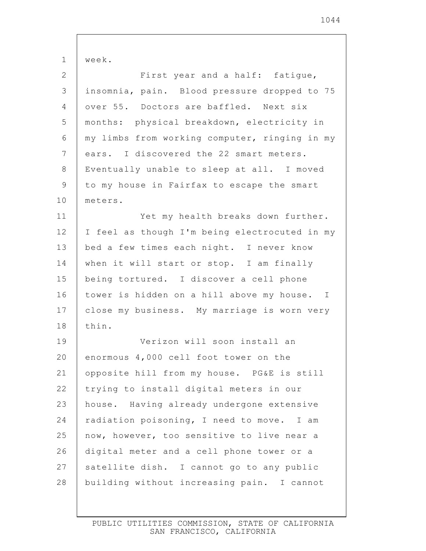| 1              | week.                                         |
|----------------|-----------------------------------------------|
| $\mathbf{2}$   | First year and a half: fatique,               |
| 3              | insomnia, pain. Blood pressure dropped to 75  |
| 4              | over 55. Doctors are baffled. Next six        |
| 5              | months: physical breakdown, electricity in    |
| 6              | my limbs from working computer, ringing in my |
| $\overline{7}$ | ears. I discovered the 22 smart meters.       |
| $8\,$          | Eventually unable to sleep at all. I moved    |
| 9              | to my house in Fairfax to escape the smart    |
| 10             | meters.                                       |
| 11             | Yet my health breaks down further.            |
| 12             | I feel as though I'm being electrocuted in my |
| 13             | bed a few times each night. I never know      |
| 14             | when it will start or stop. I am finally      |
| 15             | being tortured. I discover a cell phone       |
| 16             | tower is hidden on a hill above my house. I   |
| 17             | close my business. My marriage is worn very   |
| 18             | thin.                                         |
| 19             | Verizon will soon install an                  |
| 20             | enormous 4,000 cell foot tower on the         |
| 21             | opposite hill from my house. PG&E is still    |
| 22             | trying to install digital meters in our       |
| 23             | house. Having already undergone extensive     |
| 24             | radiation poisoning, I need to move. I am     |
| 25             | now, however, too sensitive to live near a    |
| 26             | digital meter and a cell phone tower or a     |
| 27             | satellite dish. I cannot go to any public     |
| 28             | building without increasing pain. I cannot    |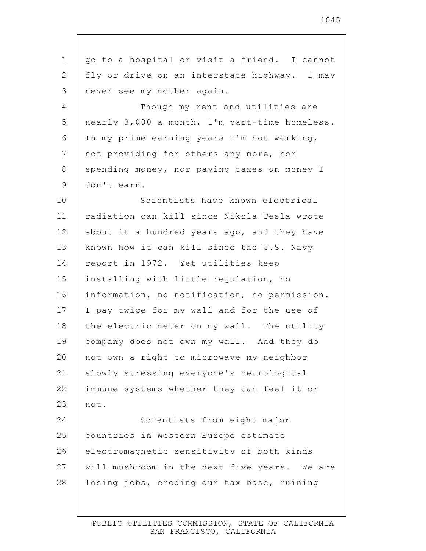| $\mathbf 1$     | go to a hospital or visit a friend. I cannot  |
|-----------------|-----------------------------------------------|
| 2               | fly or drive on an interstate highway. I may  |
| 3               | never see my mother again.                    |
| 4               | Though my rent and utilities are              |
| 5               | nearly 3,000 a month, I'm part-time homeless. |
| 6               | In my prime earning years I'm not working,    |
| $7\phantom{.0}$ | not providing for others any more, nor        |
| 8               | spending money, nor paying taxes on money I   |
| 9               | don't earn.                                   |
| 10              | Scientists have known electrical              |
| 11              | radiation can kill since Nikola Tesla wrote   |
| 12              | about it a hundred years ago, and they have   |
| 13              | known how it can kill since the U.S. Navy     |
| 14              | report in 1972. Yet utilities keep            |
| 15              | installing with little regulation, no         |
| 16              | information, no notification, no permission.  |
| 17              | I pay twice for my wall and for the use of    |
| 18              | the electric meter on my wall. The utility    |
| 19              | company does not own my wall. And they do     |
| 20              | not own a right to microwave my neighbor      |
| 21              | slowly stressing everyone's neurological      |
| 22              | immune systems whether they can feel it or    |
| 23              | not.                                          |
| 24              | Scientists from eight major                   |
| 25              | countries in Western Europe estimate          |
| 26              | electromagnetic sensitivity of both kinds     |
| 27              | will mushroom in the next five years. We are  |
| 28              | losing jobs, eroding our tax base, ruining    |
|                 |                                               |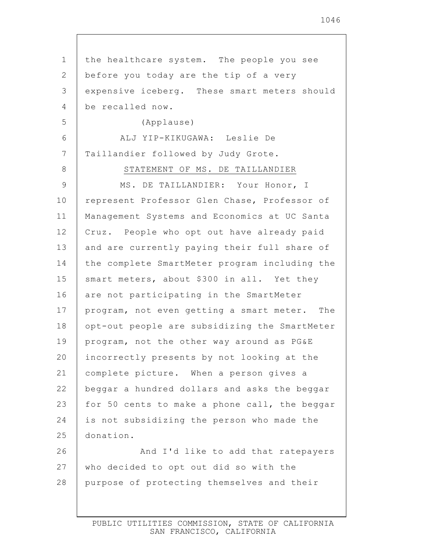1 2 3 4 5 6 7 8 9 10 11 12 13 14 15 16 17 18 19 20 21 22 23 24 25 26 27 28 the healthcare system. The people you see before you today are the tip of a very expensive iceberg. These smart meters should be recalled now. (Applause) ALJ YIP-KIKUGAWA: Leslie De Taillandier followed by Judy Grote. STATEMENT OF MS. DE TAILLANDIER MS. DE TAILLANDIER: Your Honor, I represent Professor Glen Chase, Professor of Management Systems and Economics at UC Santa Cruz. People who opt out have already paid and are currently paying their full share of the complete SmartMeter program including the smart meters, about \$300 in all. Yet they are not participating in the SmartMeter program, not even getting a smart meter. The opt-out people are subsidizing the SmartMeter program, not the other way around as PG&E incorrectly presents by not looking at the complete picture. When a person gives a beggar a hundred dollars and asks the beggar for 50 cents to make a phone call, the beggar is not subsidizing the person who made the donation. And I'd like to add that ratepayers who decided to opt out did so with the purpose of protecting themselves and their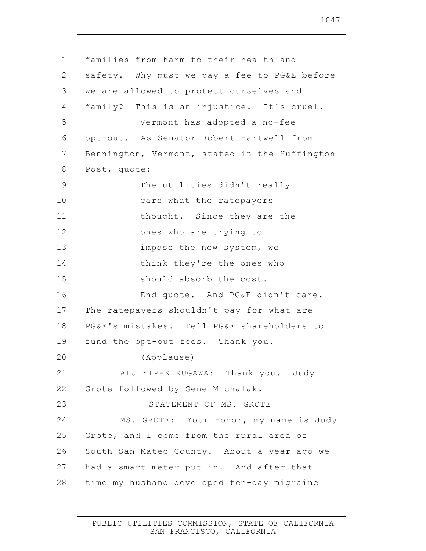| $\mathbf 1$ | families from harm to their health and        |
|-------------|-----------------------------------------------|
| 2           | safety. Why must we pay a fee to PG&E before  |
| 3           | we are allowed to protect ourselves and       |
| 4           | family? This is an injustice. It's cruel.     |
| 5           | Vermont has adopted a no-fee                  |
| 6           | opt-out. As Senator Robert Hartwell from      |
| 7           | Bennington, Vermont, stated in the Huffington |
| 8           | Post, quote:                                  |
| $\mathsf 9$ | The utilities didn't really                   |
| 10          | care what the ratepayers                      |
| 11          | thought. Since they are the                   |
| 12          | ones who are trying to                        |
| 13          | impose the new system, we                     |
| 14          | think they're the ones who                    |
| 15          | should absorb the cost.                       |
| 16          | End quote. And PG&E didn't care.              |
| 17          | The ratepayers shouldn't pay for what are     |
| 18          | PG&E's mistakes. Tell PG&E shareholders to    |
| 19          | fund the opt-out fees. Thank you.             |
| 20          | (Applause)                                    |
| 21          | ALJ YIP-KIKUGAWA: Thank you. Judy             |
| 22          | Grote followed by Gene Michalak.              |
| 23          | STATEMENT OF MS. GROTE                        |
| 24          | MS. GROTE: Your Honor, my name is Judy        |
| 25          | Grote, and I come from the rural area of      |
| 26          | South San Mateo County. About a year ago we   |
| 27          | had a smart meter put in. And after that      |
| 28          | time my husband developed ten-day migraine    |
|             |                                               |

 $\mathbf{I}$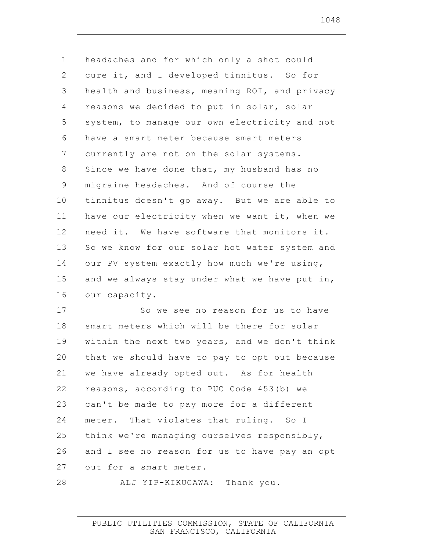| $\mathbf 1$     | headaches and for which only a shot could     |
|-----------------|-----------------------------------------------|
| 2               | cure it, and I developed tinnitus. So for     |
| 3               | health and business, meaning ROI, and privacy |
| 4               | reasons we decided to put in solar, solar     |
| 5               | system, to manage our own electricity and not |
| 6               | have a smart meter because smart meters       |
| $7\phantom{.0}$ | currently are not on the solar systems.       |
| 8               | Since we have done that, my husband has no    |
| $\mathsf 9$     | migraine headaches. And of course the         |
| 10              | tinnitus doesn't go away. But we are able to  |
| 11              | have our electricity when we want it, when we |
| 12              | need it. We have software that monitors it.   |
| 13              | So we know for our solar hot water system and |
| 14              | our PV system exactly how much we're using,   |
| 15              | and we always stay under what we have put in, |
| 16              | our capacity.                                 |
| 17              | So we see no reason for us to have            |
| 18              | smart meters which will be there for solar    |
| 19              | within the next two years, and we don't think |
| 20              | that we should have to pay to opt out because |
| 21              | we have already opted out. As for health      |
| 22              | reasons, according to PUC Code 453(b) we      |
| 23              | can't be made to pay more for a different     |
| 24              | meter. That violates that ruling. So I        |
| 25              | think we're managing ourselves responsibly,   |
| 26              | and I see no reason for us to have pay an opt |
| 27              | out for a smart meter.                        |
| 28              | ALJ YIP-KIKUGAWA: Thank you.                  |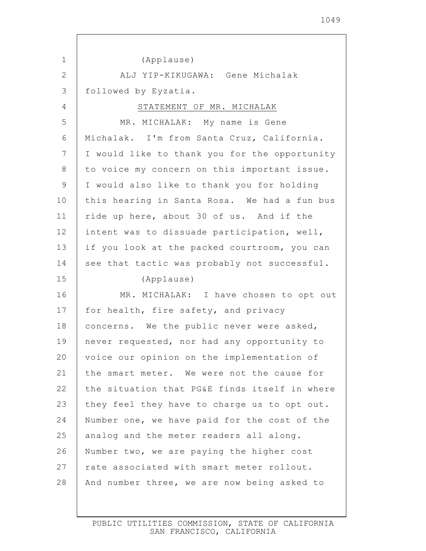| 1  | (Applause)                                    |
|----|-----------------------------------------------|
| 2  | ALJ YIP-KIKUGAWA: Gene Michalak               |
| 3  | followed by Eyzatia.                          |
| 4  | STATEMENT OF MR. MICHALAK                     |
| 5  | MR. MICHALAK: My name is Gene                 |
| 6  | Michalak. I'm from Santa Cruz, California.    |
| 7  | I would like to thank you for the opportunity |
| 8  | to voice my concern on this important issue.  |
| 9  | I would also like to thank you for holding    |
| 10 | this hearing in Santa Rosa. We had a fun bus  |
| 11 | ride up here, about 30 of us. And if the      |
| 12 | intent was to dissuade participation, well,   |
| 13 | if you look at the packed courtroom, you can  |
| 14 | see that tactic was probably not successful.  |
| 15 | (Applause)                                    |
| 16 | MR. MICHALAK: I have chosen to opt out        |
| 17 | for health, fire safety, and privacy          |
| 18 | concerns. We the public never were asked,     |
| 19 | never requested, nor had any opportunity to   |
| 20 | voice our opinion on the implementation of    |
| 21 | the smart meter. We were not the cause for    |
| 22 | the situation that PG&E finds itself in where |
| 23 | they feel they have to charge us to opt out.  |
| 24 | Number one, we have paid for the cost of the  |
| 25 | analog and the meter readers all along.       |
| 26 | Number two, we are paying the higher cost     |
| 27 | rate associated with smart meter rollout.     |
| 28 | And number three, we are now being asked to   |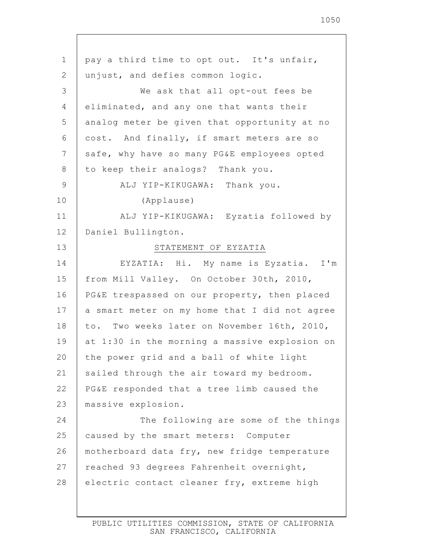1 2 3 4 5 6 7 8 9 10 11 12 13 14 15 16 17 18 19 20 21 22 23 24 25 26 27 28 pay a third time to opt out. It's unfair, unjust, and defies common logic. We ask that all opt-out fees be eliminated, and any one that wants their analog meter be given that opportunity at no cost. And finally, if smart meters are so safe, why have so many PG&E employees opted to keep their analogs? Thank you. ALJ YIP-KIKUGAWA: Thank you. (Applause) ALJ YIP-KIKUGAWA: Eyzatia followed by Daniel Bullington. STATEMENT OF EYZATIA EYZATIA: Hi. My name is Eyzatia. I'm from Mill Valley. On October 30th, 2010, PG&E trespassed on our property, then placed a smart meter on my home that I did not agree to. Two weeks later on November 16th, 2010, at 1:30 in the morning a massive explosion on the power grid and a ball of white light sailed through the air toward my bedroom. PG&E responded that a tree limb caused the massive explosion. The following are some of the things caused by the smart meters: Computer motherboard data fry, new fridge temperature reached 93 degrees Fahrenheit overnight, electric contact cleaner fry, extreme high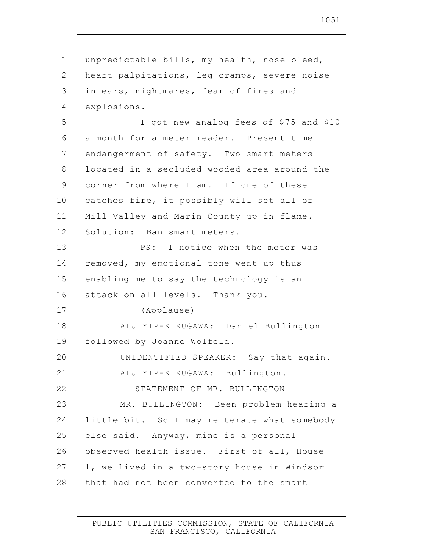1 2 3 4 5 6 7 8 9 10 11 12 13 14 15 16 17 18 19 20 21 22 23 24 25 26 27 28 unpredictable bills, my health, nose bleed, heart palpitations, leg cramps, severe noise in ears, nightmares, fear of fires and explosions. I got new analog fees of \$75 and \$10 a month for a meter reader. Present time endangerment of safety. Two smart meters located in a secluded wooded area around the corner from where I am. If one of these catches fire, it possibly will set all of Mill Valley and Marin County up in flame. Solution: Ban smart meters. PS: I notice when the meter was removed, my emotional tone went up thus enabling me to say the technology is an attack on all levels. Thank you. (Applause) ALJ YIP-KIKUGAWA: Daniel Bullington followed by Joanne Wolfeld. UNIDENTIFIED SPEAKER: Say that again. ALJ YIP-KIKUGAWA: Bullington. STATEMENT OF MR. BULLINGTON MR. BULLINGTON: Been problem hearing a little bit. So I may reiterate what somebody else said. Anyway, mine is a personal observed health issue. First of all, House 1, we lived in a two-story house in Windsor that had not been converted to the smart

> PUBLIC UTILITIES COMMISSION, STATE OF CALIFORNIA SAN FRANCISCO, CALIFORNIA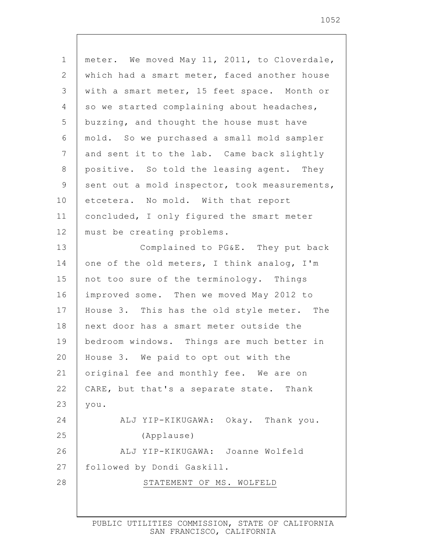| $\mathbf 1$  | meter. We moved May 11, 2011, to Cloverdale,  |
|--------------|-----------------------------------------------|
| $\mathbf{2}$ | which had a smart meter, faced another house  |
| 3            | with a smart meter, 15 feet space. Month or   |
| 4            | so we started complaining about headaches,    |
| 5            | buzzing, and thought the house must have      |
| 6            | mold. So we purchased a small mold sampler    |
| 7            | and sent it to the lab. Came back slightly    |
| 8            | positive. So told the leasing agent. They     |
| $\mathsf 9$  | sent out a mold inspector, took measurements, |
| 10           | etcetera. No mold. With that report           |
| 11           | concluded, I only figured the smart meter     |
| 12           | must be creating problems.                    |
| 13           | Complained to PG&E. They put back             |
| 14           | one of the old meters, I think analog, I'm    |
| 15           | not too sure of the terminology. Things       |
| 16           | improved some. Then we moved May 2012 to      |
| 17           | House 3. This has the old style meter. The    |
| 18           | next door has a smart meter outside the       |
| 19           | bedroom windows. Things are much better in    |
| 20           | House 3. We paid to opt out with the          |
| 21           | original fee and monthly fee. We are on       |
| 22           | CARE, but that's a separate state. Thank      |
| 23           | you.                                          |
| 24           | ALJ YIP-KIKUGAWA: Okay. Thank you.            |
| 25           | (Applause)                                    |
| 26           | ALJ YIP-KIKUGAWA: Joanne Wolfeld              |
| 27           | followed by Dondi Gaskill.                    |
| 28           | STATEMENT OF MS. WOLFELD                      |
|              |                                               |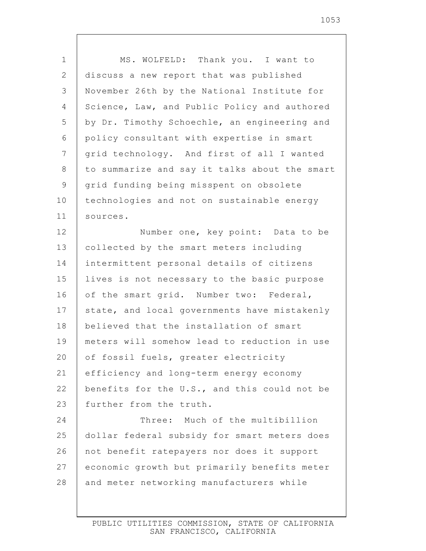| $\mathbf 1$    | MS. WOLFELD: Thank you. I want to             |
|----------------|-----------------------------------------------|
| $\mathbf{2}$   | discuss a new report that was published       |
| 3              | November 26th by the National Institute for   |
| $\overline{4}$ | Science, Law, and Public Policy and authored  |
| 5              | by Dr. Timothy Schoechle, an engineering and  |
| 6              | policy consultant with expertise in smart     |
| 7              | grid technology. And first of all I wanted    |
| 8              | to summarize and say it talks about the smart |
| $\mathsf 9$    | grid funding being misspent on obsolete       |
| 10             | technologies and not on sustainable energy    |
| 11             | sources.                                      |
| 12             | Number one, key point: Data to be             |
| 13             | collected by the smart meters including       |
| 14             | intermittent personal details of citizens     |
| 15             | lives is not necessary to the basic purpose   |
| 16             | of the smart grid. Number two: Federal,       |
| 17             | state, and local governments have mistakenly  |
| 18             | believed that the installation of smart       |
| 19             | meters will somehow lead to reduction in use  |
| 20             | of fossil fuels, greater electricity          |
| 21             | efficiency and long-term energy economy       |
| 22             | benefits for the U.S., and this could not be  |
| 23             | further from the truth.                       |
| 24             | Three: Much of the multibillion               |
| 25             | dollar federal subsidy for smart meters does  |
| 26             | not benefit ratepayers nor does it support    |
| 27             | economic growth but primarily benefits meter  |
| 28             | and meter networking manufacturers while      |
|                |                                               |

 $\mathsf{l}$ 

1053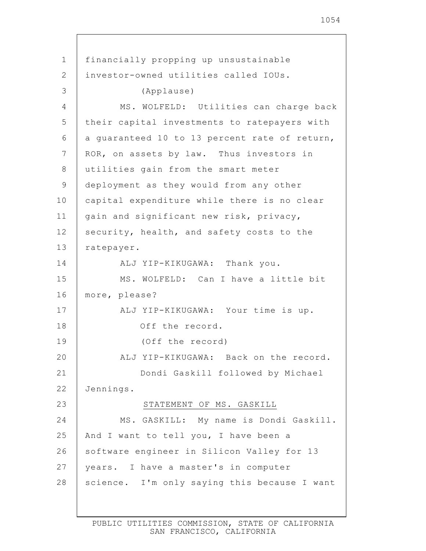1 2 3 4 5 6 7 8 9 10 11 12 13 14 15 16 17 18 19 20 21 22 23 24 25 26 27 28 financially propping up unsustainable investor-owned utilities called IOUs. (Applause) MS. WOLFELD: Utilities can charge back their capital investments to ratepayers with a guaranteed 10 to 13 percent rate of return, ROR, on assets by law. Thus investors in utilities gain from the smart meter deployment as they would from any other capital expenditure while there is no clear gain and significant new risk, privacy, security, health, and safety costs to the ratepayer. ALJ YIP-KIKUGAWA: Thank you. MS. WOLFELD: Can I have a little bit more, please? ALJ YIP-KIKUGAWA: Your time is up. Off the record. (Off the record) ALJ YIP-KIKUGAWA: Back on the record. Dondi Gaskill followed by Michael Jennings. STATEMENT OF MS. GASKILL MS. GASKILL: My name is Dondi Gaskill. And I want to tell you, I have been a software engineer in Silicon Valley for 13 years. I have a master's in computer science. I'm only saying this because I want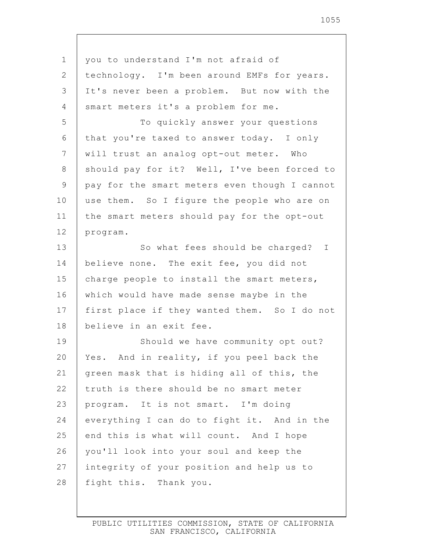| you to understand I'm not afraid of           |
|-----------------------------------------------|
| technology. I'm been around EMFs for years.   |
| It's never been a problem. But now with the   |
| smart meters it's a problem for me.           |
| To quickly answer your questions              |
| that you're taxed to answer today. I only     |
| will trust an analog opt-out meter. Who       |
| should pay for it? Well, I've been forced to  |
| pay for the smart meters even though I cannot |
| use them. So I figure the people who are on   |
| the smart meters should pay for the opt-out   |
| program.                                      |
| So what fees should be charged? I             |
| believe none. The exit fee, you did not       |
| charge people to install the smart meters,    |
| which would have made sense maybe in the      |
| first place if they wanted them. So I do not  |
| believe in an exit fee.                       |
| Should we have community opt out?             |
| Yes. And in reality, if you peel back the     |
| green mask that is hiding all of this, the    |
| truth is there should be no smart meter       |
| program. It is not smart. I'm doing           |
| everything I can do to fight it. And in the   |
| end this is what will count. And I hope       |
| you'll look into your soul and keep the       |
| integrity of your position and help us to     |
| fight this. Thank you.                        |
|                                               |

 $\mathbf{I}$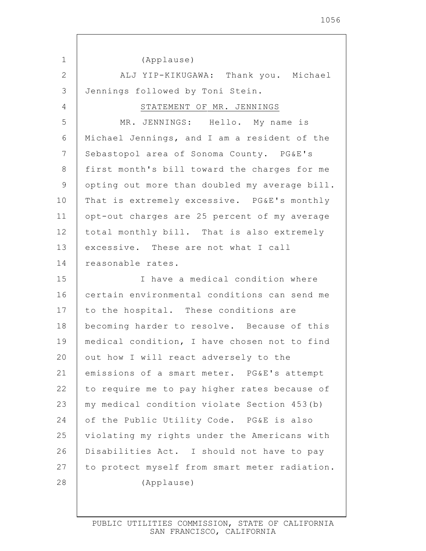13 20 26 27 (Applause) ALJ YIP-KIKUGAWA: Thank you. Michael Jennings followed by Toni Stein. STATEMENT OF MR. JENNINGS MR. JENNINGS: Hello. My name is Michael Jennings, and I am a resident of the Sebastopol area of Sonoma County. PG&E's first month's bill toward the charges for me opting out more than doubled my average bill. That is extremely excessive. PG&E's monthly opt-out charges are 25 percent of my average total monthly bill. That is also extremely excessive. These are not what I call reasonable rates. I have a medical condition where certain environmental conditions can send me to the hospital. These conditions are becoming harder to resolve. Because of this medical condition, I have chosen not to find out how I will react adversely to the emissions of a smart meter. PG&E's attempt to require me to pay higher rates because of my medical condition violate Section 453(b) of the Public Utility Code. PG&E is also violating my rights under the Americans with Disabilities Act. I should not have to pay to protect myself from smart meter radiation.

1

2

3

4

5

6

7

8

9

10

11

12

14

15

16

17

18

19

21

22

23

24

25

28

(Applause)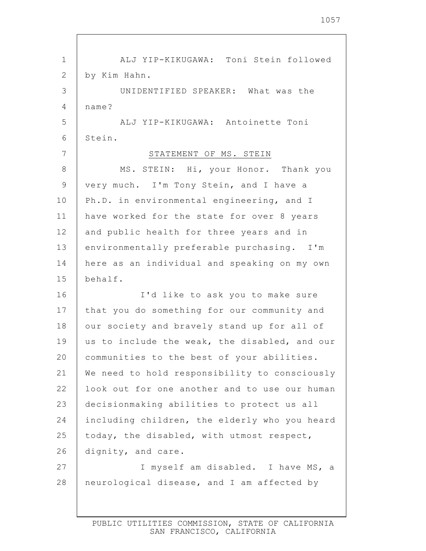| 1  | ALJ YIP-KIKUGAWA: Toni Stein followed         |
|----|-----------------------------------------------|
| 2  | by Kim Hahn.                                  |
| 3  | UNIDENTIFIED SPEAKER: What was the            |
| 4  | name?                                         |
| 5  | ALJ YIP-KIKUGAWA: Antoinette Toni             |
| 6  | Stein.                                        |
| 7  | STATEMENT OF MS. STEIN                        |
| 8  | MS. STEIN: Hi, your Honor. Thank you          |
| 9  | very much. I'm Tony Stein, and I have a       |
| 10 | Ph.D. in environmental engineering, and I     |
| 11 | have worked for the state for over 8 years    |
| 12 | and public health for three years and in      |
| 13 | environmentally preferable purchasing. I'm    |
| 14 | here as an individual and speaking on my own  |
| 15 | behalf.                                       |
| 16 | I'd like to ask you to make sure              |
| 17 | that you do something for our community and   |
| 18 | our society and bravely stand up for all of   |
| 19 | us to include the weak, the disabled, and our |
| 20 | communities to the best of your abilities.    |
| 21 | We need to hold responsibility to consciously |
| 22 | look out for one another and to use our human |
| 23 | decisionmaking abilities to protect us all    |
| 24 | including children, the elderly who you heard |
| 25 | today, the disabled, with utmost respect,     |
| 26 | dignity, and care.                            |
| 27 | I myself am disabled. I have MS, a            |
| 28 | neurological disease, and I am affected by    |
|    |                                               |

 $\lceil$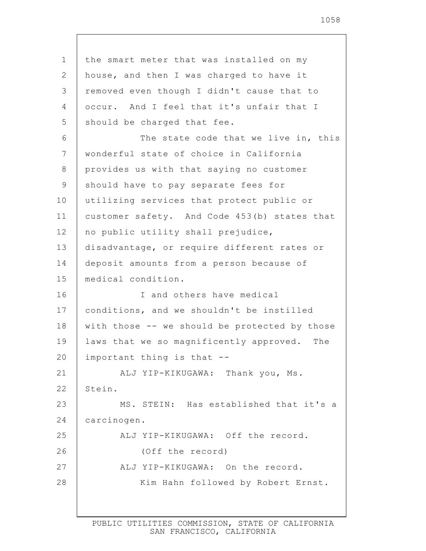1 2 3 4 5 6 7 8 9 10 11 12 13 14 15 16 17 18 19 20 21 22 23 24 25 26 27 28 the smart meter that was installed on my house, and then I was charged to have it removed even though I didn't cause that to occur. And I feel that it's unfair that I should be charged that fee. The state code that we live in, this wonderful state of choice in California provides us with that saying no customer should have to pay separate fees for utilizing services that protect public or customer safety. And Code 453(b) states that no public utility shall prejudice, disadvantage, or require different rates or deposit amounts from a person because of medical condition. I and others have medical conditions, and we shouldn't be instilled with those -- we should be protected by those laws that we so magnificently approved. The important thing is that -- ALJ YIP-KIKUGAWA: Thank you, Ms. Stein. MS. STEIN: Has established that it's a carcinogen. ALJ YIP-KIKUGAWA: Off the record. (Off the record) ALJ YIP-KIKUGAWA: On the record. Kim Hahn followed by Robert Ernst.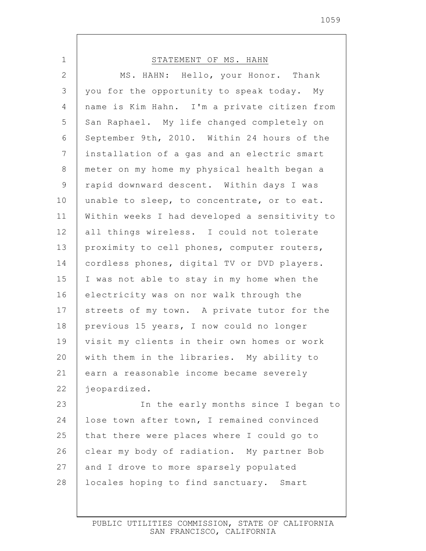| $\mathbf 1$    | STATEMENT OF MS. HAHN                         |
|----------------|-----------------------------------------------|
| $\mathbf{2}$   | MS. HAHN: Hello, your Honor. Thank            |
| $\mathfrak{Z}$ | you for the opportunity to speak today. My    |
| 4              | name is Kim Hahn. I'm a private citizen from  |
| 5              | San Raphael. My life changed completely on    |
| $6\,$          | September 9th, 2010. Within 24 hours of the   |
| $\overline{7}$ | installation of a gas and an electric smart   |
| $\,8\,$        | meter on my home my physical health began a   |
| $\mathcal{G}$  | rapid downward descent. Within days I was     |
| 10             | unable to sleep, to concentrate, or to eat.   |
| 11             | Within weeks I had developed a sensitivity to |
| 12             | all things wireless. I could not tolerate     |
| 13             | proximity to cell phones, computer routers,   |
| 14             | cordless phones, digital TV or DVD players.   |
| 15             | I was not able to stay in my home when the    |
| 16             | electricity was on nor walk through the       |
| 17             | streets of my town. A private tutor for the   |
| 18             | previous 15 years, I now could no longer      |
| 19             | visit my clients in their own homes or work   |
| 20             | with them in the libraries. My ability to     |
| 21             | earn a reasonable income became severely      |
| 22             | jeopardized.                                  |
| 23             | In the early months since I began to          |
| 24             | lose town after town, I remained convinced    |
| 25             | that there were places where I could go to    |
| 26             | clear my body of radiation. My partner Bob    |
| 27             | and I drove to more sparsely populated        |
| 28             | locales hoping to find sanctuary. Smart       |
|                |                                               |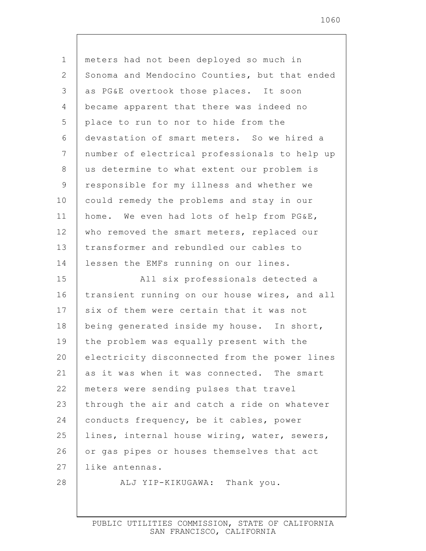1 2 3 4 5 6 7 8 9 10 11 12 13 14 15 16 17 18 19 20 21 22 23 24 25 26 27 28 meters had not been deployed so much in Sonoma and Mendocino Counties, but that ended as PG&E overtook those places. It soon became apparent that there was indeed no place to run to nor to hide from the devastation of smart meters. So we hired a number of electrical professionals to help up us determine to what extent our problem is responsible for my illness and whether we could remedy the problems and stay in our home. We even had lots of help from PG&E, who removed the smart meters, replaced our transformer and rebundled our cables to lessen the EMFs running on our lines. All six professionals detected a transient running on our house wires, and all six of them were certain that it was not being generated inside my house. In short, the problem was equally present with the electricity disconnected from the power lines as it was when it was connected. The smart meters were sending pulses that travel through the air and catch a ride on whatever conducts frequency, be it cables, power lines, internal house wiring, water, sewers, or gas pipes or houses themselves that act like antennas. ALJ YIP-KIKUGAWA: Thank you.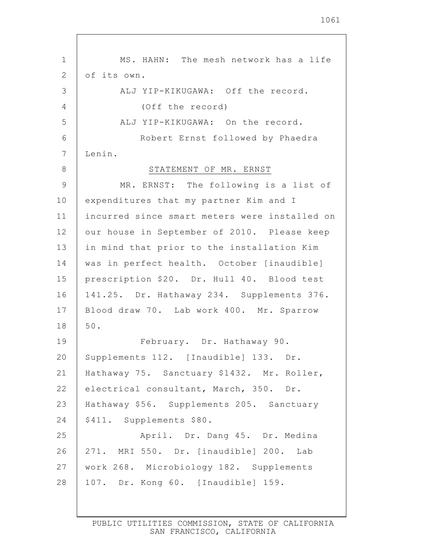1 2 3 4 5 6 7 8 9 10 11 12 13 14 15 16 17 18 19 20 21 22 23 24 25 26 27 28 MS. HAHN: The mesh network has a life of its own. ALJ YIP-KIKUGAWA: Off the record. (Off the record) ALJ YIP-KIKUGAWA: On the record. Robert Ernst followed by Phaedra Lenin. STATEMENT OF MR. ERNST MR. ERNST: The following is a list of expenditures that my partner Kim and I incurred since smart meters were installed on our house in September of 2010. Please keep in mind that prior to the installation Kim was in perfect health. October [inaudible] prescription \$20. Dr. Hull 40. Blood test 141.25. Dr. Hathaway 234. Supplements 376. Blood draw 70. Lab work 400. Mr. Sparrow 50. February. Dr. Hathaway 90. Supplements 112. [Inaudible] 133. Dr. Hathaway 75. Sanctuary \$1432. Mr. Roller, electrical consultant, March, 350. Dr. Hathaway \$56. Supplements 205. Sanctuary \$411. Supplements \$80. April. Dr. Dang 45. Dr. Medina 271. MRI 550. Dr. [inaudible] 200. Lab work 268. Microbiology 182. Supplements 107. Dr. Kong 60. [Inaudible] 159.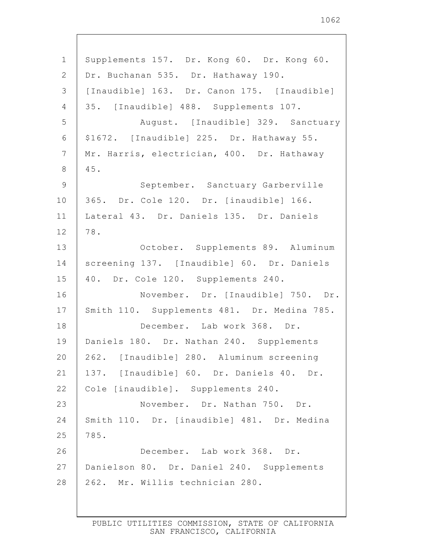1 2 3 4 5 6 7 8 9 10 11 12 13 14 15 16 17 18 19 20 21 22 23 24 25 26 27 28 Supplements 157. Dr. Kong 60. Dr. Kong 60. Dr. Buchanan 535. Dr. Hathaway 190. [Inaudible] 163. Dr. Canon 175. [Inaudible] 35. [Inaudible] 488. Supplements 107. August. [Inaudible] 329. Sanctuary \$1672. [Inaudible] 225. Dr. Hathaway 55. Mr. Harris, electrician, 400. Dr. Hathaway 45. September. Sanctuary Garberville 365. Dr. Cole 120. Dr. [inaudible] 166. Lateral 43. Dr. Daniels 135. Dr. Daniels 78. October. Supplements 89. Aluminum screening 137. [Inaudible] 60. Dr. Daniels 40. Dr. Cole 120. Supplements 240. November. Dr. [Inaudible] 750. Dr. Smith 110. Supplements 481. Dr. Medina 785. December. Lab work 368. Dr. Daniels 180. Dr. Nathan 240. Supplements 262. [Inaudible] 280. Aluminum screening 137. [Inaudible] 60. Dr. Daniels 40. Dr. Cole [inaudible]. Supplements 240. November. Dr. Nathan 750. Dr. Smith 110. Dr. [inaudible] 481. Dr. Medina 785. December. Lab work 368. Dr. Danielson 80. Dr. Daniel 240. Supplements 262. Mr. Willis technician 280.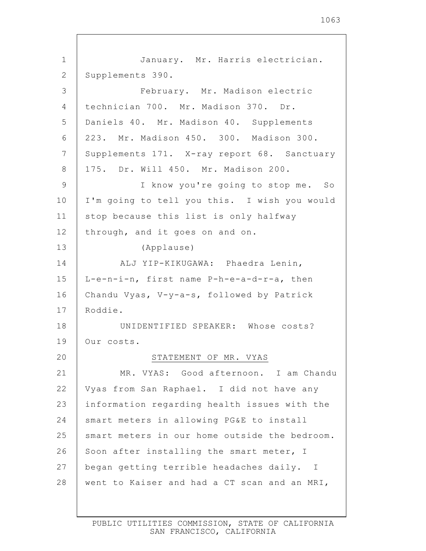1063

| $\mathbf 1$ | January. Mr. Harris electrician.              |
|-------------|-----------------------------------------------|
| 2           | Supplements 390.                              |
| 3           | February. Mr. Madison electric                |
| 4           | technician 700. Mr. Madison 370. Dr.          |
| 5           | Daniels 40. Mr. Madison 40. Supplements       |
| 6           | 223. Mr. Madison 450. 300. Madison 300.       |
| 7           | Supplements 171. X-ray report 68. Sanctuary   |
| 8           | 175. Dr. Will 450. Mr. Madison 200.           |
| $\mathsf 9$ | I know you're going to stop me. So            |
| 10          | I'm going to tell you this. I wish you would  |
| 11          | stop because this list is only halfway        |
| 12          | through, and it goes on and on.               |
| 13          | (Applause)                                    |
| 14          | ALJ YIP-KIKUGAWA: Phaedra Lenin,              |
| 15          | L-e-n-i-n, first name P-h-e-a-d-r-a, then     |
| 16          | Chandu Vyas, V-y-a-s, followed by Patrick     |
| 17          | Roddie.                                       |
| 18          | UNIDENTIFIED SPEAKER: Whose costs?            |
| 19          | Our costs.                                    |
| 20          | STATEMENT OF MR. VYAS                         |
| 21          | MR. VYAS: Good afternoon. I am Chandu         |
| 22          | Vyas from San Raphael. I did not have any     |
| 23          | information regarding health issues with the  |
| 24          | smart meters in allowing PG&E to install      |
| 25          | smart meters in our home outside the bedroom. |
| 26          | Soon after installing the smart meter, I      |
| 27          | began getting terrible headaches daily. I     |
| 28          | went to Kaiser and had a CT scan and an MRI,  |
|             |                                               |

 $\overline{\phantom{a}}$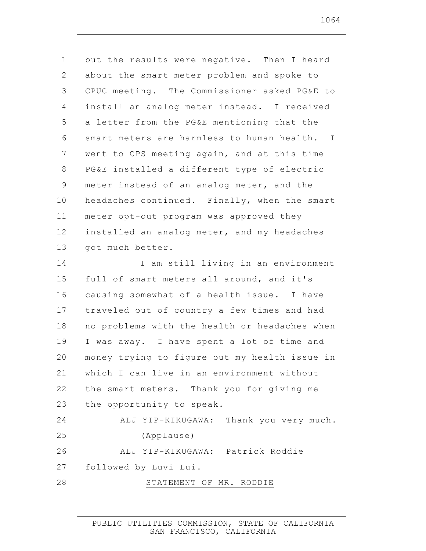1 2 3 4 5 6 7 8 9 10 11 12 13 14 15 16 17 18 19 20 21 22 23 24 25 26 27 28 but the results were negative. Then I heard about the smart meter problem and spoke to CPUC meeting. The Commissioner asked PG&E to install an analog meter instead. I received a letter from the PG&E mentioning that the smart meters are harmless to human health. I went to CPS meeting again, and at this time PG&E installed a different type of electric meter instead of an analog meter, and the headaches continued. Finally, when the smart meter opt-out program was approved they installed an analog meter, and my headaches got much better. I am still living in an environment full of smart meters all around, and it's causing somewhat of a health issue. I have traveled out of country a few times and had no problems with the health or headaches when I was away. I have spent a lot of time and money trying to figure out my health issue in which I can live in an environment without the smart meters. Thank you for giving me the opportunity to speak. ALJ YIP-KIKUGAWA: Thank you very much. (Applause) ALJ YIP-KIKUGAWA: Patrick Roddie followed by Luvi Lui. STATEMENT OF MR. RODDIE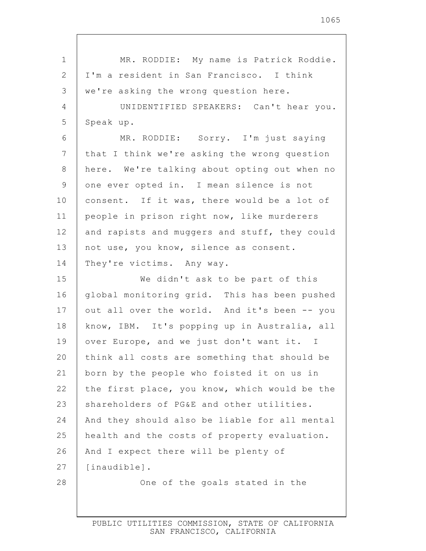| $\mathbf 1$     | MR. RODDIE: My name is Patrick Roddie.        |
|-----------------|-----------------------------------------------|
| 2               | I'm a resident in San Francisco. I think      |
| 3               | we're asking the wrong question here.         |
| 4               | UNIDENTIFIED SPEAKERS: Can't hear you.        |
| 5               | Speak up.                                     |
| 6               | MR. RODDIE: Sorry. I'm just saying            |
| $7\phantom{.0}$ | that I think we're asking the wrong question  |
| 8               | here. We're talking about opting out when no  |
| 9               | one ever opted in. I mean silence is not      |
| 10              | consent. If it was, there would be a lot of   |
| 11              | people in prison right now, like murderers    |
| 12              | and rapists and muggers and stuff, they could |
| 13              | not use, you know, silence as consent.        |
| 14              | They're victims. Any way.                     |
| 15              | We didn't ask to be part of this              |
|                 |                                               |
| 16              | global monitoring grid. This has been pushed  |
| 17              | out all over the world. And it's been -- you  |
| 18              | know, IBM. It's popping up in Australia, all  |
| 19              | over Europe, and we just don't want it. I     |
| 20              | think all costs are something that should be  |
| 21              | born by the people who foisted it on us in    |
| 22              | the first place, you know, which would be the |
| 23              | shareholders of PG&E and other utilities.     |
| 24              | And they should also be liable for all mental |
| 25              | health and the costs of property evaluation.  |
| 26              | And I expect there will be plenty of          |
| 27              | [inaudible].                                  |
| 28              | One of the goals stated in the                |

 $\Gamma$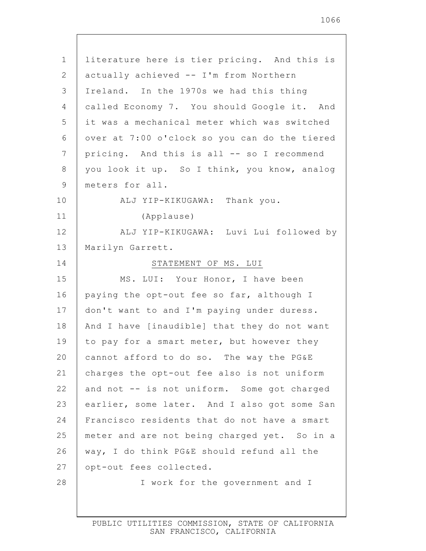| $\mathbf 1$     | literature here is tier pricing. And this is  |
|-----------------|-----------------------------------------------|
| 2               | actually achieved -- I'm from Northern        |
| 3               | Ireland. In the 1970s we had this thing       |
| $\overline{4}$  | called Economy 7. You should Google it. And   |
| 5               | it was a mechanical meter which was switched  |
| 6               | over at 7:00 o'clock so you can do the tiered |
| $7\phantom{.0}$ | pricing. And this is all -- so I recommend    |
| 8               | you look it up. So I think, you know, analog  |
| 9               | meters for all.                               |
| 10              | ALJ YIP-KIKUGAWA: Thank you.                  |
| 11              | (Applause)                                    |
| 12              | ALJ YIP-KIKUGAWA: Luvi Lui followed by        |
| 13              | Marilyn Garrett.                              |
| 14              | STATEMENT OF MS. LUI                          |
| 15              | MS. LUI: Your Honor, I have been              |
| 16              | paying the opt-out fee so far, although I     |
| 17              | don't want to and I'm paying under duress.    |
| 18              | And I have [inaudible] that they do not want  |
| 19              | to pay for a smart meter, but however they    |
| 20              | cannot afford to do so. The way the PG&E      |
| 21              | charges the opt-out fee also is not uniform   |
| 22              | and not -- is not uniform. Some got charged   |
| 23              | earlier, some later. And I also got some San  |
| 24              | Francisco residents that do not have a smart  |
| 25              | meter and are not being charged yet. So in a  |
| 26              | way, I do think PG&E should refund all the    |
| 27              | opt-out fees collected.                       |
| 28              | I work for the government and I               |
|                 |                                               |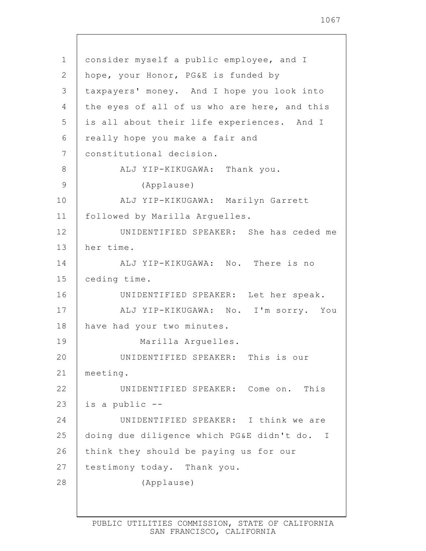| $\mathbf 1$ | consider myself a public employee, and I     |
|-------------|----------------------------------------------|
| 2           | hope, your Honor, PG&E is funded by          |
| 3           | taxpayers' money. And I hope you look into   |
| 4           | the eyes of all of us who are here, and this |
| 5           | is all about their life experiences. And I   |
| 6           | really hope you make a fair and              |
| 7           | constitutional decision.                     |
| 8           | ALJ YIP-KIKUGAWA: Thank you.                 |
| 9           | (Applause)                                   |
| 10          | ALJ YIP-KIKUGAWA: Marilyn Garrett            |
| 11          | followed by Marilla Arguelles.               |
| 12          | UNIDENTIFIED SPEAKER: She has ceded me       |
| 13          | her time.                                    |
| 14          | ALJ YIP-KIKUGAWA: No. There is no            |
| 15          | ceding time.                                 |
| 16          | UNIDENTIFIED SPEAKER: Let her speak.         |
| 17          | ALJ YIP-KIKUGAWA: No. I'm sorry. You         |
| 18          | have had your two minutes.                   |
| 19          | Marilla Arguelles.                           |
| 20          | UNIDENTIFIED SPEAKER: This is our            |
| 21          | meeting.                                     |
| 22          | UNIDENTIFIED SPEAKER: Come on. This          |
| 23          | is a public --                               |
| 24          | UNIDENTIFIED SPEAKER: I think we are         |
| 25          | doing due diligence which PG&E didn't do. I  |
| 26          | think they should be paying us for our       |
| 27          | testimony today. Thank you.                  |
| 28          | (Applause)                                   |
|             |                                              |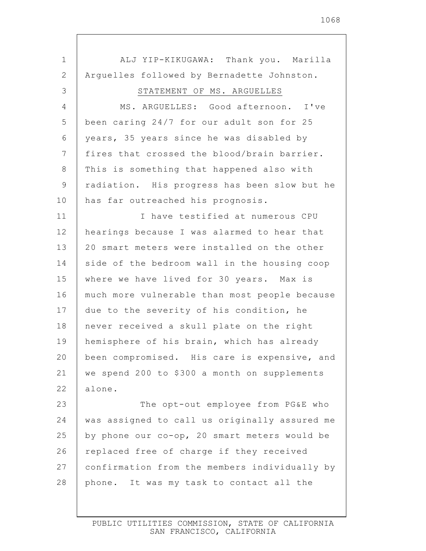| 1              | ALJ YIP-KIKUGAWA: Thank you. Marilla          |
|----------------|-----------------------------------------------|
| $\overline{2}$ | Arguelles followed by Bernadette Johnston.    |
| 3              | STATEMENT OF MS. ARGUELLES                    |
| 4              | MS. ARGUELLES: Good afternoon. I've           |
| 5              | been caring 24/7 for our adult son for 25     |
| 6              | years, 35 years since he was disabled by      |
| 7              | fires that crossed the blood/brain barrier.   |
| 8              | This is something that happened also with     |
| 9              | radiation. His progress has been slow but he  |
| 10             | has far outreached his prognosis.             |
| 11             | I have testified at numerous CPU              |
| 12             | hearings because I was alarmed to hear that   |
| 13             | 20 smart meters were installed on the other   |
| 14             | side of the bedroom wall in the housing coop  |
| 15             | where we have lived for 30 years. Max is      |
| 16             | much more vulnerable than most people because |
| 17             | due to the severity of his condition, he      |
| 18             | never received a skull plate on the right     |
| 19             | hemisphere of his brain, which has already    |
| 20             | been compromised. His care is expensive, and  |
| 21             | we spend 200 to \$300 a month on supplements  |
| 22             | alone.                                        |
| 23             | The opt-out employee from PG&E who            |
| 24             | was assigned to call us originally assured me |
| 25             | by phone our co-op, 20 smart meters would be  |
| 26             | replaced free of charge if they received      |
| 27             | confirmation from the members individually by |
| 28             | phone. It was my task to contact all the      |
|                |                                               |

 $\Gamma$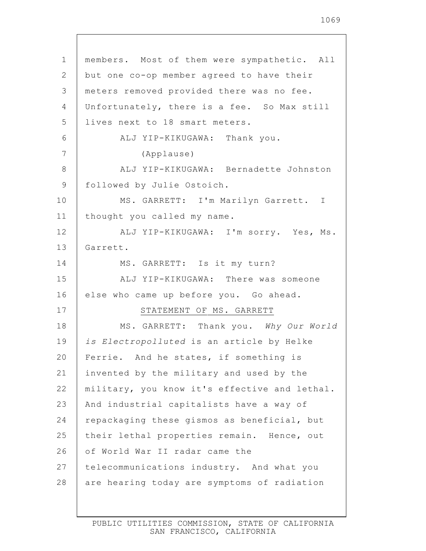1 2 3 4 5 6 7 8 9 10 11 12 13 14 15 16 17 18 19 20 21 22 23 24 25 26 27 28 members. Most of them were sympathetic. All but one co-op member agreed to have their meters removed provided there was no fee. Unfortunately, there is a fee. So Max still lives next to 18 smart meters. ALJ YIP-KIKUGAWA: Thank you. (Applause) ALJ YIP-KIKUGAWA: Bernadette Johnston followed by Julie Ostoich. MS. GARRETT: I'm Marilyn Garrett. I thought you called my name. ALJ YIP-KIKUGAWA: I'm sorry. Yes, Ms. Garrett. MS. GARRETT: Is it my turn? ALJ YIP-KIKUGAWA: There was someone else who came up before you. Go ahead. STATEMENT OF MS. GARRETT MS. GARRETT: Thank you. *Why Our World is Electropolluted* is an article by Helke Ferrie. And he states, if something is invented by the military and used by the military, you know it's effective and lethal. And industrial capitalists have a way of repackaging these gismos as beneficial, but their lethal properties remain. Hence, out of World War II radar came the telecommunications industry. And what you are hearing today are symptoms of radiation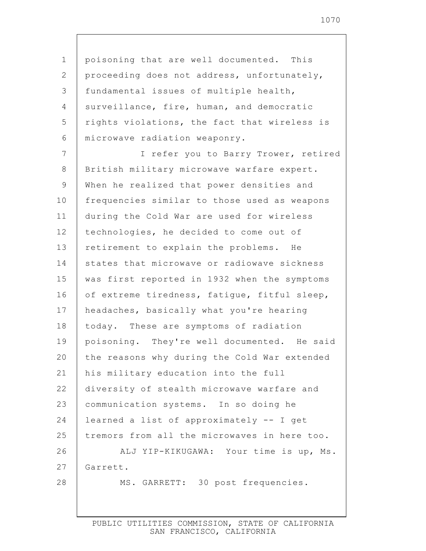1 2 3 4 5 6 7 8 9 10 11 12 13 14 15 16 17 18 19 20 21 22 23 24 25 26 27 28 poisoning that are well documented. This proceeding does not address, unfortunately, fundamental issues of multiple health, surveillance, fire, human, and democratic rights violations, the fact that wireless is microwave radiation weaponry. I refer you to Barry Trower, retired British military microwave warfare expert. When he realized that power densities and frequencies similar to those used as weapons during the Cold War are used for wireless technologies, he decided to come out of retirement to explain the problems. He states that microwave or radiowave sickness was first reported in 1932 when the symptoms of extreme tiredness, fatigue, fitful sleep, headaches, basically what you're hearing today. These are symptoms of radiation poisoning. They're well documented. He said the reasons why during the Cold War extended his military education into the full diversity of stealth microwave warfare and communication systems. In so doing he learned a list of approximately -- I get tremors from all the microwaves in here too. ALJ YIP-KIKUGAWA: Your time is up, Ms. Garrett. MS. GARRETT: 30 post frequencies.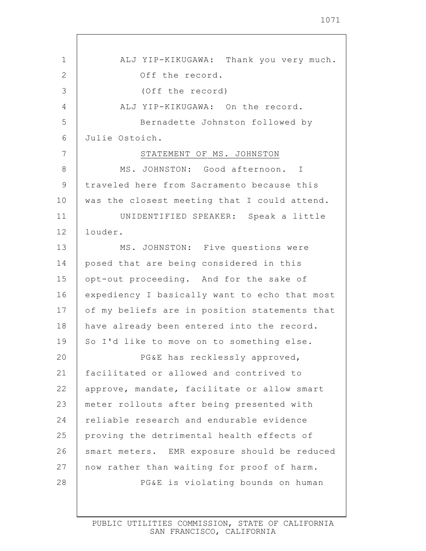| 1            | ALJ YIP-KIKUGAWA: Thank you very much.        |
|--------------|-----------------------------------------------|
| $\mathbf{2}$ | Off the record.                               |
| 3            | (Off the record)                              |
| 4            | ALJ YIP-KIKUGAWA: On the record.              |
| 5            | Bernadette Johnston followed by               |
| 6            | Julie Ostoich.                                |
| 7            | STATEMENT OF MS. JOHNSTON                     |
| 8            | MS. JOHNSTON: Good afternoon. I               |
| 9            | traveled here from Sacramento because this    |
| 10           | was the closest meeting that I could attend.  |
| 11           | UNIDENTIFIED SPEAKER: Speak a little          |
| 12           | louder.                                       |
| 13           | MS. JOHNSTON: Five questions were             |
| 14           | posed that are being considered in this       |
| 15           | opt-out proceeding. And for the sake of       |
| 16           | expediency I basically want to echo that most |
| 17           | of my beliefs are in position statements that |
| 18           | have already been entered into the record.    |
| 19           | So I'd like to move on to something else.     |
| 20           | PG&E has recklessly approved,                 |
| 21           | facilitated or allowed and contrived to       |
| 22           | approve, mandate, facilitate or allow smart   |
| 23           | meter rollouts after being presented with     |
| 24           | reliable research and endurable evidence      |
| 25           | proving the detrimental health effects of     |
| 26           | smart meters. EMR exposure should be reduced  |
| 27           | now rather than waiting for proof of harm.    |
| 28           | PG&E is violating bounds on human             |
|              |                                               |

Г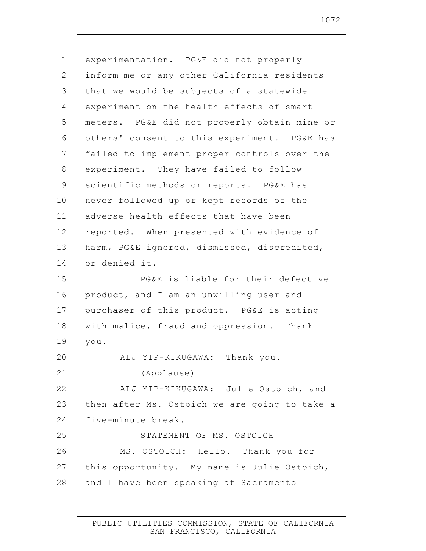1 2 3 4 5 6 7 8 9 10 11 12 13 14 15 16 17 18 19 20 21 22 23 24 25 26 27 28 experimentation. PG&E did not properly inform me or any other California residents that we would be subjects of a statewide experiment on the health effects of smart meters. PG&E did not properly obtain mine or others' consent to this experiment. PG&E has failed to implement proper controls over the experiment. They have failed to follow scientific methods or reports. PG&E has never followed up or kept records of the adverse health effects that have been reported. When presented with evidence of harm, PG&E ignored, dismissed, discredited, or denied it. PG&E is liable for their defective product, and I am an unwilling user and purchaser of this product. PG&E is acting with malice, fraud and oppression. Thank you. ALJ YIP-KIKUGAWA: Thank you. (Applause) ALJ YIP-KIKUGAWA: Julie Ostoich, and then after Ms. Ostoich we are going to take a five-minute break. STATEMENT OF MS. OSTOICH MS. OSTOICH: Hello. Thank you for this opportunity. My name is Julie Ostoich, and I have been speaking at Sacramento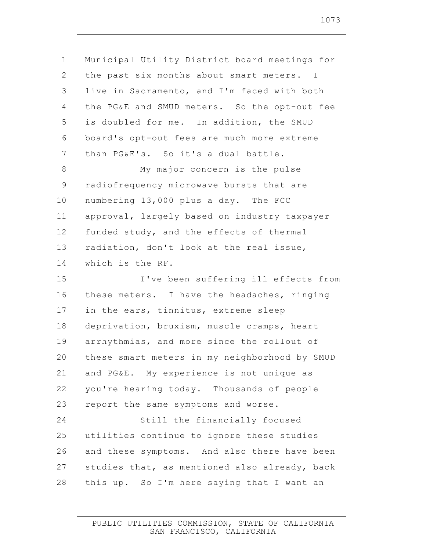| $\mathbf 1$    | Municipal Utility District board meetings for |
|----------------|-----------------------------------------------|
| 2              | the past six months about smart meters. I     |
| 3              | live in Sacramento, and I'm faced with both   |
| 4              | the PG&E and SMUD meters. So the opt-out fee  |
| 5              | is doubled for me. In addition, the SMUD      |
| 6              | board's opt-out fees are much more extreme    |
| $7\phantom{.}$ | than PG&E's. So it's a dual battle.           |
| 8              | My major concern is the pulse                 |
| 9              | radiofrequency microwave bursts that are      |
| 10             | numbering 13,000 plus a day. The FCC          |
| 11             | approval, largely based on industry taxpayer  |
| 12             | funded study, and the effects of thermal      |
| 13             | radiation, don't look at the real issue,      |
| 14             | which is the RF.                              |
| 15             | I've been suffering ill effects from          |
| 16             | these meters. I have the headaches, ringing   |
| 17             | in the ears, tinnitus, extreme sleep          |
| 18             | deprivation, bruxism, muscle cramps, heart    |
| 19             | arrhythmias, and more since the rollout of    |
| 20             | these smart meters in my neighborhood by SMUD |
| 21             | and PG&E. My experience is not unique as      |
| 22             | you're hearing today. Thousands of people     |
| 23             | report the same symptoms and worse.           |
| 24             | Still the financially focused                 |
| 25             | utilities continue to ignore these studies    |
| 26             | and these symptoms. And also there have been  |
| 27             | studies that, as mentioned also already, back |
| 28             | this up. So I'm here saying that I want an    |
|                |                                               |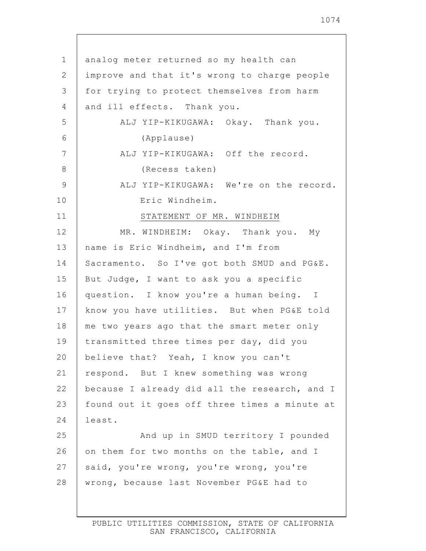| $\mathbf 1$ | analog meter returned so my health can        |
|-------------|-----------------------------------------------|
| 2           | improve and that it's wrong to charge people  |
| 3           | for trying to protect themselves from harm    |
| 4           | and ill effects. Thank you.                   |
| 5           | ALJ YIP-KIKUGAWA: Okay. Thank you.            |
| 6           | (Applause)                                    |
| 7           | ALJ YIP-KIKUGAWA: Off the record.             |
| 8           | (Recess taken)                                |
| 9           | ALJ YIP-KIKUGAWA: We're on the record.        |
| 10          | Eric Windheim.                                |
| 11          | STATEMENT OF MR. WINDHEIM                     |
| 12          | MR. WINDHEIM: Okay. Thank you. My             |
| 13          | name is Eric Windheim, and I'm from           |
| 14          | Sacramento. So I've got both SMUD and PG&E.   |
| 15          | But Judge, I want to ask you a specific       |
| 16          | question. I know you're a human being. I      |
| 17          | know you have utilities. But when PG&E told   |
| 18          | me two years ago that the smart meter only    |
| 19          | transmitted three times per day, did you      |
| 20          | believe that? Yeah, I know you can't          |
| 21          | respond. But I knew something was wrong       |
| 22          | because I already did all the research, and I |
| 23          | found out it goes off three times a minute at |
| 24          | least.                                        |
| 25          | And up in SMUD territory I pounded            |
| 26          | on them for two months on the table, and I    |
| 27          | said, you're wrong, you're wrong, you're      |
| 28          | wrong, because last November PG&E had to      |
|             |                                               |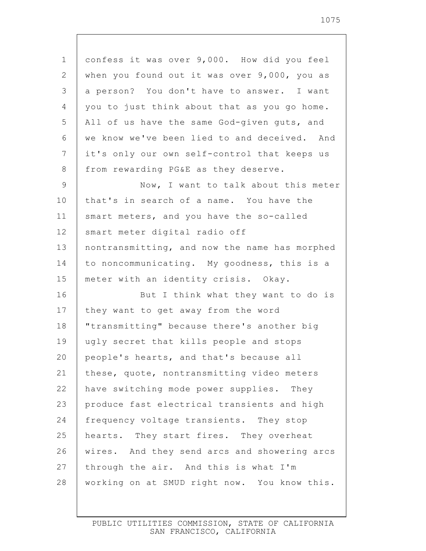| $\mathbf 1$    | confess it was over 9,000. How did you feel   |
|----------------|-----------------------------------------------|
| 2              | when you found out it was over 9,000, you as  |
| 3              | a person? You don't have to answer. I want    |
| $\overline{4}$ | you to just think about that as you go home.  |
| 5              | All of us have the same God-given guts, and   |
| 6              | we know we've been lied to and deceived. And  |
| 7              | it's only our own self-control that keeps us  |
| 8              | from rewarding PG&E as they deserve.          |
| 9              | Now, I want to talk about this meter          |
| 10             | that's in search of a name. You have the      |
| 11             | smart meters, and you have the so-called      |
| 12             | smart meter digital radio off                 |
| 13             | nontransmitting, and now the name has morphed |
| 14             | to noncommunicating. My goodness, this is a   |
| 15             | meter with an identity crisis. Okay.          |
| 16             | But I think what they want to do is           |
| 17             | they want to get away from the word           |
| 18             | "transmitting" because there's another big    |
| 19             | ugly secret that kills people and stops       |
| 20             | people's hearts, and that's because all       |
| 21             | these, quote, nontransmitting video meters    |
| 22             | have switching mode power supplies. They      |
| 23             | produce fast electrical transients and high   |
| 24             | frequency voltage transients. They stop       |
| 25             | hearts. They start fires. They overheat       |
| 26             | wires. And they send arcs and showering arcs  |
| 27             | through the air. And this is what I'm         |
| 28             | working on at SMUD right now. You know this.  |
|                |                                               |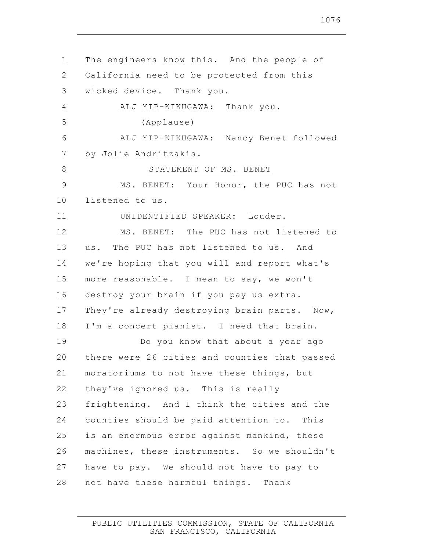1 2 3 4 5 6 7 8 9 10 11 12 13 14 15 16 17 18 19 20 21 22 23 24 25 26 27 28 The engineers know this. And the people of California need to be protected from this wicked device. Thank you. ALJ YIP-KIKUGAWA: Thank you. (Applause) ALJ YIP-KIKUGAWA: Nancy Benet followed by Jolie Andritzakis. STATEMENT OF MS. BENET MS. BENET: Your Honor, the PUC has not listened to us. UNIDENTIFIED SPEAKER: Louder. MS. BENET: The PUC has not listened to us. The PUC has not listened to us. And we're hoping that you will and report what's more reasonable. I mean to say, we won't destroy your brain if you pay us extra. They're already destroying brain parts. Now, I'm a concert pianist. I need that brain. Do you know that about a year ago there were 26 cities and counties that passed moratoriums to not have these things, but they've ignored us. This is really frightening. And I think the cities and the counties should be paid attention to. This is an enormous error against mankind, these machines, these instruments. So we shouldn't have to pay. We should not have to pay to not have these harmful things. Thank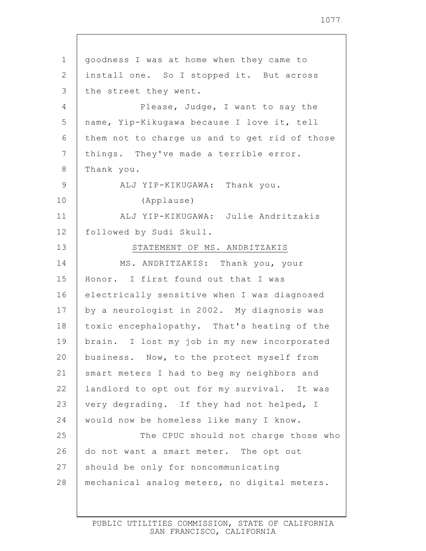1 2 3 4 5 6 7 8 9 10 11 12 13 14 15 16 17 18 19 20 21 22 23 24 25 26 27 28 goodness I was at home when they came to install one. So I stopped it. But across the street they went. Please, Judge, I want to say the name, Yip-Kikugawa because I love it, tell them not to charge us and to get rid of those things. They've made a terrible error. Thank you. ALJ YIP-KIKUGAWA: Thank you. (Applause) ALJ YIP-KIKUGAWA: Julie Andritzakis followed by Sudi Skull. STATEMENT OF MS. ANDRITZAKIS MS. ANDRITZAKIS: Thank you, your Honor. I first found out that I was electrically sensitive when I was diagnosed by a neurologist in 2002. My diagnosis was toxic encephalopathy. That's heating of the brain. I lost my job in my new incorporated business. Now, to the protect myself from smart meters I had to beg my neighbors and landlord to opt out for my survival. It was very degrading. If they had not helped, I would now be homeless like many I know. The CPUC should not charge those who do not want a smart meter. The opt out should be only for noncommunicating mechanical analog meters, no digital meters.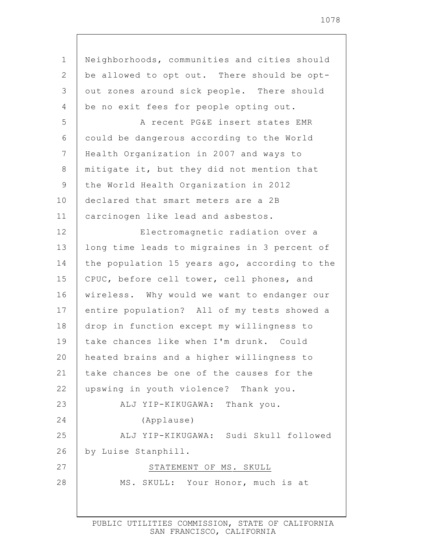1 2 3 4 5 6 7 8 9 10 11 12 13 14 15 16 17 18 19 20 21 22 23 24 25 26 27 28 Neighborhoods, communities and cities should be allowed to opt out. There should be optout zones around sick people. There should be no exit fees for people opting out. A recent PG&E insert states EMR could be dangerous according to the World Health Organization in 2007 and ways to mitigate it, but they did not mention that the World Health Organization in 2012 declared that smart meters are a 2B carcinogen like lead and asbestos. Electromagnetic radiation over a long time leads to migraines in 3 percent of the population 15 years ago, according to the CPUC, before cell tower, cell phones, and wireless. Why would we want to endanger our entire population? All of my tests showed a drop in function except my willingness to take chances like when I'm drunk. Could heated brains and a higher willingness to take chances be one of the causes for the upswing in youth violence? Thank you. ALJ YIP-KIKUGAWA: Thank you. (Applause) ALJ YIP-KIKUGAWA: Sudi Skull followed by Luise Stanphill. STATEMENT OF MS. SKULL MS. SKULL: Your Honor, much is at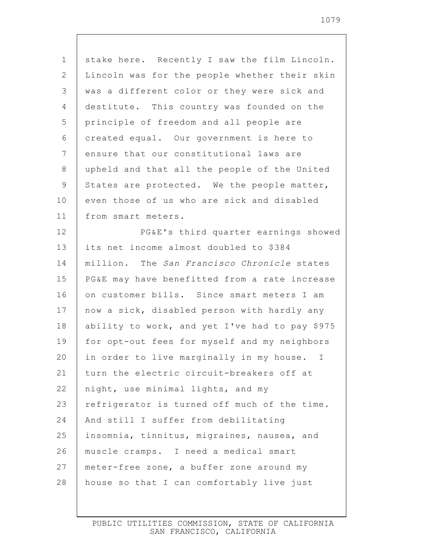| $\mathbf 1$ | stake here. Recently I saw the film Lincoln.   |
|-------------|------------------------------------------------|
| 2           | Lincoln was for the people whether their skin  |
| 3           | was a different color or they were sick and    |
| 4           | destitute. This country was founded on the     |
| 5           | principle of freedom and all people are        |
| 6           | created equal. Our government is here to       |
| 7           | ensure that our constitutional laws are        |
| 8           | upheld and that all the people of the United   |
| 9           | States are protected. We the people matter,    |
| 10          | even those of us who are sick and disabled     |
| 11          | from smart meters.                             |
| 12          | PG&E's third quarter earnings showed           |
| 13          | its net income almost doubled to \$384         |
| 14          | million. The San Francisco Chronicle states    |
| 15          | PG&E may have benefitted from a rate increase  |
| 16          | on customer bills. Since smart meters I am     |
| 17          | now a sick, disabled person with hardly any    |
| 18          | ability to work, and yet I've had to pay \$975 |
| 19          | for opt-out fees for myself and my neighbors   |
| 20          | in order to live marginally in my house. I     |
| 21          | turn the electric circuit-breakers off at      |
| 22          | night, use minimal lights, and my              |
| 23          | refrigerator is turned off much of the time.   |
| 24          | And still I suffer from debilitating           |
| 25          | insomnia, tinnitus, migraines, nausea, and     |
| 26          | muscle cramps. I need a medical smart          |
| 27          | meter-free zone, a buffer zone around my       |
| 28          | house so that I can comfortably live just      |
|             |                                                |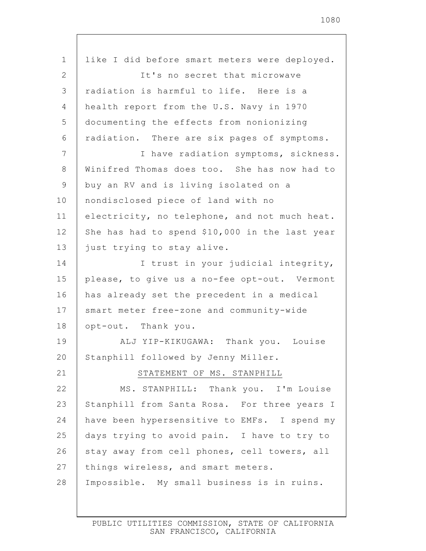| $\mathbf 1$     | like I did before smart meters were deployed.  |
|-----------------|------------------------------------------------|
| $\mathbf{2}$    | It's no secret that microwave                  |
| 3               | radiation is harmful to life. Here is a        |
| $\overline{4}$  | health report from the U.S. Navy in 1970       |
| 5               | documenting the effects from nonionizing       |
| 6               | radiation. There are six pages of symptoms.    |
| $7\phantom{.0}$ | I have radiation symptoms, sickness.           |
| $\,8\,$         | Winifred Thomas does too. She has now had to   |
| $\mathsf 9$     | buy an RV and is living isolated on a          |
| 10              | nondisclosed piece of land with no             |
| 11              | electricity, no telephone, and not much heat.  |
| 12              | She has had to spend \$10,000 in the last year |
| 13              | just trying to stay alive.                     |
| 14              | I trust in your judicial integrity,            |
| 15              | please, to give us a no-fee opt-out. Vermont   |
| 16              | has already set the precedent in a medical     |
| 17              | smart meter free-zone and community-wide       |
| 18              | opt-out. Thank you.                            |
| 19              | ALJ YIP-KIKUGAWA: Thank you. Louise            |
| 20              | Stanphill followed by Jenny Miller.            |
| 21              | STATEMENT OF MS. STANPHILL                     |
| 22              | MS. STANPHILL: Thank you. I'm Louise           |
| 23              | Stanphill from Santa Rosa. For three years I   |
| 24              | have been hypersensitive to EMFs. I spend my   |
| 25              | days trying to avoid pain. I have to try to    |
| 26              | stay away from cell phones, cell towers, all   |
| 27              | things wireless, and smart meters.             |
| 28              | Impossible. My small business is in ruins.     |
|                 |                                                |

 $\mathsf{l}$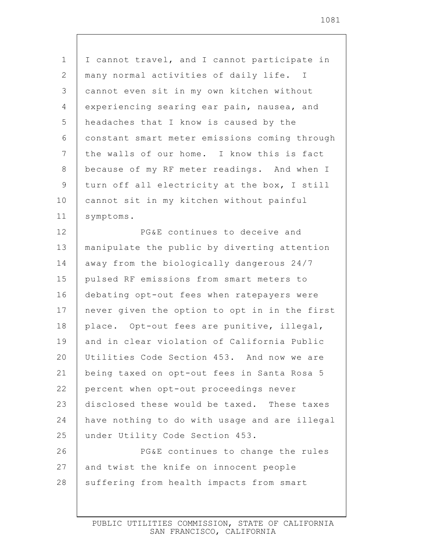1 2 3 4 5 6 7 8 9 10 11 12 13 14 15 16 17 18 19 20 21 22 23 24 25 26 27 28 I cannot travel, and I cannot participate in many normal activities of daily life. I cannot even sit in my own kitchen without experiencing searing ear pain, nausea, and headaches that I know is caused by the constant smart meter emissions coming through the walls of our home. I know this is fact because of my RF meter readings. And when I turn off all electricity at the box, I still cannot sit in my kitchen without painful symptoms. PG&E continues to deceive and manipulate the public by diverting attention away from the biologically dangerous 24/7 pulsed RF emissions from smart meters to debating opt-out fees when ratepayers were never given the option to opt in in the first place. Opt-out fees are punitive, illegal, and in clear violation of California Public Utilities Code Section 453. And now we are being taxed on opt-out fees in Santa Rosa 5 percent when opt-out proceedings never disclosed these would be taxed. These taxes have nothing to do with usage and are illegal under Utility Code Section 453. PG&E continues to change the rules and twist the knife on innocent people suffering from health impacts from smart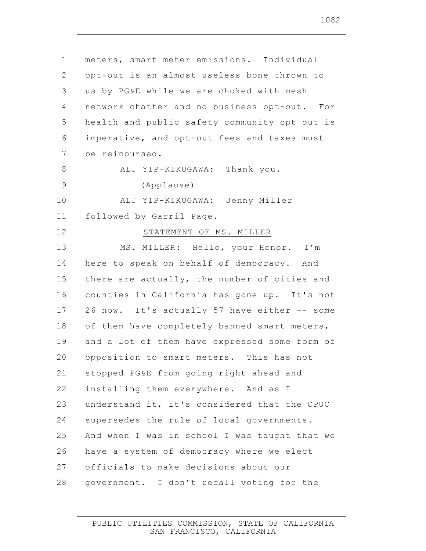| $\mathbf 1$    | meters, smart meter emissions. Individual     |
|----------------|-----------------------------------------------|
| 2              | opt-out is an almost useless bone thrown to   |
| 3              | us by PG&E while we are choked with mesh      |
| 4              | network chatter and no business opt-out. For  |
| 5              | health and public safety community opt out is |
| 6              | imperative, and opt-out fees and taxes must   |
| $\overline{7}$ | be reimbursed.                                |
| 8              | ALJ YIP-KIKUGAWA: Thank you.                  |
| 9              | (Applause)                                    |
| 10             | ALJ YIP-KIKUGAWA: Jenny Miller                |
| 11             | followed by Garril Page.                      |
| 12             | STATEMENT OF MS. MILLER                       |
| 13             | MS. MILLER: Hello, your Honor. I'm            |
| 14             | here to speak on behalf of democracy. And     |
| 15             | there are actually, the number of cities and  |
| 16             | counties in California has gone up. It's not  |
| 17             | 26 now. It's actually 57 have either -- some  |
| 18             | of them have completely banned smart meters,  |
| 19             | and a lot of them have expressed some form of |
| 20             | opposition to smart meters. This has not      |
| 21             | stopped PG&E from going right ahead and       |
| 22             | installing them everywhere. And as I          |
| 23             | understand it, it's considered that the CPUC  |
| 24             | supersedes the rule of local governments.     |
| 25             | And when I was in school I was taught that we |
| 26             | have a system of democracy where we elect     |
| 27             | officials to make decisions about our         |
| 28             | government. I don't recall voting for the     |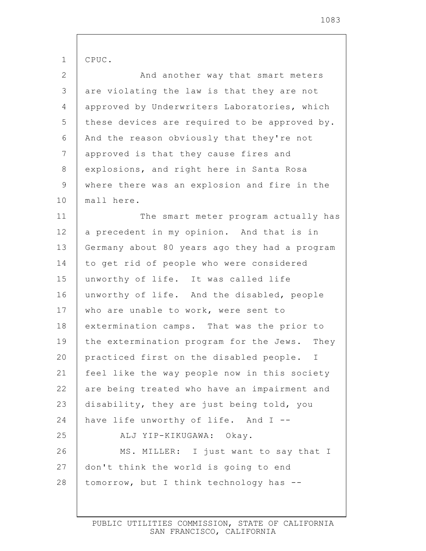| $\mathbf 1$    | CPUC.                                         |
|----------------|-----------------------------------------------|
| $\mathbf{2}$   | And another way that smart meters             |
| $\mathfrak{Z}$ | are violating the law is that they are not    |
| $\overline{4}$ | approved by Underwriters Laboratories, which  |
| 5              | these devices are required to be approved by. |
| 6              | And the reason obviously that they're not     |
| $\overline{7}$ | approved is that they cause fires and         |
| $8\,$          | explosions, and right here in Santa Rosa      |
| 9              | where there was an explosion and fire in the  |
| 10             | mall here.                                    |
| 11             | The smart meter program actually has          |
| 12             | a precedent in my opinion. And that is in     |
| 13             | Germany about 80 years ago they had a program |
| 14             | to get rid of people who were considered      |
| 15             | unworthy of life. It was called life          |
| 16             | unworthy of life. And the disabled, people    |
| 17             | who are unable to work, were sent to          |
| 18             | extermination camps. That was the prior to    |
| 19             | the extermination program for the Jews. They  |
| 20             | practiced first on the disabled people. I     |
| 21             | feel like the way people now in this society  |
| 22             | are being treated who have an impairment and  |
| 23             | disability, they are just being told, you     |
| 24             | have life unworthy of life. And I --          |
| 25             | ALJ YIP-KIKUGAWA: Okay.                       |
| 26             | MS. MILLER: I just want to say that I         |
| 27             | don't think the world is going to end         |
| 28             | tomorrow, but I think technology has --       |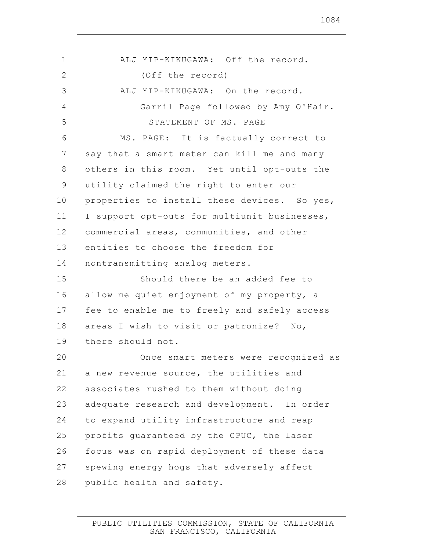1 2 3 4 5 6 7 8 9 10 11 12 13 14 15 16 17 18 19 20 21 22 23 24 25 26 27 ALJ YIP-KIKUGAWA: Off the record. (Off the record) ALJ YIP-KIKUGAWA: On the record. Garril Page followed by Amy O'Hair. STATEMENT OF MS. PAGE MS. PAGE: It is factually correct to say that a smart meter can kill me and many others in this room. Yet until opt-outs the utility claimed the right to enter our properties to install these devices. So yes, I support opt-outs for multiunit businesses, commercial areas, communities, and other entities to choose the freedom for nontransmitting analog meters. Should there be an added fee to allow me quiet enjoyment of my property, a fee to enable me to freely and safely access areas I wish to visit or patronize? No, there should not. Once smart meters were recognized as a new revenue source, the utilities and associates rushed to them without doing adequate research and development. In order to expand utility infrastructure and reap profits guaranteed by the CPUC, the laser focus was on rapid deployment of these data spewing energy hogs that adversely affect

PUBLIC UTILITIES COMMISSION, STATE OF CALIFORNIA SAN FRANCISCO, CALIFORNIA

public health and safety.

28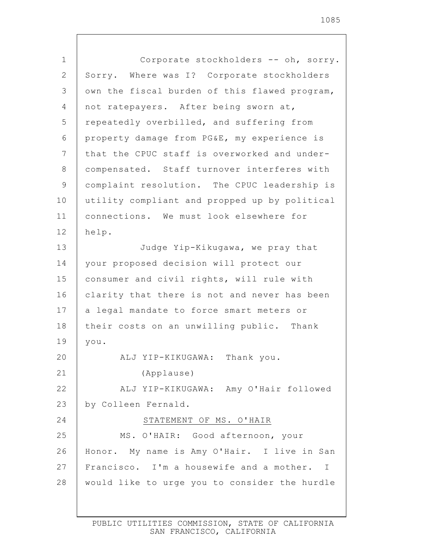| 1              | Corporate stockholders -- oh, sorry.          |
|----------------|-----------------------------------------------|
| $\overline{2}$ | Sorry. Where was I? Corporate stockholders    |
| 3              | own the fiscal burden of this flawed program, |
| 4              | not ratepayers. After being sworn at,         |
| 5              | repeatedly overbilled, and suffering from     |
| 6              | property damage from PG&E, my experience is   |
| 7              | that the CPUC staff is overworked and under-  |
| 8              | compensated. Staff turnover interferes with   |
| $\mathcal{G}$  | complaint resolution. The CPUC leadership is  |
| 10             | utility compliant and propped up by political |
| 11             | connections. We must look elsewhere for       |
| 12             | help.                                         |
| 13             | Judge Yip-Kikugawa, we pray that              |
| 14             | your proposed decision will protect our       |
| 15             | consumer and civil rights, will rule with     |
| 16             | clarity that there is not and never has been  |
| 17             | a legal mandate to force smart meters or      |
| 18             | their costs on an unwilling public. Thank     |
| 19             | you.                                          |
| 20             | ALJ YIP-KIKUGAWA: Thank you.                  |
| 21             | (Applause)                                    |
| 22             | ALJ YIP-KIKUGAWA: Amy O'Hair followed         |
| 23             | by Colleen Fernald.                           |
| 24             | STATEMENT OF MS. O'HAIR                       |
| 25             | MS. O'HAIR: Good afternoon, your              |
| 26             | Honor. My name is Amy O'Hair. I live in San   |
| 27             | Francisco. I'm a housewife and a mother. I    |
| 28             | would like to urge you to consider the hurdle |
|                |                                               |

 $\Gamma$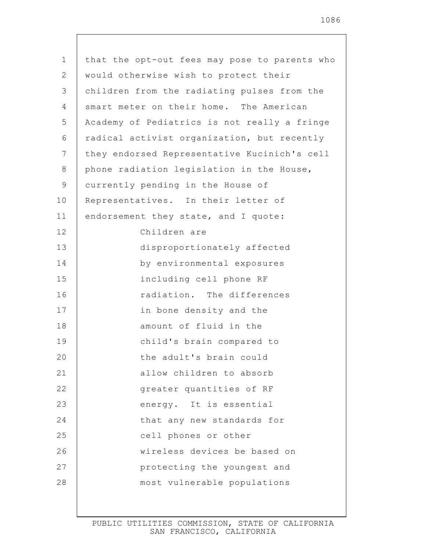| $\mathbf 1$    | that the opt-out fees may pose to parents who |
|----------------|-----------------------------------------------|
| 2              | would otherwise wish to protect their         |
| 3              | children from the radiating pulses from the   |
| 4              | smart meter on their home. The American       |
| 5              | Academy of Pediatrics is not really a fringe  |
| 6              | radical activist organization, but recently   |
| $\overline{7}$ | they endorsed Representative Kucinich's cell  |
| 8              | phone radiation legislation in the House,     |
| 9              | currently pending in the House of             |
| 10             | Representatives. In their letter of           |
| 11             | endorsement they state, and I quote:          |
| 12             | Children are                                  |
| 13             | disproportionately affected                   |
| 14             | by environmental exposures                    |
| 15             | including cell phone RF                       |
| 16             | radiation. The differences                    |
| 17             | in bone density and the                       |
| 18             | amount of fluid in the                        |
| 19             | child's brain compared to                     |
| 20             | the adult's brain could                       |
| 21             | allow children to absorb                      |
| 22             | greater quantities of RF                      |
| 23             | energy. It is essential                       |
| 24             | that any new standards for                    |
| 25             | cell phones or other                          |
| 26             | wireless devices be based on                  |
| 27             | protecting the youngest and                   |
| 28             | most vulnerable populations                   |
|                |                                               |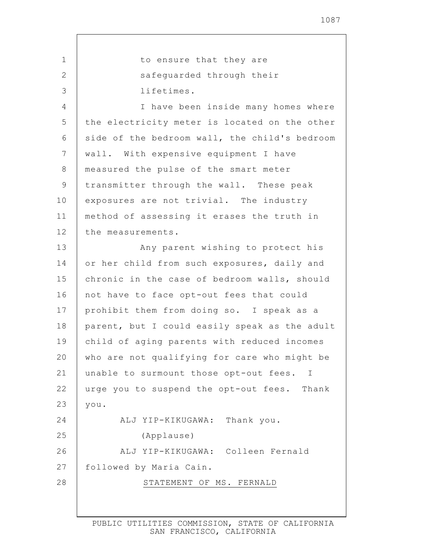1 2 3 4 5 6 7 8 9 10 11 12 13 14 15 16 17 18 19 20 21 22 23 24 25 26 27 28 to ensure that they are safeguarded through their lifetimes. I have been inside many homes where the electricity meter is located on the other side of the bedroom wall, the child's bedroom wall. With expensive equipment I have measured the pulse of the smart meter transmitter through the wall. These peak exposures are not trivial. The industry method of assessing it erases the truth in the measurements. Any parent wishing to protect his or her child from such exposures, daily and chronic in the case of bedroom walls, should not have to face opt-out fees that could prohibit them from doing so. I speak as a parent, but I could easily speak as the adult child of aging parents with reduced incomes who are not qualifying for care who might be unable to surmount those opt-out fees. I urge you to suspend the opt-out fees. Thank you. ALJ YIP-KIKUGAWA: Thank you. (Applause) ALJ YIP-KIKUGAWA: Colleen Fernald followed by Maria Cain. STATEMENT OF MS. FERNALD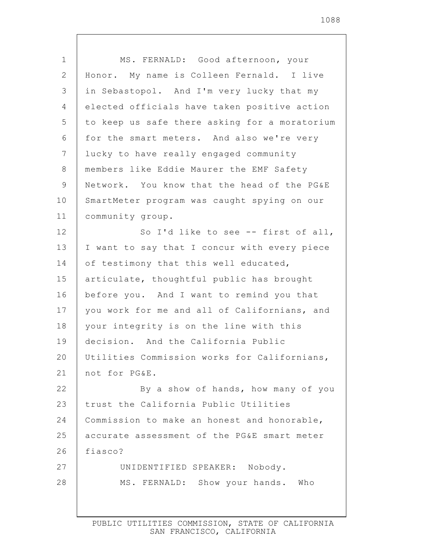| $\mathbf 1$  | MS. FERNALD: Good afternoon, your             |
|--------------|-----------------------------------------------|
| $\mathbf{2}$ | Honor. My name is Colleen Fernald. I live     |
| 3            | in Sebastopol. And I'm very lucky that my     |
| 4            | elected officials have taken positive action  |
| 5            | to keep us safe there asking for a moratorium |
| 6            | for the smart meters. And also we're very     |
| 7            | lucky to have really engaged community        |
| $8\,$        | members like Eddie Maurer the EMF Safety      |
| $\mathsf 9$  | Network. You know that the head of the PG&E   |
| 10           | SmartMeter program was caught spying on our   |
| 11           | community group.                              |
| 12           | So I'd like to see -- first of all,           |
| 13           | I want to say that I concur with every piece  |
| 14           | of testimony that this well educated,         |
| 15           | articulate, thoughtful public has brought     |
| 16           | before you. And I want to remind you that     |
| 17           | you work for me and all of Californians, and  |
| 18           | your integrity is on the line with this       |
| 19           | decision. And the California Public           |
| 20           | Utilities Commission works for Californians,  |
| 21           | not for PG&E.                                 |
| 22           | By a show of hands, how many of you           |
| 23           | trust the California Public Utilities         |
| 24           | Commission to make an honest and honorable,   |
| 25           | accurate assessment of the PG&E smart meter   |
| 26           | fiasco?                                       |
| 27           | UNIDENTIFIED SPEAKER: Nobody.                 |
| 28           | MS. FERNALD: Show your hands. Who             |
|              |                                               |

 $\mathsf{I}$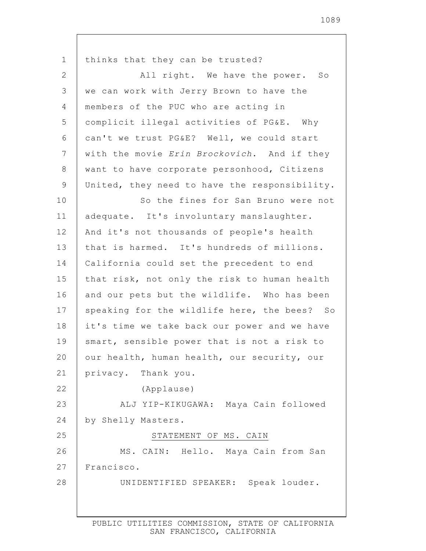1 2 3 4 5 6 7 8 9 10 11 12 13 14 15 16 17 18 19 20 21 22 23 24 25 26 27 28 thinks that they can be trusted? All right. We have the power. So we can work with Jerry Brown to have the members of the PUC who are acting in complicit illegal activities of PG&E. Why can't we trust PG&E? Well, we could start with the movie *Erin Brockovich*. And if they want to have corporate personhood, Citizens United, they need to have the responsibility. So the fines for San Bruno were not adequate. It's involuntary manslaughter. And it's not thousands of people's health that is harmed. It's hundreds of millions. California could set the precedent to end that risk, not only the risk to human health and our pets but the wildlife. Who has been speaking for the wildlife here, the bees? So it's time we take back our power and we have smart, sensible power that is not a risk to our health, human health, our security, our privacy. Thank you. (Applause) ALJ YIP-KIKUGAWA: Maya Cain followed by Shelly Masters. STATEMENT OF MS. CAIN MS. CAIN: Hello. Maya Cain from San Francisco. UNIDENTIFIED SPEAKER: Speak louder.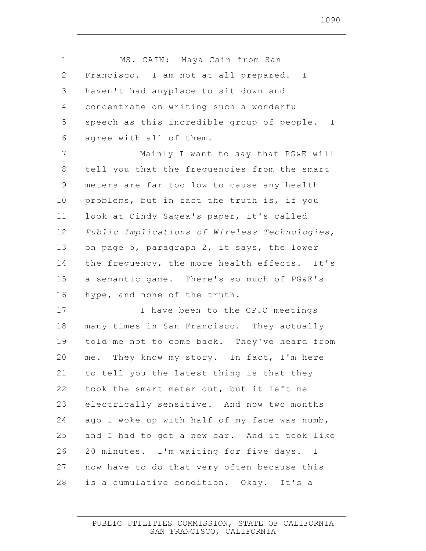1 2 3 4 5 6 7 8 9 10 11 12 13 14 15 16 17 18 19 20 21 22 23 24 25 26 27 28 MS. CAIN: Maya Cain from San Francisco. I am not at all prepared. I haven't had anyplace to sit down and concentrate on writing such a wonderful speech as this incredible group of people. I agree with all of them. Mainly I want to say that PG&E will tell you that the frequencies from the smart meters are far too low to cause any health problems, but in fact the truth is, if you look at Cindy Sagea's paper, it's called *Public Implications of Wireless Technologies*, on page 5, paragraph 2, it says, the lower the frequency, the more health effects. It's a semantic game. There's so much of PG&E's hype, and none of the truth. I have been to the CPUC meetings many times in San Francisco. They actually told me not to come back. They've heard from me. They know my story. In fact, I'm here to tell you the latest thing is that they took the smart meter out, but it left me electrically sensitive. And now two months ago I woke up with half of my face was numb, and I had to get a new car. And it took like 20 minutes. I'm waiting for five days. I now have to do that very often because this is a cumulative condition. Okay. It's a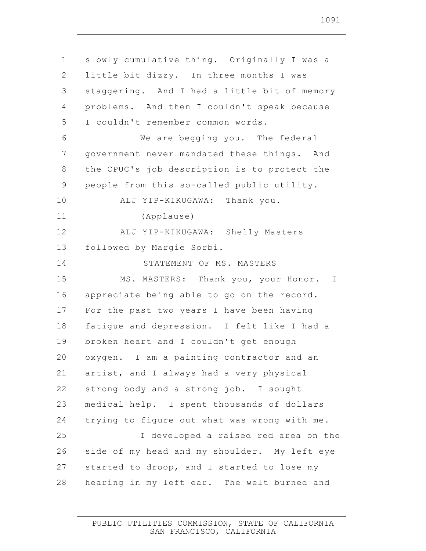1 2 3 4 5 6 7 8 9 10 11 12 13 14 15 16 17 18 19 20 21 22 23 24 25 26 27 28 slowly cumulative thing. Originally I was a little bit dizzy. In three months I was staggering. And I had a little bit of memory problems. And then I couldn't speak because I couldn't remember common words. We are begging you. The federal government never mandated these things. And the CPUC's job description is to protect the people from this so-called public utility. ALJ YIP-KIKUGAWA: Thank you. (Applause) ALJ YIP-KIKUGAWA: Shelly Masters followed by Margie Sorbi. STATEMENT OF MS. MASTERS MS. MASTERS: Thank you, your Honor. I appreciate being able to go on the record. For the past two years I have been having fatigue and depression. I felt like I had a broken heart and I couldn't get enough oxygen. I am a painting contractor and an artist, and I always had a very physical strong body and a strong job. I sought medical help. I spent thousands of dollars trying to figure out what was wrong with me. I developed a raised red area on the side of my head and my shoulder. My left eye started to droop, and I started to lose my hearing in my left ear. The welt burned and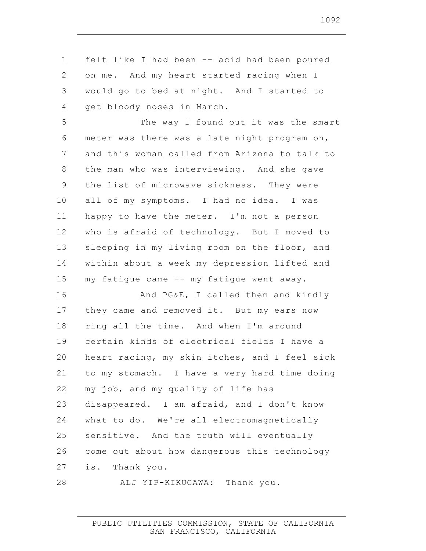| $\mathbf 1$    | felt like I had been -- acid had been poured  |
|----------------|-----------------------------------------------|
| 2              | on me. And my heart started racing when I     |
| 3              | would go to bed at night. And I started to    |
| 4              | get bloody noses in March.                    |
| 5              | The way I found out it was the smart          |
| 6              | meter was there was a late night program on,  |
| $\overline{7}$ | and this woman called from Arizona to talk to |
| 8              | the man who was interviewing. And she gave    |
| 9              | the list of microwave sickness. They were     |
| 10             | all of my symptoms. I had no idea. I was      |
| 11             | happy to have the meter. I'm not a person     |
| 12             | who is afraid of technology. But I moved to   |
| 13             | sleeping in my living room on the floor, and  |
| 14             | within about a week my depression lifted and  |
| 15             | my fatigue came -- my fatigue went away.      |
| 16             | And PG&E, I called them and kindly            |
| 17             | they came and removed it. But my ears now     |
| 18             | ring all the time. And when I'm around        |
| 19             | certain kinds of electrical fields I have a   |
| 20             | heart racing, my skin itches, and I feel sick |
| 21             | to my stomach. I have a very hard time doing  |
| 22             | my job, and my quality of life has            |
| 23             | disappeared. I am afraid, and I don't know    |
| 24             | what to do. We're all electromagnetically     |
| 25             | sensitive. And the truth will eventually      |
| 26             | come out about how dangerous this technology  |
| 27             | is. Thank you.                                |
| 28             | ALJ YIP-KIKUGAWA: Thank you.                  |
|                |                                               |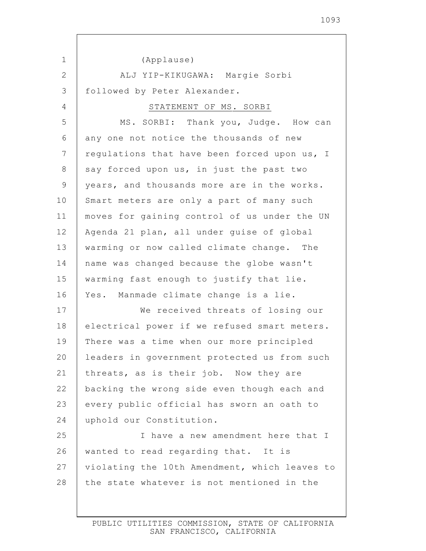1 2 3 4 5 6 7 8 9 10 11 12 13 14 15 16 17 18 19 20 21 22 23 24 25 26 27 28 (Applause) ALJ YIP-KIKUGAWA: Margie Sorbi followed by Peter Alexander. STATEMENT OF MS. SORBI MS. SORBI: Thank you, Judge. How can any one not notice the thousands of new regulations that have been forced upon us, I say forced upon us, in just the past two years, and thousands more are in the works. Smart meters are only a part of many such moves for gaining control of us under the UN Agenda 21 plan, all under guise of global warming or now called climate change. The name was changed because the globe wasn't warming fast enough to justify that lie. Yes. Manmade climate change is a lie. We received threats of losing our electrical power if we refused smart meters. There was a time when our more principled leaders in government protected us from such threats, as is their job. Now they are backing the wrong side even though each and every public official has sworn an oath to uphold our Constitution. I have a new amendment here that I wanted to read regarding that. It is violating the 10th Amendment, which leaves to the state whatever is not mentioned in the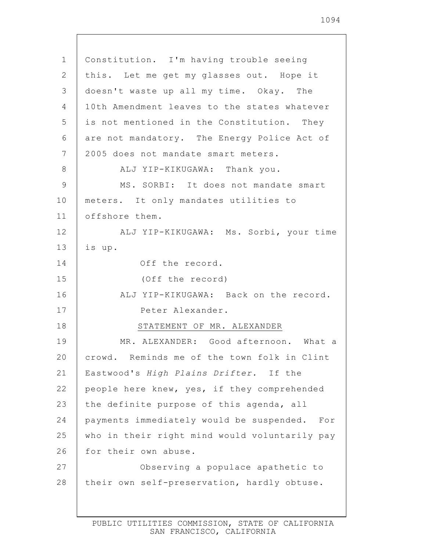| $\mathbf 1$ | Constitution. I'm having trouble seeing         |
|-------------|-------------------------------------------------|
| 2           | this. Let me get my glasses out. Hope it        |
| 3           | doesn't waste up all my time. Okay. The         |
| 4           | 10th Amendment leaves to the states whatever    |
| 5           | is not mentioned in the Constitution. They      |
| 6           | are not mandatory. The Energy Police Act of     |
| 7           | 2005 does not mandate smart meters.             |
| 8           | ALJ YIP-KIKUGAWA: Thank you.                    |
| 9           | MS. SORBI: It does not mandate smart            |
| 10          | meters. It only mandates utilities to           |
| 11          | offshore them.                                  |
| 12          | ALJ YIP-KIKUGAWA: Ms. Sorbi, your time          |
| 13          | is up.                                          |
| 14          | Off the record.                                 |
| 15          | (Off the record)                                |
| 16          | ALJ YIP-KIKUGAWA: Back on the record.           |
| 17          | Peter Alexander.                                |
| 18          | STATEMENT OF MR. ALEXANDER                      |
| 19          | MR. ALEXANDER: Good afternoon. What a           |
| 20          | crowd. Reminds me of the town folk in Clint     |
| 21          | Eastwood's High Plains Drifter. If the          |
| 22          | people here knew, yes, if they comprehended     |
| 23          | the definite purpose of this agenda, all        |
| 24          | payments immediately would be suspended.<br>For |
| 25          | who in their right mind would voluntarily pay   |
| 26          | for their own abuse.                            |
| 27          | Observing a populace apathetic to               |
| 28          | their own self-preservation, hardly obtuse.     |
|             |                                                 |

Г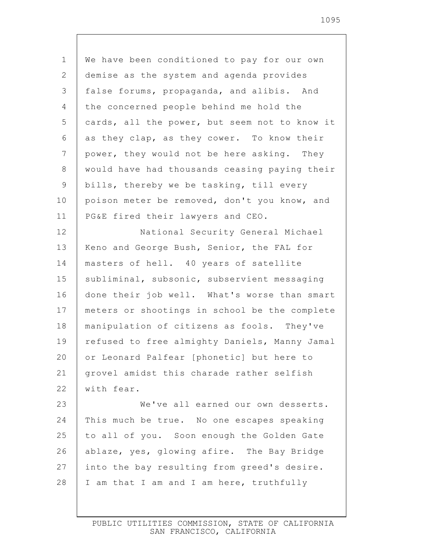1 2 3 4 5 6 7 8 9 10 11 12 13 14 15 16 17 18 19 20 21 22 23 24 25 26 27 28 We have been conditioned to pay for our own demise as the system and agenda provides false forums, propaganda, and alibis. And the concerned people behind me hold the cards, all the power, but seem not to know it as they clap, as they cower. To know their power, they would not be here asking. They would have had thousands ceasing paying their bills, thereby we be tasking, till every poison meter be removed, don't you know, and PG&E fired their lawyers and CEO. National Security General Michael Keno and George Bush, Senior, the FAL for masters of hell. 40 years of satellite subliminal, subsonic, subservient messaging done their job well. What's worse than smart meters or shootings in school be the complete manipulation of citizens as fools. They've refused to free almighty Daniels, Manny Jamal or Leonard Palfear [phonetic] but here to grovel amidst this charade rather selfish with fear. We've all earned our own desserts. This much be true. No one escapes speaking to all of you. Soon enough the Golden Gate ablaze, yes, glowing afire. The Bay Bridge into the bay resulting from greed's desire. I am that I am and I am here, truthfully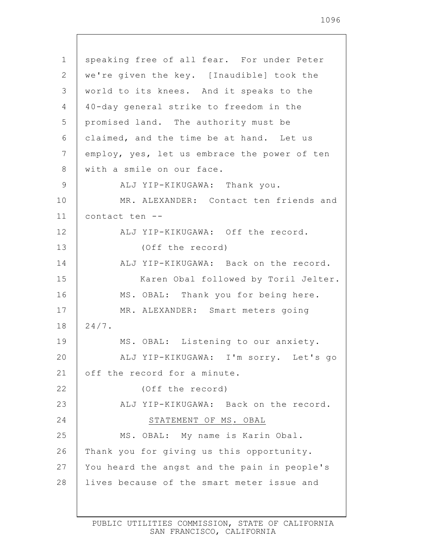| $\mathbf 1$     | speaking free of all fear. For under Peter   |
|-----------------|----------------------------------------------|
| 2               | we're given the key. [Inaudible] took the    |
| 3               | world to its knees. And it speaks to the     |
| 4               | 40-day general strike to freedom in the      |
| 5               | promised land. The authority must be         |
| 6               | claimed, and the time be at hand. Let us     |
| $7\phantom{.0}$ | employ, yes, let us embrace the power of ten |
| 8               | with a smile on our face.                    |
| 9               | ALJ YIP-KIKUGAWA: Thank you.                 |
| 10              | MR. ALEXANDER: Contact ten friends and       |
| 11              | contact ten --                               |
| 12              | ALJ YIP-KIKUGAWA: Off the record.            |
| 13              | (Off the record)                             |
| 14              | ALJ YIP-KIKUGAWA: Back on the record.        |
| 15              | Karen Obal followed by Toril Jelter.         |
| 16              | MS. OBAL: Thank you for being here.          |
| 17              | MR. ALEXANDER: Smart meters going            |
| 18              | $24/7$ .                                     |
| 19              | MS. OBAL: Listening to our anxiety.          |
| 20              | ALJ YIP-KIKUGAWA: I'm sorry. Let's go        |
| 21              | off the record for a minute.                 |
| 22              | (Off the record)                             |
| 23              | ALJ YIP-KIKUGAWA: Back on the record.        |
| 24              | STATEMENT OF MS. OBAL                        |
| 25              | MS. OBAL: My name is Karin Obal.             |
| 26              | Thank you for giving us this opportunity.    |
| 27              | You heard the angst and the pain in people's |
| 28              | lives because of the smart meter issue and   |
|                 |                                              |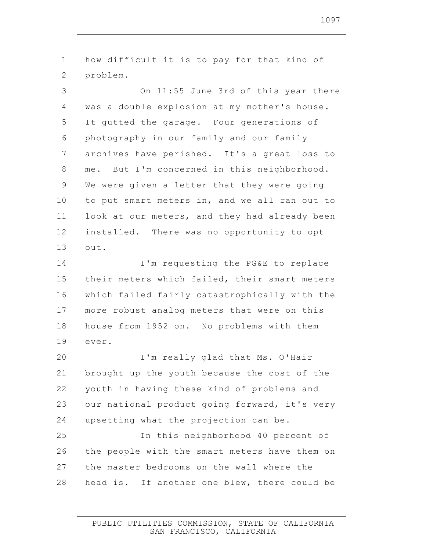1 2 3 4 5 6 7 8 9 10 11 12 13 14 15 16 17 18 19 20 21 22 23 24 25 26 27 28 how difficult it is to pay for that kind of problem. On 11:55 June 3rd of this year there was a double explosion at my mother's house. It gutted the garage. Four generations of photography in our family and our family archives have perished. It's a great loss to me. But I'm concerned in this neighborhood. We were given a letter that they were going to put smart meters in, and we all ran out to look at our meters, and they had already been installed. There was no opportunity to opt out. I'm requesting the PG&E to replace their meters which failed, their smart meters which failed fairly catastrophically with the more robust analog meters that were on this house from 1952 on. No problems with them ever. I'm really glad that Ms. O'Hair brought up the youth because the cost of the youth in having these kind of problems and our national product going forward, it's very upsetting what the projection can be. In this neighborhood 40 percent of the people with the smart meters have them on the master bedrooms on the wall where the head is. If another one blew, there could be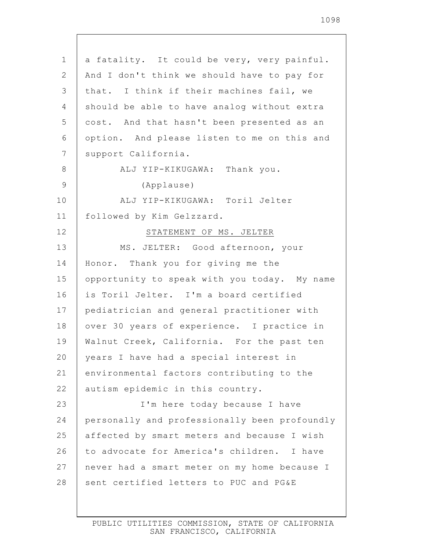| $\mathbf 1$    | a fatality. It could be very, very painful.   |
|----------------|-----------------------------------------------|
| 2              | And I don't think we should have to pay for   |
| 3              | that. I think if their machines fail, we      |
| 4              | should be able to have analog without extra   |
| 5              | cost. And that hasn't been presented as an    |
| 6              | option. And please listen to me on this and   |
| $\overline{7}$ | support California.                           |
| 8              | ALJ YIP-KIKUGAWA: Thank you.                  |
| 9              | (Applause)                                    |
| 10             | ALJ YIP-KIKUGAWA: Toril Jelter                |
| 11             | followed by Kim Gelzzard.                     |
| 12             | STATEMENT OF MS. JELTER                       |
| 13             | MS. JELTER: Good afternoon, your              |
| 14             | Honor. Thank you for giving me the            |
| 15             | opportunity to speak with you today. My name  |
| 16             | is Toril Jelter. I'm a board certified        |
| 17             | pediatrician and general practitioner with    |
| 18             | over 30 years of experience. I practice in    |
| 19             | Walnut Creek, California. For the past ten    |
| 20             | years I have had a special interest in        |
| 21             | environmental factors contributing to the     |
| 22             | autism epidemic in this country.              |
| 23             | I'm here today because I have                 |
| 24             | personally and professionally been profoundly |
| 25             | affected by smart meters and because I wish   |
| 26             | to advocate for America's children. I have    |
| 27             | never had a smart meter on my home because I  |
| 28             | sent certified letters to PUC and PG&E        |
|                |                                               |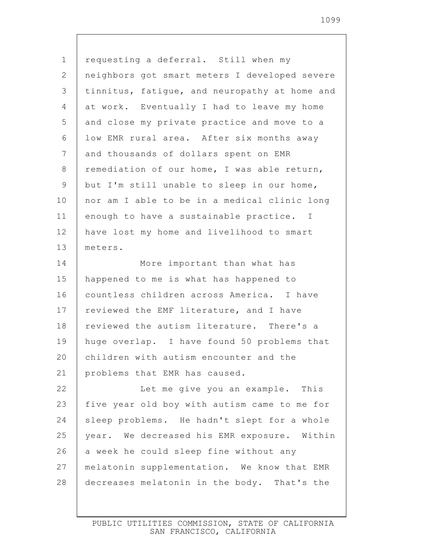1 2 3 4 5 6 7 8 9 10 11 12 13 14 15 16 17 18 19 20 21 22 23 24 25 26 27 28 requesting a deferral. Still when my neighbors got smart meters I developed severe tinnitus, fatigue, and neuropathy at home and at work. Eventually I had to leave my home and close my private practice and move to a low EMR rural area. After six months away and thousands of dollars spent on EMR remediation of our home, I was able return, but I'm still unable to sleep in our home, nor am I able to be in a medical clinic long enough to have a sustainable practice. I have lost my home and livelihood to smart meters. More important than what has happened to me is what has happened to countless children across America. I have reviewed the EMF literature, and I have reviewed the autism literature. There's a huge overlap. I have found 50 problems that children with autism encounter and the problems that EMR has caused. Let me give you an example. This five year old boy with autism came to me for sleep problems. He hadn't slept for a whole year. We decreased his EMR exposure. Within a week he could sleep fine without any melatonin supplementation. We know that EMR decreases melatonin in the body. That's the

1099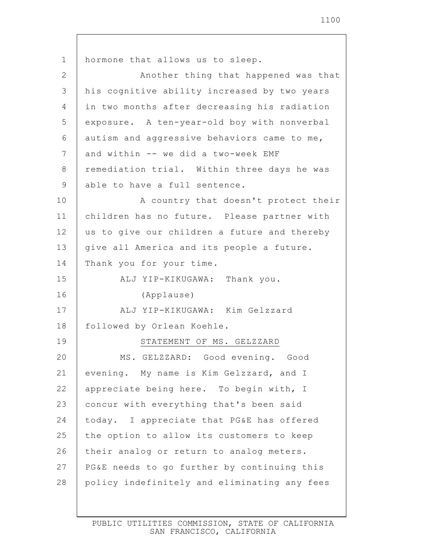1 2 3 4 5 6 7 8 9 10 11 12 13 14 15 16 17 18 19 20 21 22 23 24 25 26 27 28 hormone that allows us to sleep. Another thing that happened was that his cognitive ability increased by two years in two months after decreasing his radiation exposure. A ten-year-old boy with nonverbal autism and aggressive behaviors came to me, and within -- we did a two-week EMF remediation trial. Within three days he was able to have a full sentence. A country that doesn't protect their children has no future. Please partner with us to give our children a future and thereby give all America and its people a future. Thank you for your time. ALJ YIP-KIKUGAWA: Thank you. (Applause) ALJ YIP-KIKUGAWA: Kim Gelzzard followed by Orlean Koehle. STATEMENT OF MS. GELZZARD MS. GELZZARD: Good evening. Good evening. My name is Kim Gelzzard, and I appreciate being here. To begin with, I concur with everything that's been said today. I appreciate that PG&E has offered the option to allow its customers to keep their analog or return to analog meters. PG&E needs to go further by continuing this policy indefinitely and eliminating any fees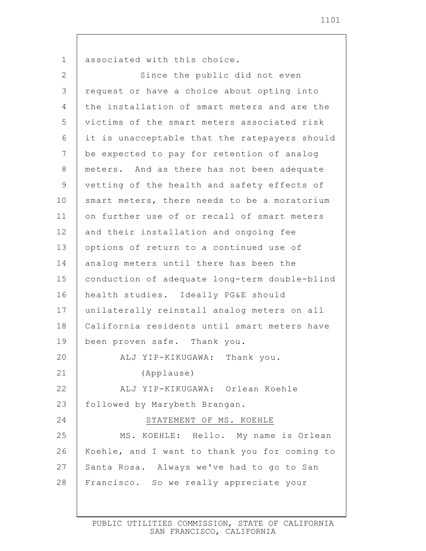1 2 3 4 5 6 7 8 9 10 11 12 13 14 15 16 17 18 19 20 21 22 23 24 25 26 27 28 associated with this choice. Since the public did not even request or have a choice about opting into the installation of smart meters and are the victims of the smart meters associated risk it is unacceptable that the ratepayers should be expected to pay for retention of analog meters. And as there has not been adequate vetting of the health and safety effects of smart meters, there needs to be a moratorium on further use of or recall of smart meters and their installation and ongoing fee options of return to a continued use of analog meters until there has been the conduction of adequate long-term double-blind health studies. Ideally PG&E should unilaterally reinstall analog meters on all California residents until smart meters have been proven safe. Thank you. ALJ YIP-KIKUGAWA: Thank you. (Applause) ALJ YIP-KIKUGAWA: Orlean Koehle followed by Marybeth Brangan. STATEMENT OF MS. KOEHLE MS. KOEHLE: Hello. My name is Orlean Koehle, and I want to thank you for coming to Santa Rosa. Always we've had to go to San Francisco. So we really appreciate your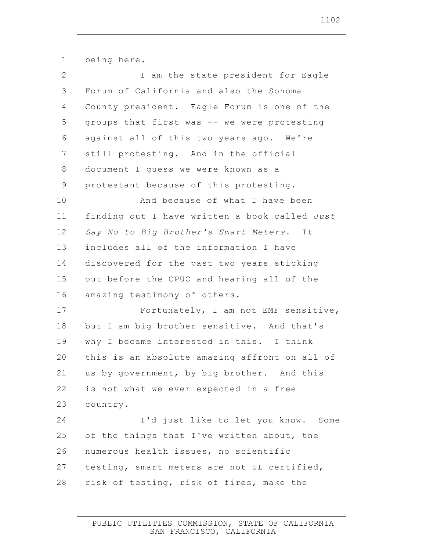1 2 3 4 5 6 7 8 9 10 11 12 13 14 15 16 17 18 19 20 21 22 23 24 25 26 27 28 being here. I am the state president for Eagle Forum of California and also the Sonoma County president. Eagle Forum is one of the groups that first was -- we were protesting against all of this two years ago. We're still protesting. And in the official document I guess we were known as a protestant because of this protesting. And because of what I have been finding out I have written a book called *Just Say No to Big Brother's Smart Meters*. It includes all of the information I have discovered for the past two years sticking out before the CPUC and hearing all of the amazing testimony of others. Fortunately, I am not EMF sensitive, but I am big brother sensitive. And that's why I became interested in this. I think this is an absolute amazing affront on all of us by government, by big brother. And this is not what we ever expected in a free country. I'd just like to let you know. Some of the things that I've written about, the numerous health issues, no scientific testing, smart meters are not UL certified, risk of testing, risk of fires, make the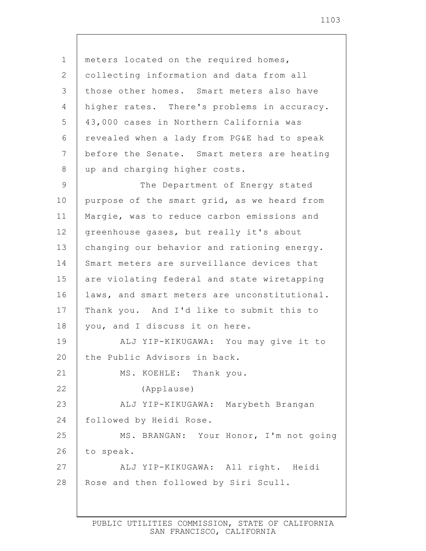1 2 3 4 5 6 7 8 9 10 11 12 13 14 15 16 17 18 19 20 21 22 23 24 25 26 27 28 meters located on the required homes, collecting information and data from all those other homes. Smart meters also have higher rates. There's problems in accuracy. 43,000 cases in Northern California was revealed when a lady from PG&E had to speak before the Senate. Smart meters are heating up and charging higher costs. The Department of Energy stated purpose of the smart grid, as we heard from Margie, was to reduce carbon emissions and greenhouse gases, but really it's about changing our behavior and rationing energy. Smart meters are surveillance devices that are violating federal and state wiretapping laws, and smart meters are unconstitutional. Thank you. And I'd like to submit this to you, and I discuss it on here. ALJ YIP-KIKUGAWA: You may give it to the Public Advisors in back. MS. KOEHLE: Thank you. (Applause) ALJ YIP-KIKUGAWA: Marybeth Brangan followed by Heidi Rose. MS. BRANGAN: Your Honor, I'm not going to speak. ALJ YIP-KIKUGAWA: All right. Heidi Rose and then followed by Siri Scull.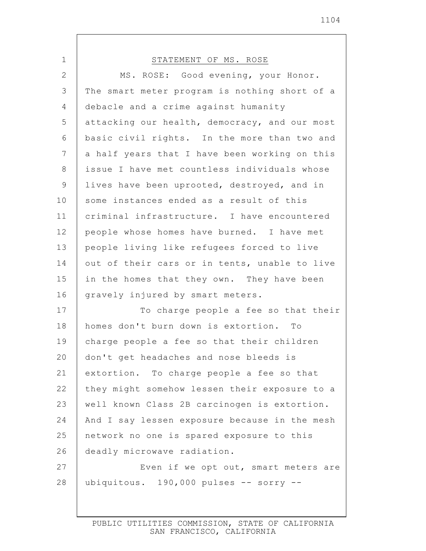| 1  | STATEMENT OF MS. ROSE                         |
|----|-----------------------------------------------|
| 2  | MS. ROSE: Good evening, your Honor.           |
| 3  | The smart meter program is nothing short of a |
| 4  | debacle and a crime against humanity          |
| 5  | attacking our health, democracy, and our most |
| 6  | basic civil rights. In the more than two and  |
| 7  | a half years that I have been working on this |
| 8  | issue I have met countless individuals whose  |
| 9  | lives have been uprooted, destroyed, and in   |
| 10 | some instances ended as a result of this      |
| 11 | criminal infrastructure. I have encountered   |
| 12 | people whose homes have burned. I have met    |
| 13 | people living like refugees forced to live    |
| 14 | out of their cars or in tents, unable to live |
| 15 | in the homes that they own. They have been    |
| 16 | gravely injured by smart meters.              |
| 17 | To charge people a fee so that their          |
| 18 | homes don't burn down is extortion. To        |
| 19 | charge people a fee so that their children    |
| 20 | don't get headaches and nose bleeds is        |
| 21 | extortion. To charge people a fee so that     |
| 22 | they might somehow lessen their exposure to a |
| 23 | well known Class 2B carcinogen is extortion.  |
| 24 | And I say lessen exposure because in the mesh |
| 25 | network no one is spared exposure to this     |
| 26 | deadly microwave radiation.                   |
| 27 | Even if we opt out, smart meters are          |
| 28 | ubiquitous. 190,000 pulses -- sorry --        |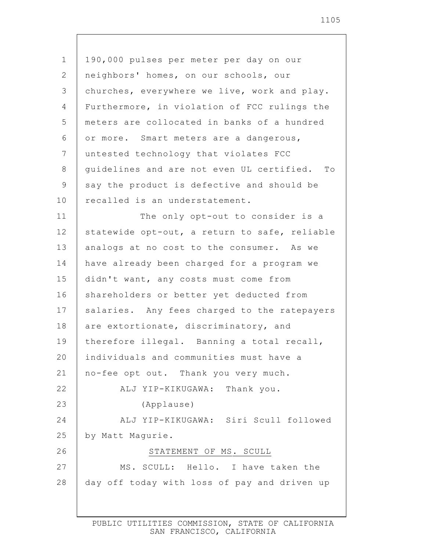1 2 3 4 5 6 7 8 9 10 11 12 13 14 15 16 17 18 19 20 21 22 23 24 25 26 27 28 190,000 pulses per meter per day on our neighbors' homes, on our schools, our churches, everywhere we live, work and play. Furthermore, in violation of FCC rulings the meters are collocated in banks of a hundred or more. Smart meters are a dangerous, untested technology that violates FCC guidelines and are not even UL certified. To say the product is defective and should be recalled is an understatement. The only opt-out to consider is a statewide opt-out, a return to safe, reliable analogs at no cost to the consumer. As we have already been charged for a program we didn't want, any costs must come from shareholders or better yet deducted from salaries. Any fees charged to the ratepayers are extortionate, discriminatory, and therefore illegal. Banning a total recall, individuals and communities must have a no-fee opt out. Thank you very much. ALJ YIP-KIKUGAWA: Thank you. (Applause) ALJ YIP-KIKUGAWA: Siri Scull followed by Matt Magurie. STATEMENT OF MS. SCULL MS. SCULL: Hello. I have taken the day off today with loss of pay and driven up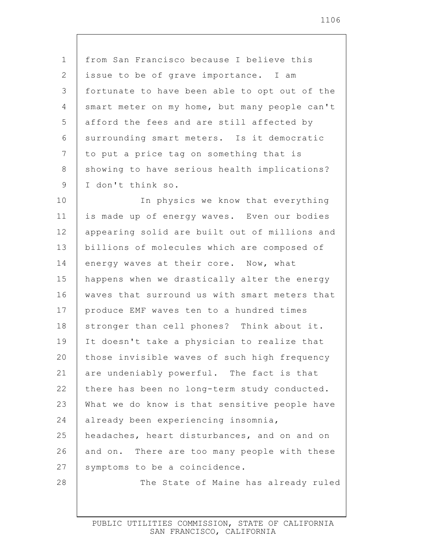1 2 3 4 5 6 7 8 9 from San Francisco because I believe this issue to be of grave importance. I am fortunate to have been able to opt out of the smart meter on my home, but many people can't afford the fees and are still affected by surrounding smart meters. Is it democratic to put a price tag on something that is showing to have serious health implications? I don't think so.

10 11 12 13 14 15 16 17 18 19 20 21 22 23 24 25 26 27 28 In physics we know that everything is made up of energy waves. Even our bodies appearing solid are built out of millions and billions of molecules which are composed of energy waves at their core. Now, what happens when we drastically alter the energy waves that surround us with smart meters that produce EMF waves ten to a hundred times stronger than cell phones? Think about it. It doesn't take a physician to realize that those invisible waves of such high frequency are undeniably powerful. The fact is that there has been no long-term study conducted. What we do know is that sensitive people have already been experiencing insomnia, headaches, heart disturbances, and on and on and on. There are too many people with these symptoms to be a coincidence. The State of Maine has already ruled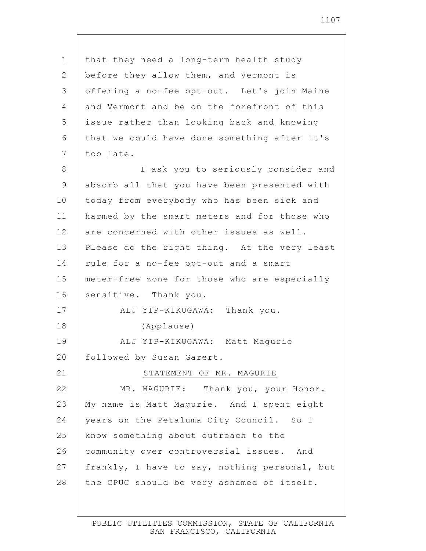| $\mathbf 1$    | that they need a long-term health study       |
|----------------|-----------------------------------------------|
| 2              | before they allow them, and Vermont is        |
| $\mathcal{S}$  | offering a no-fee opt-out. Let's join Maine   |
| 4              | and Vermont and be on the forefront of this   |
| 5              | issue rather than looking back and knowing    |
| 6              | that we could have done something after it's  |
| $7\phantom{.}$ | too late.                                     |
| 8              | I ask you to seriously consider and           |
| 9              | absorb all that you have been presented with  |
| 10             | today from everybody who has been sick and    |
| 11             | harmed by the smart meters and for those who  |
| 12             | are concerned with other issues as well.      |
| 13             | Please do the right thing. At the very least  |
| 14             | rule for a no-fee opt-out and a smart         |
| 15             | meter-free zone for those who are especially  |
| 16             | sensitive. Thank you.                         |
| 17             | ALJ YIP-KIKUGAWA: Thank you.                  |
| 18             | (Applause)                                    |
| 19             | ALJ YIP-KIKUGAWA: Matt Magurie                |
| 20             | followed by Susan Garert.                     |
| 21             | STATEMENT OF MR. MAGURIE                      |
| 22             | MR. MAGURIE: Thank you, your Honor.           |
| 23             | My name is Matt Magurie. And I spent eight    |
| 24             | years on the Petaluma City Council. So I      |
| 25             | know something about outreach to the          |
| 26             | community over controversial issues. And      |
| 27             | frankly, I have to say, nothing personal, but |
| 28             | the CPUC should be very ashamed of itself.    |
|                |                                               |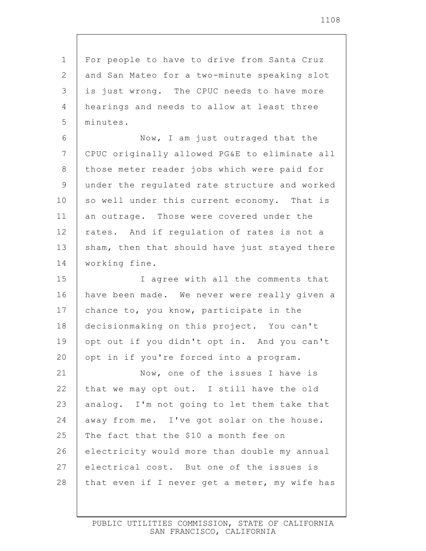1 2 3 4 5 6 7 8 9 10 11 12 13 14 15 16 17 18 19 20 21 22 23 24 25 26 27 28 For people to have to drive from Santa Cruz and San Mateo for a two-minute speaking slot is just wrong. The CPUC needs to have more hearings and needs to allow at least three minutes. Now, I am just outraged that the CPUC originally allowed PG&E to eliminate all those meter reader jobs which were paid for under the regulated rate structure and worked so well under this current economy. That is an outrage. Those were covered under the rates. And if regulation of rates is not a sham, then that should have just stayed there working fine. I agree with all the comments that have been made. We never were really given a chance to, you know, participate in the decisionmaking on this project. You can't opt out if you didn't opt in. And you can't opt in if you're forced into a program. Now, one of the issues I have is that we may opt out. I still have the old analog. I'm not going to let them take that away from me. I've got solar on the house. The fact that the \$10 a month fee on electricity would more than double my annual electrical cost. But one of the issues is that even if I never get a meter, my wife has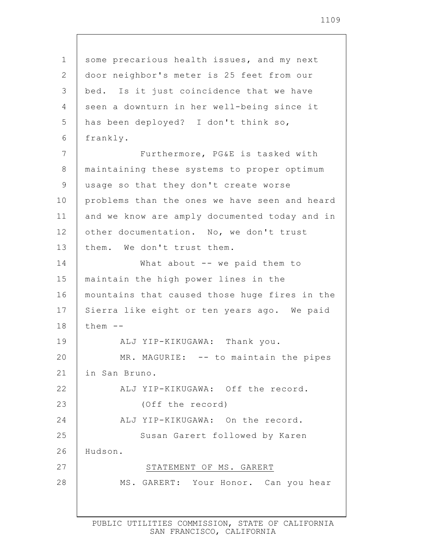1 2 3 4 5 6 7 8 9 10 11 12 13 14 15 16 17 18 19 20 21 22 23 24 25 26 27 28 some precarious health issues, and my next door neighbor's meter is 25 feet from our bed. Is it just coincidence that we have seen a downturn in her well-being since it has been deployed? I don't think so, frankly. Furthermore, PG&E is tasked with maintaining these systems to proper optimum usage so that they don't create worse problems than the ones we have seen and heard and we know are amply documented today and in other documentation. No, we don't trust them. We don't trust them. What about -- we paid them to maintain the high power lines in the mountains that caused those huge fires in the Sierra like eight or ten years ago. We paid them -- ALJ YIP-KIKUGAWA: Thank you. MR. MAGURIE: -- to maintain the pipes in San Bruno. ALJ YIP-KIKUGAWA: Off the record. (Off the record) ALJ YIP-KIKUGAWA: On the record. Susan Garert followed by Karen Hudson. STATEMENT OF MS. GARERT MS. GARERT: Your Honor. Can you hear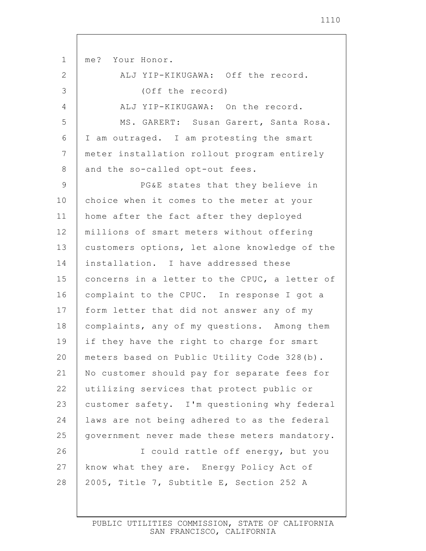1 2 3 4 5 6 7 8 9 10 11 12 13 14 15 16 17 18 19 20 21 22 23 24 25 26 27 28 me? Your Honor. ALJ YIP-KIKUGAWA: Off the record. (Off the record) ALJ YIP-KIKUGAWA: On the record. MS. GARERT: Susan Garert, Santa Rosa. I am outraged. I am protesting the smart meter installation rollout program entirely and the so-called opt-out fees. PG&E states that they believe in choice when it comes to the meter at your home after the fact after they deployed millions of smart meters without offering customers options, let alone knowledge of the installation. I have addressed these concerns in a letter to the CPUC, a letter of complaint to the CPUC. In response I got a form letter that did not answer any of my complaints, any of my questions. Among them if they have the right to charge for smart meters based on Public Utility Code 328(b). No customer should pay for separate fees for utilizing services that protect public or customer safety. I'm questioning why federal laws are not being adhered to as the federal government never made these meters mandatory. I could rattle off energy, but you know what they are. Energy Policy Act of 2005, Title 7, Subtitle E, Section 252 A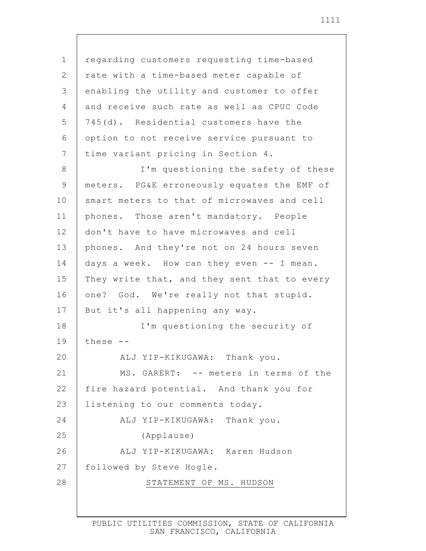1 2 3 4 5 6 7 8 9 10 11 12 13 14 15 16 17 18 19 20 21 22 23 24 25 26 27 28 regarding customers requesting time-based rate with a time-based meter capable of enabling the utility and customer to offer and receive such rate as well as CPUC Code 745(d). Residential customers have the option to not receive service pursuant to time variant pricing in Section 4. I'm questioning the safety of these meters. PG&E erroneously equates the EMF of smart meters to that of microwaves and cell phones. Those aren't mandatory. People don't have to have microwaves and cell phones. And they're not on 24 hours seven days a week. How can they even -- I mean. They write that, and they sent that to every one? God. We're really not that stupid. But it's all happening any way. I'm questioning the security of these -- ALJ YIP-KIKUGAWA: Thank you. MS. GARERT: -- meters in terms of the fire hazard potential. And thank you for listening to our comments today. ALJ YIP-KIKUGAWA: Thank you. (Applause) ALJ YIP-KIKUGAWA: Karen Hudson followed by Steve Hogle. STATEMENT OF MS. HUDSON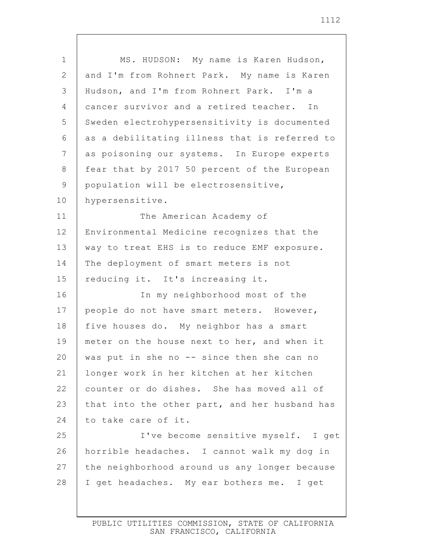1 2 3 4 5 6 7 8 9 10 11 12 13 14 15 16 17 18 19 20 21 22 23 24 25 26 27 28 MS. HUDSON: My name is Karen Hudson, and I'm from Rohnert Park. My name is Karen Hudson, and I'm from Rohnert Park. I'm a cancer survivor and a retired teacher. In Sweden electrohypersensitivity is documented as a debilitating illness that is referred to as poisoning our systems. In Europe experts fear that by 2017 50 percent of the European population will be electrosensitive, hypersensitive. The American Academy of Environmental Medicine recognizes that the way to treat EHS is to reduce EMF exposure. The deployment of smart meters is not reducing it. It's increasing it. In my neighborhood most of the people do not have smart meters. However, five houses do. My neighbor has a smart meter on the house next to her, and when it was put in she no  $-$  since then she can no longer work in her kitchen at her kitchen counter or do dishes. She has moved all of that into the other part, and her husband has to take care of it. I've become sensitive myself. I get horrible headaches. I cannot walk my dog in the neighborhood around us any longer because I get headaches. My ear bothers me. I get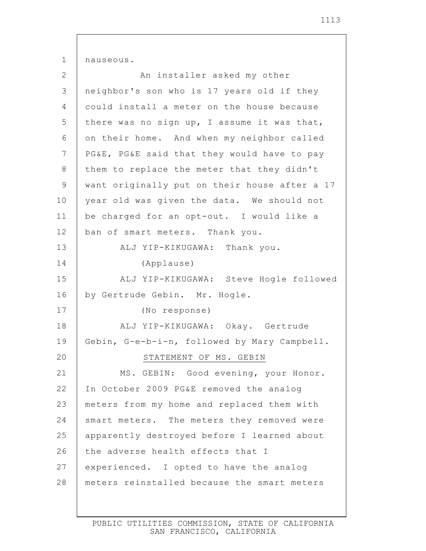1 2 3 4 5 6 7 8 9 10 11 12 13 14 15 16 17 18 19 20 21 22 23 24 25 26 27 28 nauseous. An installer asked my other neighbor's son who is 17 years old if they could install a meter on the house because there was no sign up, I assume it was that, on their home. And when my neighbor called PG&E, PG&E said that they would have to pay them to replace the meter that they didn't want originally put on their house after a 17 year old was given the data. We should not be charged for an opt-out. I would like a ban of smart meters. Thank you. ALJ YIP-KIKUGAWA: Thank you. (Applause) ALJ YIP-KIKUGAWA: Steve Hogle followed by Gertrude Gebin. Mr. Hogle. (No response) ALJ YIP-KIKUGAWA: Okay. Gertrude Gebin, G-e-b-i-n, followed by Mary Campbell. STATEMENT OF MS. GEBIN MS. GEBIN: Good evening, your Honor. In October 2009 PG&E removed the analog meters from my home and replaced them with smart meters. The meters they removed were apparently destroyed before I learned about the adverse health effects that I experienced. I opted to have the analog meters reinstalled because the smart meters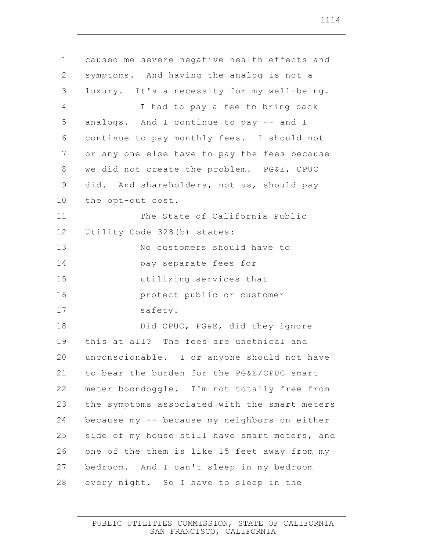| $\mathbf 1$    | caused me severe negative health effects and  |
|----------------|-----------------------------------------------|
| 2              | symptoms. And having the analog is not a      |
| 3              | luxury. It's a necessity for my well-being.   |
| 4              | I had to pay a fee to bring back              |
| 5              | analogs. And I continue to pay -- and I       |
| 6              | continue to pay monthly fees. I should not    |
| $\overline{7}$ | or any one else have to pay the fees because  |
| 8              | we did not create the problem. PG&E, CPUC     |
| 9              | did. And shareholders, not us, should pay     |
| 10             | the opt-out cost.                             |
| 11             | The State of California Public                |
| 12             | Utility Code 328(b) states:                   |
| 13             | No customers should have to                   |
| 14             | pay separate fees for                         |
| 15             | utilizing services that                       |
| 16             | protect public or customer                    |
| 17             | safety.                                       |
| 18             | Did CPUC, PG&E, did they ignore               |
| 19             | this at all? The fees are unethical and       |
| 20             | unconscionable. I or anyone should not have   |
| 21             | to bear the burden for the PG&E/CPUC smart    |
| 22             | meter boondoggle. I'm not totally free from   |
| 23             | the symptoms associated with the smart meters |
| 24             | because my -- because my neighbors on either  |
| 25             | side of my house still have smart meters, and |
| 26             | one of the them is like 15 feet away from my  |
| 27             | bedroom. And I can't sleep in my bedroom      |
| 28             | every night. So I have to sleep in the        |
|                |                                               |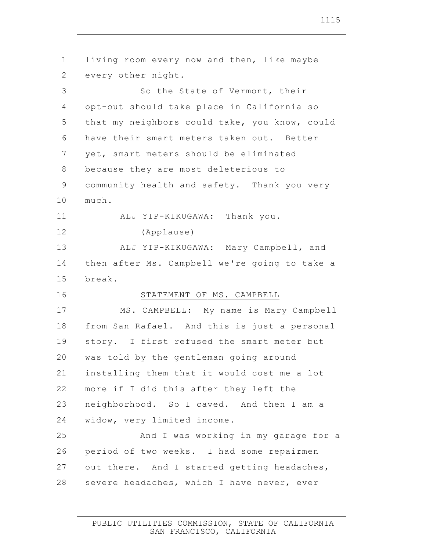| $\mathbf 1$    | living room every now and then, like maybe    |
|----------------|-----------------------------------------------|
| $\overline{2}$ | every other night.                            |
| 3              | So the State of Vermont, their                |
| 4              | opt-out should take place in California so    |
| 5              | that my neighbors could take, you know, could |
| 6              | have their smart meters taken out. Better     |
| 7              | yet, smart meters should be eliminated        |
| 8              | because they are most deleterious to          |
| $\mathsf 9$    | community health and safety. Thank you very   |
| 10             | much.                                         |
| 11             | ALJ YIP-KIKUGAWA: Thank you.                  |
| 12             | (Applause)                                    |
| 13             | ALJ YIP-KIKUGAWA: Mary Campbell, and          |
| 14             | then after Ms. Campbell we're going to take a |
| 15             | break.                                        |
| 16             | STATEMENT OF MS. CAMPBELL                     |
| 17             | MS. CAMPBELL: My name is Mary Campbell        |
| 18             | from San Rafael. And this is just a personal  |
| 19             | story. I first refused the smart meter but    |
| 20             | was told by the gentleman going around        |
| 21             | installing them that it would cost me a lot   |
| 22             | more if I did this after they left the        |
| 23             | neighborhood. So I caved. And then I am a     |
| 24             | widow, very limited income.                   |
| 25             | And I was working in my garage for a          |
| 26             | period of two weeks. I had some repairmen     |
| 27             | out there. And I started getting headaches,   |
| 28             | severe headaches, which I have never, ever    |
|                |                                               |
|                |                                               |

 $\mathsf{I}$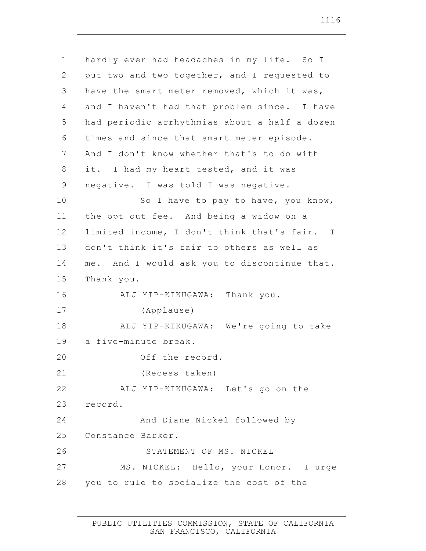| $\mathbf 1$    | hardly ever had headaches in my life. So I    |
|----------------|-----------------------------------------------|
| $\overline{2}$ | put two and two together, and I requested to  |
| 3              | have the smart meter removed, which it was,   |
| $\overline{4}$ | and I haven't had that problem since. I have  |
| 5              | had periodic arrhythmias about a half a dozen |
| 6              | times and since that smart meter episode.     |
| 7              | And I don't know whether that's to do with    |
| 8              | it. I had my heart tested, and it was         |
| 9              | negative. I was told I was negative.          |
| 10             | So I have to pay to have, you know,           |
| 11             | the opt out fee. And being a widow on a       |
| 12             | limited income, I don't think that's fair. I  |
| 13             | don't think it's fair to others as well as    |
| 14             | me. And I would ask you to discontinue that.  |
| 15             | Thank you.                                    |
| 16             | ALJ YIP-KIKUGAWA: Thank you.                  |
| 17             | (Applause)                                    |
| 18             | ALJ YIP-KIKUGAWA: We're going to take         |
| 19             | a five-minute break.                          |
| 20             | Off the record                                |
| 21             | (Recess taken)                                |
| 22             | ALJ YIP-KIKUGAWA: Let's go on the             |
| 23             | record.                                       |
| 24             | And Diane Nickel followed by                  |
| 25             | Constance Barker.                             |
| 26             | STATEMENT OF MS. NICKEL                       |
| 27             | MS. NICKEL: Hello, your Honor. I urge         |
| 28             | you to rule to socialize the cost of the      |
|                |                                               |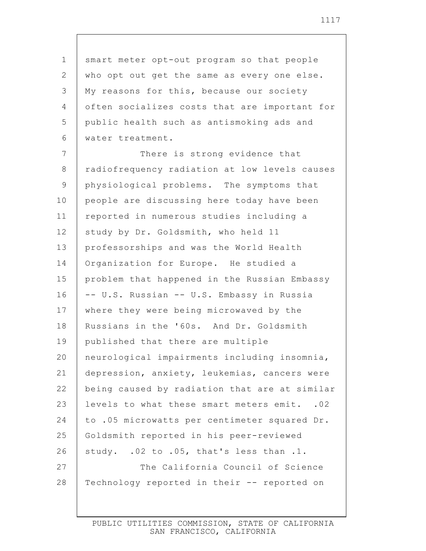1 2 3 4 5 6 7 8 9 10 11 12 13 14 15 16 17 18 19 20 21 22 23 24 25 26 27 28 smart meter opt-out program so that people who opt out get the same as every one else. My reasons for this, because our society often socializes costs that are important for public health such as antismoking ads and water treatment. There is strong evidence that radiofrequency radiation at low levels causes physiological problems. The symptoms that people are discussing here today have been reported in numerous studies including a study by Dr. Goldsmith, who held 11 professorships and was the World Health Organization for Europe. He studied a problem that happened in the Russian Embassy -- U.S. Russian -- U.S. Embassy in Russia where they were being microwaved by the Russians in the '60s. And Dr. Goldsmith published that there are multiple neurological impairments including insomnia, depression, anxiety, leukemias, cancers were being caused by radiation that are at similar levels to what these smart meters emit. .02 to .05 microwatts per centimeter squared Dr. Goldsmith reported in his peer-reviewed study. .02 to .05, that's less than .1. The California Council of Science Technology reported in their -- reported on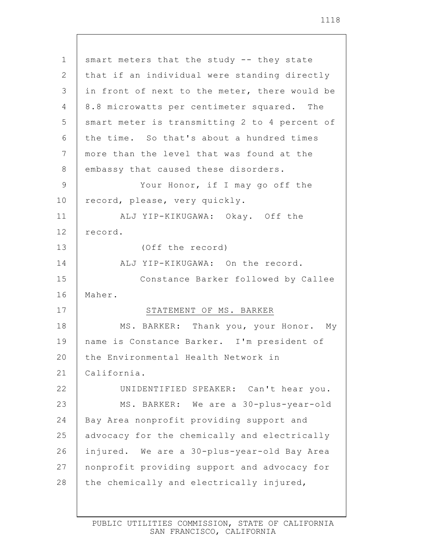1 2 3 4 5 6 7 8 9 10 11 12 13 14 15 16 17 18 19 20 21 22 23 24 25 26 27 28 smart meters that the study -- they state that if an individual were standing directly in front of next to the meter, there would be 8.8 microwatts per centimeter squared. The smart meter is transmitting 2 to 4 percent of the time. So that's about a hundred times more than the level that was found at the embassy that caused these disorders. Your Honor, if I may go off the record, please, very quickly. ALJ YIP-KIKUGAWA: Okay. Off the record. (Off the record) ALJ YIP-KIKUGAWA: On the record. Constance Barker followed by Callee Maher. STATEMENT OF MS. BARKER MS. BARKER: Thank you, your Honor. My name is Constance Barker. I'm president of the Environmental Health Network in California. UNIDENTIFIED SPEAKER: Can't hear you. MS. BARKER: We are a 30-plus-year-old Bay Area nonprofit providing support and advocacy for the chemically and electrically injured. We are a 30-plus-year-old Bay Area nonprofit providing support and advocacy for the chemically and electrically injured,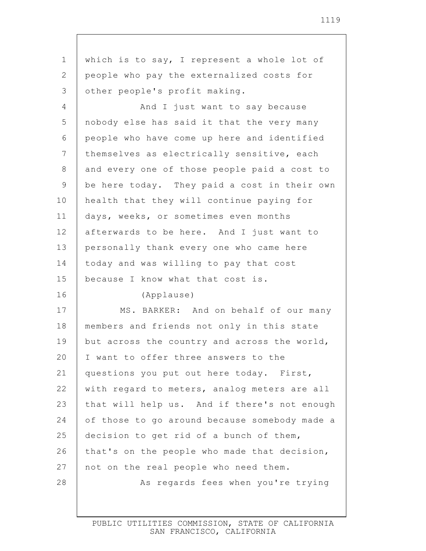| $\mathbf 1$  | which is to say, I represent a whole lot of   |
|--------------|-----------------------------------------------|
| $\mathbf{2}$ | people who pay the externalized costs for     |
| 3            | other people's profit making.                 |
| 4            | And I just want to say because                |
| 5            | nobody else has said it that the very many    |
| 6            | people who have come up here and identified   |
| 7            | themselves as electrically sensitive, each    |
| 8            | and every one of those people paid a cost to  |
| 9            | be here today. They paid a cost in their own  |
| 10           | health that they will continue paying for     |
| 11           | days, weeks, or sometimes even months         |
| 12           | afterwards to be here. And I just want to     |
| 13           | personally thank every one who came here      |
| 14           | today and was willing to pay that cost        |
|              |                                               |
| 15           | because I know what that cost is.             |
| 16           | (Applause)                                    |
| 17           | MS. BARKER: And on behalf of our many         |
| 18           | members and friends not only in this state    |
| 19           | but across the country and across the world,  |
| 20           | I want to offer three answers to the          |
| 21           | questions you put out here today. First,      |
| 22           | with regard to meters, analog meters are all  |
| 23           | that will help us. And if there's not enough  |
| 24           | of those to go around because somebody made a |
| 25           | decision to get rid of a bunch of them,       |
| 26           | that's on the people who made that decision,  |
| 27           | not on the real people who need them.         |
| 28           | As regards fees when you're trying            |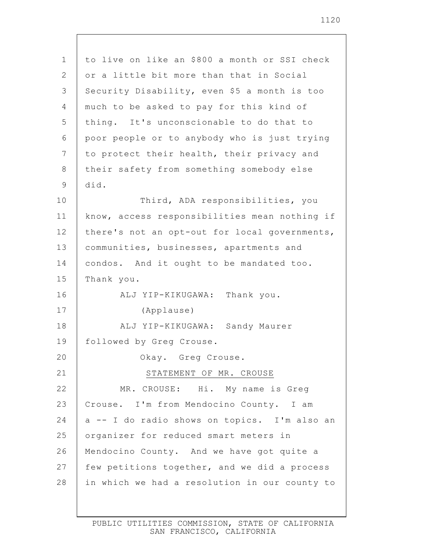| $\mathbf 1$     | to live on like an \$800 a month or SSI check |
|-----------------|-----------------------------------------------|
| 2               | or a little bit more than that in Social      |
| 3               | Security Disability, even \$5 a month is too  |
| 4               | much to be asked to pay for this kind of      |
| 5               | thing. It's unconscionable to do that to      |
| 6               | poor people or to anybody who is just trying  |
| $7\phantom{.0}$ | to protect their health, their privacy and    |
| 8               | their safety from something somebody else     |
| 9               | did.                                          |
| 10              | Third, ADA responsibilities, you              |
| 11              | know, access responsibilities mean nothing if |
| 12              | there's not an opt-out for local governments, |
| 13              | communities, businesses, apartments and       |
| 14              | condos. And it ought to be mandated too.      |
| 15              | Thank you.                                    |
| 16              | ALJ YIP-KIKUGAWA: Thank you.                  |
| 17              | (Applause)                                    |
| 18              | ALJ YIP-KIKUGAWA: Sandy Maurer                |
| 19              | followed by Greg Crouse.                      |
| 20              | Okay. Greg Crouse                             |
| 21              | STATEMENT OF MR. CROUSE                       |
| 22              | MR. CROUSE: Hi. My name is Greq               |
| 23              | Crouse. I'm from Mendocino County. I am       |
| 24              | a -- I do radio shows on topics. I'm also an  |
| 25              | organizer for reduced smart meters in         |
| 26              | Mendocino County. And we have got quite a     |
| 27              | few petitions together, and we did a process  |
| 28              | in which we had a resolution in our county to |
|                 |                                               |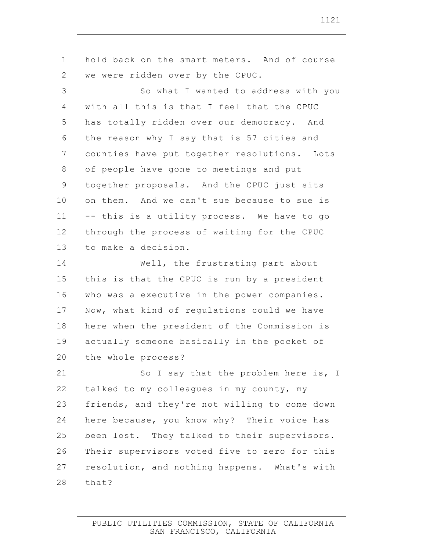1 2 3 4 5 6 7 8 9 10 11 12 13 14 15 16 17 18 19 20 21 22 23 24 25 26 27 28 hold back on the smart meters. And of course we were ridden over by the CPUC. So what I wanted to address with you with all this is that I feel that the CPUC has totally ridden over our democracy. And the reason why I say that is 57 cities and counties have put together resolutions. Lots of people have gone to meetings and put together proposals. And the CPUC just sits on them. And we can't sue because to sue is -- this is a utility process. We have to go through the process of waiting for the CPUC to make a decision. Well, the frustrating part about this is that the CPUC is run by a president who was a executive in the power companies. Now, what kind of regulations could we have here when the president of the Commission is actually someone basically in the pocket of the whole process? So I say that the problem here is, I talked to my colleagues in my county, my friends, and they're not willing to come down here because, you know why? Their voice has been lost. They talked to their supervisors. Their supervisors voted five to zero for this resolution, and nothing happens. What's with that?

1121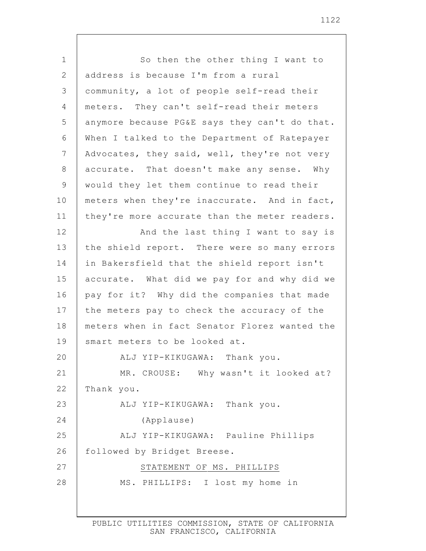1 2 3 4 5 6 7 8 9 10 11 12 13 14 15 16 17 18 19 20 21 22 23 24 25 26 27 28 So then the other thing I want to address is because I'm from a rural community, a lot of people self-read their meters. They can't self-read their meters anymore because PG&E says they can't do that. When I talked to the Department of Ratepayer Advocates, they said, well, they're not very accurate. That doesn't make any sense. Why would they let them continue to read their meters when they're inaccurate. And in fact, they're more accurate than the meter readers. And the last thing I want to say is the shield report. There were so many errors in Bakersfield that the shield report isn't accurate. What did we pay for and why did we pay for it? Why did the companies that made the meters pay to check the accuracy of the meters when in fact Senator Florez wanted the smart meters to be looked at. ALJ YIP-KIKUGAWA: Thank you. MR. CROUSE: Why wasn't it looked at? Thank you. ALJ YIP-KIKUGAWA: Thank you. (Applause) ALJ YIP-KIKUGAWA: Pauline Phillips followed by Bridget Breese. STATEMENT OF MS. PHILLIPS MS. PHILLIPS: I lost my home in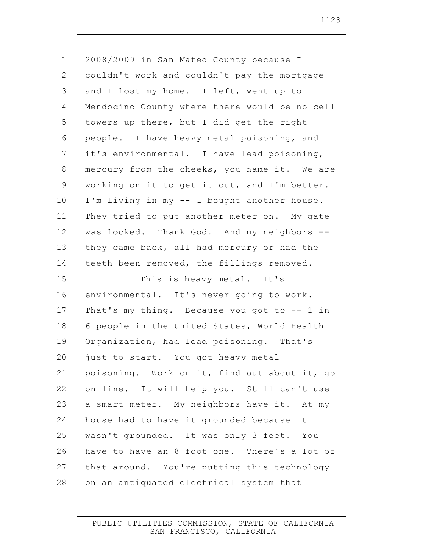1 2 3 4 5 6 7 8 9 10 11 12 13 14 15 16 17 18 19 20 21 22 23 24 25 26 27 28 2008/2009 in San Mateo County because I couldn't work and couldn't pay the mortgage and I lost my home. I left, went up to Mendocino County where there would be no cell towers up there, but I did get the right people. I have heavy metal poisoning, and it's environmental. I have lead poisoning, mercury from the cheeks, you name it. We are working on it to get it out, and I'm better. I'm living in my -- I bought another house. They tried to put another meter on. My gate was locked. Thank God. And my neighbors - they came back, all had mercury or had the teeth been removed, the fillings removed. This is heavy metal. It's environmental. It's never going to work. That's my thing. Because you got to -- 1 in 6 people in the United States, World Health Organization, had lead poisoning. That's just to start. You got heavy metal poisoning. Work on it, find out about it, go on line. It will help you. Still can't use a smart meter. My neighbors have it. At my house had to have it grounded because it wasn't grounded. It was only 3 feet. You have to have an 8 foot one. There's a lot of that around. You're putting this technology on an antiquated electrical system that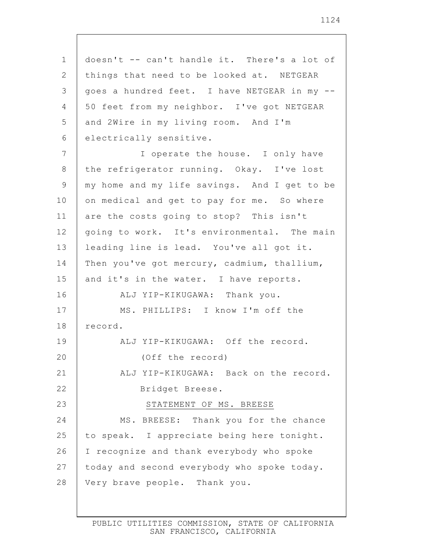| $\mathbf 1$    | doesn't -- can't handle it. There's a lot of |
|----------------|----------------------------------------------|
| 2              | things that need to be looked at. NETGEAR    |
| 3              | goes a hundred feet. I have NETGEAR in my -- |
| 4              | 50 feet from my neighbor. I've got NETGEAR   |
| 5              | and 2Wire in my living room. And I'm         |
| 6              | electrically sensitive.                      |
| $\overline{7}$ | I operate the house. I only have             |
| 8              | the refrigerator running. Okay. I've lost    |
| 9              | my home and my life savings. And I get to be |
| 10             | on medical and get to pay for me. So where   |
| 11             | are the costs going to stop? This isn't      |
| 12             | going to work. It's environmental. The main  |
| 13             | leading line is lead. You've all got it.     |
| 14             | Then you've got mercury, cadmium, thallium,  |
| 15             | and it's in the water. I have reports.       |
| 16             | ALJ YIP-KIKUGAWA: Thank you.                 |
| 17             | MS. PHILLIPS: I know I'm off the             |
| 18             | record.                                      |
| 19             | ALJ YIP-KIKUGAWA: Off the record.            |
| 20             | (Off the record)                             |
| 21             | ALJ YIP-KIKUGAWA: Back on the record.        |
| 22             | Bridget Breese.                              |
| 23             | STATEMENT OF MS. BREESE                      |
| 24             | MS. BREESE: Thank you for the chance         |
| 25             | to speak. I appreciate being here tonight.   |
| 26             | I recognize and thank everybody who spoke    |
| 27             | today and second everybody who spoke today.  |
| 28             | Very brave people. Thank you.                |
|                |                                              |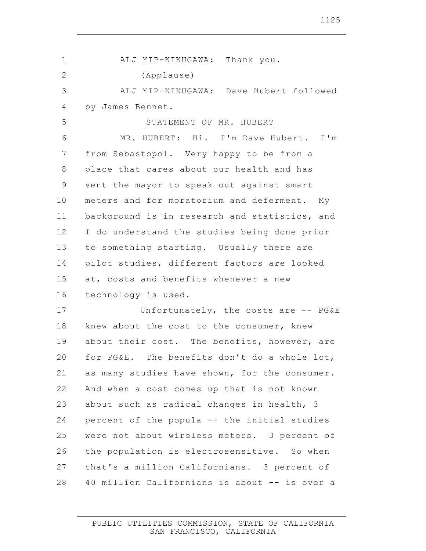| 1              | ALJ YIP-KIKUGAWA: Thank you.                  |
|----------------|-----------------------------------------------|
| $\mathbf{2}$   | (Applause)                                    |
| 3              | ALJ YIP-KIKUGAWA: Dave Hubert followed        |
| 4              | by James Bennet.                              |
| 5              | STATEMENT OF MR. HUBERT                       |
| 6              | MR. HUBERT: Hi. I'm Dave Hubert. I'm          |
| $\overline{7}$ | from Sebastopol. Very happy to be from a      |
| $8\,$          | place that cares about our health and has     |
| 9              | sent the mayor to speak out against smart     |
| 10             | meters and for moratorium and deferment. My   |
| 11             | background is in research and statistics, and |
| 12             | I do understand the studies being done prior  |
| 13             | to something starting. Usually there are      |
| 14             | pilot studies, different factors are looked   |
| 15             | at, costs and benefits whenever a new         |
| 16             | technology is used.                           |
| 17             | Unfortunately, the costs are -- PG&E          |
| 18             | knew about the cost to the consumer, knew     |
| 19             | about their cost. The benefits, however, are  |
| 20             | for PG&E. The benefits don't do a whole lot,  |
| 21             | as many studies have shown, for the consumer. |
| 22             | And when a cost comes up that is not known    |
| 23             | about such as radical changes in health, 3    |
| 24             | percent of the popula -- the initial studies  |
| 25             | were not about wireless meters. 3 percent of  |
| 26             | the population is electrosensitive. So when   |
| 27             | that's a million Californians. 3 percent of   |
| 28             | 40 million Californians is about -- is over a |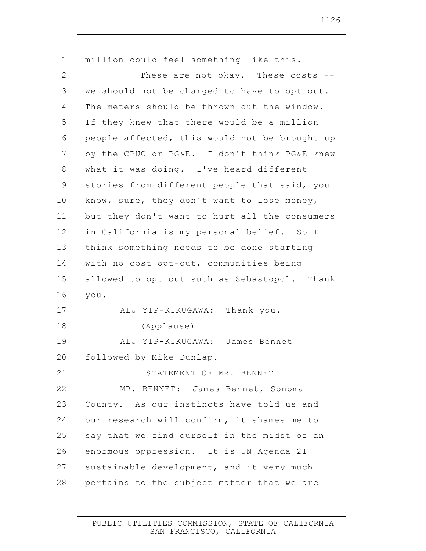1 2 3 4 5 6 7 8 9 10 11 12 13 14 15 16 17 18 19 20 21 22 23 24 25 26 27 28 million could feel something like this. These are not okay. These costs - we should not be charged to have to opt out. The meters should be thrown out the window. If they knew that there would be a million people affected, this would not be brought up by the CPUC or PG&E. I don't think PG&E knew what it was doing. I've heard different stories from different people that said, you know, sure, they don't want to lose money, but they don't want to hurt all the consumers in California is my personal belief. So I think something needs to be done starting with no cost opt-out, communities being allowed to opt out such as Sebastopol. Thank you. ALJ YIP-KIKUGAWA: Thank you. (Applause) ALJ YIP-KIKUGAWA: James Bennet followed by Mike Dunlap. STATEMENT OF MR. BENNET MR. BENNET: James Bennet, Sonoma County. As our instincts have told us and our research will confirm, it shames me to say that we find ourself in the midst of an enormous oppression. It is UN Agenda 21 sustainable development, and it very much pertains to the subject matter that we are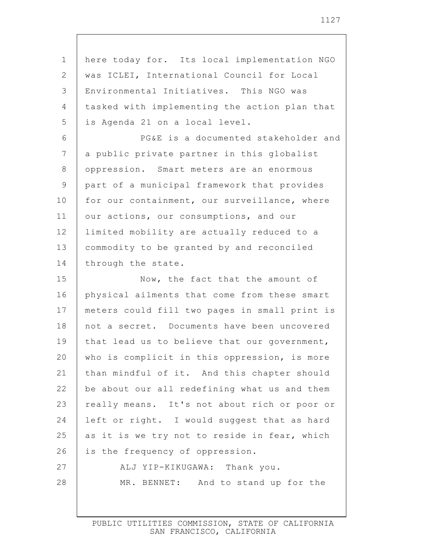1 2 3 4 5 6 7 8 9 10 11 12 13 14 15 16 17 18 19 20 21 22 23 24 25 26 27 28 here today for. Its local implementation NGO was ICLEI, International Council for Local Environmental Initiatives. This NGO was tasked with implementing the action plan that is Agenda 21 on a local level. PG&E is a documented stakeholder and a public private partner in this globalist oppression. Smart meters are an enormous part of a municipal framework that provides for our containment, our surveillance, where our actions, our consumptions, and our limited mobility are actually reduced to a commodity to be granted by and reconciled through the state. Now, the fact that the amount of physical ailments that come from these smart meters could fill two pages in small print is not a secret. Documents have been uncovered that lead us to believe that our government, who is complicit in this oppression, is more than mindful of it. And this chapter should be about our all redefining what us and them really means. It's not about rich or poor or left or right. I would suggest that as hard as it is we try not to reside in fear, which is the frequency of oppression. ALJ YIP-KIKUGAWA: Thank you. MR. BENNET: And to stand up for the

> PUBLIC UTILITIES COMMISSION, STATE OF CALIFORNIA SAN FRANCISCO, CALIFORNIA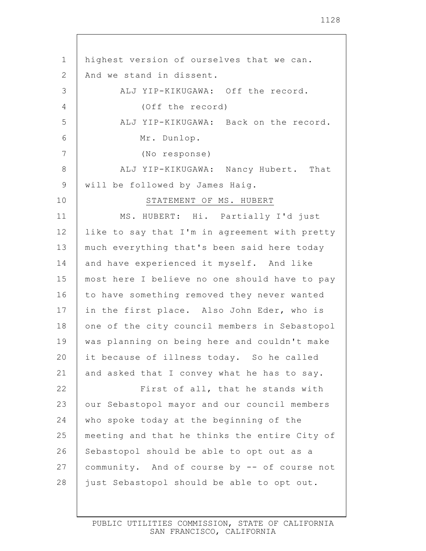| $\mathbf 1$    | highest version of ourselves that we can.     |
|----------------|-----------------------------------------------|
| $\mathbf{2}$   | And we stand in dissent.                      |
| 3              | ALJ YIP-KIKUGAWA: Off the record.             |
| $\overline{4}$ | (Off the record)                              |
| 5              | ALJ YIP-KIKUGAWA: Back on the record.         |
| 6              | Mr. Dunlop.                                   |
| 7              | (No response)                                 |
| $8\,$          | ALJ YIP-KIKUGAWA: Nancy Hubert. That          |
| $\mathsf 9$    | will be followed by James Haig.               |
| 10             | STATEMENT OF MS. HUBERT                       |
| 11             | MS. HUBERT: Hi. Partially I'd just            |
| 12             | like to say that I'm in agreement with pretty |
| 13             | much everything that's been said here today   |
| 14             | and have experienced it myself. And like      |
| 15             | most here I believe no one should have to pay |
| 16             | to have something removed they never wanted   |
| 17             | in the first place. Also John Eder, who is    |
| 18             | one of the city council members in Sebastopol |
| 19             | was planning on being here and couldn't make  |
| 20             | it because of illness today. So he called     |
| 21             | and asked that I convey what he has to say.   |
| 22             | First of all, that he stands with             |
| 23             | our Sebastopol mayor and our council members  |
| 24             | who spoke today at the beginning of the       |
| 25             | meeting and that he thinks the entire City of |
| 26             | Sebastopol should be able to opt out as a     |
| 27             | community. And of course by -- of course not  |
| 28             | just Sebastopol should be able to opt out.    |
|                |                                               |

 $\mathbf{I}$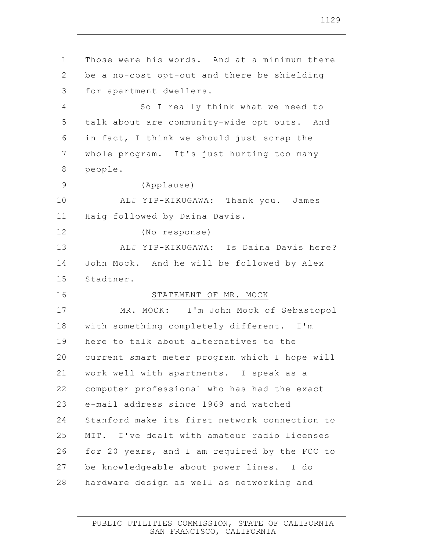1 2 3 4 5 6 7 8 9 10 11 12 13 14 15 16 17 18 19 20 21 22 23 24 25 26 27 28 Those were his words. And at a minimum there be a no-cost opt-out and there be shielding for apartment dwellers. So I really think what we need to talk about are community-wide opt outs. And in fact, I think we should just scrap the whole program. It's just hurting too many people. (Applause) ALJ YIP-KIKUGAWA: Thank you. James Haig followed by Daina Davis. (No response) ALJ YIP-KIKUGAWA: Is Daina Davis here? John Mock. And he will be followed by Alex Stadtner. STATEMENT OF MR. MOCK MR. MOCK: I'm John Mock of Sebastopol with something completely different. I'm here to talk about alternatives to the current smart meter program which I hope will work well with apartments. I speak as a computer professional who has had the exact e-mail address since 1969 and watched Stanford make its first network connection to MIT. I've dealt with amateur radio licenses for 20 years, and I am required by the FCC to be knowledgeable about power lines. I do hardware design as well as networking and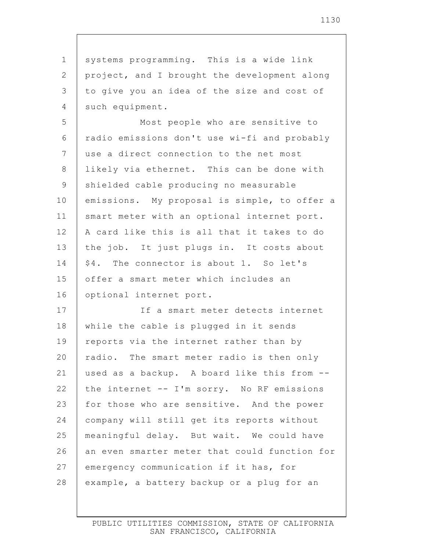1 2 3 4 5 6 7 8 9 10 11 12 13 14 15 16 17 18 19 20 21 22 23 24 25 26 27 28 systems programming. This is a wide link project, and I brought the development along to give you an idea of the size and cost of such equipment. Most people who are sensitive to radio emissions don't use wi-fi and probably use a direct connection to the net most likely via ethernet. This can be done with shielded cable producing no measurable emissions. My proposal is simple, to offer a smart meter with an optional internet port. A card like this is all that it takes to do the job. It just plugs in. It costs about \$4. The connector is about 1. So let's offer a smart meter which includes an optional internet port. If a smart meter detects internet while the cable is plugged in it sends reports via the internet rather than by radio. The smart meter radio is then only used as a backup. A board like this from - the internet -- I'm sorry. No RF emissions for those who are sensitive. And the power company will still get its reports without meaningful delay. But wait. We could have an even smarter meter that could function for emergency communication if it has, for example, a battery backup or a plug for an

> PUBLIC UTILITIES COMMISSION, STATE OF CALIFORNIA SAN FRANCISCO, CALIFORNIA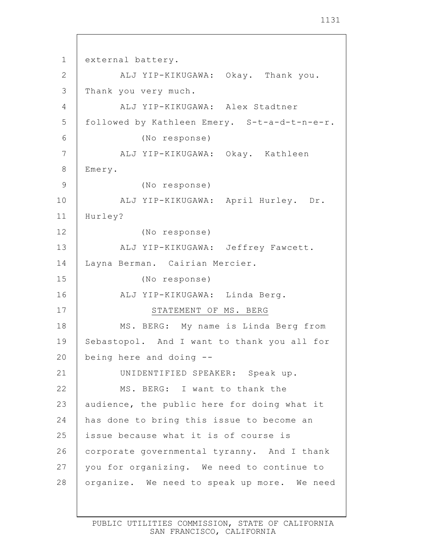1 2 3 4 5 6 7 8 9 10 11 12 13 14 15 16 17 18 19 20 21 22 23 24 25 26 27 28 external battery. ALJ YIP-KIKUGAWA: Okay. Thank you. Thank you very much. ALJ YIP-KIKUGAWA: Alex Stadtner followed by Kathleen Emery. S-t-a-d-t-n-e-r. (No response) ALJ YIP-KIKUGAWA: Okay. Kathleen Emery. (No response) ALJ YIP-KIKUGAWA: April Hurley. Dr. Hurley? (No response) ALJ YIP-KIKUGAWA: Jeffrey Fawcett. Layna Berman. Cairian Mercier. (No response) ALJ YIP-KIKUGAWA: Linda Berg. STATEMENT OF MS. BERG MS. BERG: My name is Linda Berg from Sebastopol. And I want to thank you all for being here and doing -- UNIDENTIFIED SPEAKER: Speak up. MS. BERG: I want to thank the audience, the public here for doing what it has done to bring this issue to become an issue because what it is of course is corporate governmental tyranny. And I thank you for organizing. We need to continue to organize. We need to speak up more. We need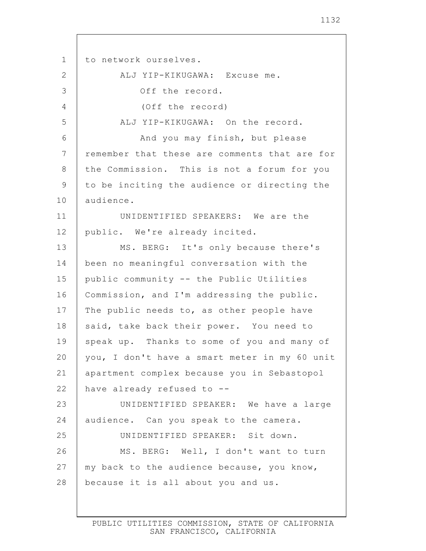1 2 3 4 5 6 7 8 9 10 11 12 13 14 15 16 17 18 19 20 21 22 23 24 25 26 27 28 to network ourselves. ALJ YIP-KIKUGAWA: Excuse me. Off the record. (Off the record) ALJ YIP-KIKUGAWA: On the record. And you may finish, but please remember that these are comments that are for the Commission. This is not a forum for you to be inciting the audience or directing the audience. UNIDENTIFIED SPEAKERS: We are the public. We're already incited. MS. BERG: It's only because there's been no meaningful conversation with the public community -- the Public Utilities Commission, and I'm addressing the public. The public needs to, as other people have said, take back their power. You need to speak up. Thanks to some of you and many of you, I don't have a smart meter in my 60 unit apartment complex because you in Sebastopol have already refused to -- UNIDENTIFIED SPEAKER: We have a large audience. Can you speak to the camera. UNIDENTIFIED SPEAKER: Sit down. MS. BERG: Well, I don't want to turn my back to the audience because, you know, because it is all about you and us.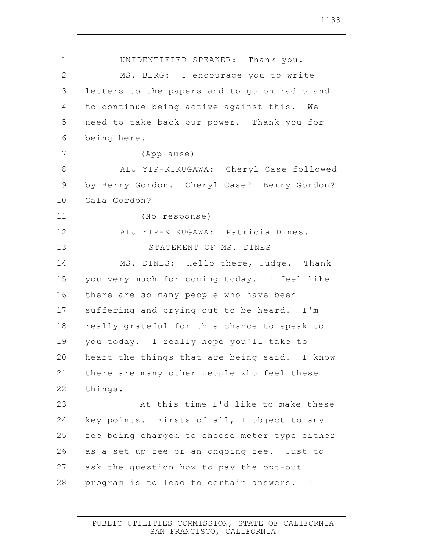1 2 3 4 5 6 7 8 9 10 11 12 13 14 15 16 17 18 19 20 21 22 23 24 25 26 27 28 UNIDENTIFIED SPEAKER: Thank you. MS. BERG: I encourage you to write letters to the papers and to go on radio and to continue being active against this. We need to take back our power. Thank you for being here. (Applause) ALJ YIP-KIKUGAWA: Cheryl Case followed by Berry Gordon. Cheryl Case? Berry Gordon? Gala Gordon? (No response) ALJ YIP-KIKUGAWA: Patricia Dines. STATEMENT OF MS. DINES MS. DINES: Hello there, Judge. Thank you very much for coming today. I feel like there are so many people who have been suffering and crying out to be heard. I'm really grateful for this chance to speak to you today. I really hope you'll take to heart the things that are being said. I know there are many other people who feel these things. At this time I'd like to make these key points. Firsts of all, I object to any fee being charged to choose meter type either as a set up fee or an ongoing fee. Just to ask the question how to pay the opt-out program is to lead to certain answers. I

PUBLIC UTILITIES COMMISSION, STATE OF CALIFORNIA SAN FRANCISCO, CALIFORNIA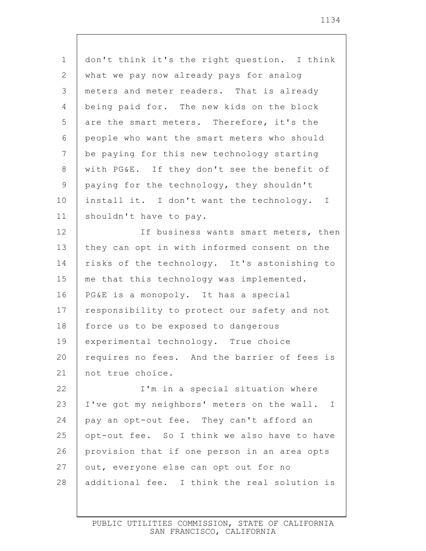| $\mathbf 1$    | don't think it's the right question. I think |
|----------------|----------------------------------------------|
| $\overline{2}$ | what we pay now already pays for analog      |
| 3              | meters and meter readers. That is already    |
| 4              | being paid for. The new kids on the block    |
| 5              | are the smart meters. Therefore, it's the    |
| 6              | people who want the smart meters who should  |
| $\overline{7}$ | be paying for this new technology starting   |
| 8              | with PG&E. If they don't see the benefit of  |
| 9              | paying for the technology, they shouldn't    |
| 10             | install it. I don't want the technology. I   |
| 11             | shouldn't have to pay.                       |
| 12             | If business wants smart meters, then         |
| 13             | they can opt in with informed consent on the |
| 14             | risks of the technology. It's astonishing to |
| 15             | me that this technology was implemented.     |
| 16             | PG&E is a monopoly. It has a special         |
| 17             | responsibility to protect our safety and not |
| 18             | force us to be exposed to dangerous          |
| 19             | experimental technology. True choice         |
| 20             | requires no fees. And the barrier of fees is |
| 21             | not true choice.                             |
| 22             | I'm in a special situation where             |
| 23             | I've got my neighbors' meters on the wall. I |
| 24             | pay an opt-out fee. They can't afford an     |
| 25             | opt-out fee. So I think we also have to have |
| 26             | provision that if one person in an area opts |
| 27             | out, everyone else can opt out for no        |
| 28             | additional fee. I think the real solution is |
|                |                                              |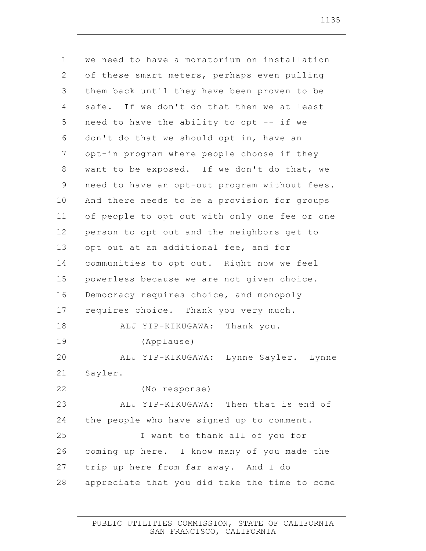1 2 3 4 5 6 7 8 9 10 11 12 13 14 15 16 17 18 19 20 21 22 23 24 25 26 27 28 we need to have a moratorium on installation of these smart meters, perhaps even pulling them back until they have been proven to be safe. If we don't do that then we at least need to have the ability to opt -- if we don't do that we should opt in, have an opt-in program where people choose if they want to be exposed. If we don't do that, we need to have an opt-out program without fees. And there needs to be a provision for groups of people to opt out with only one fee or one person to opt out and the neighbors get to opt out at an additional fee, and for communities to opt out. Right now we feel powerless because we are not given choice. Democracy requires choice, and monopoly requires choice. Thank you very much. ALJ YIP-KIKUGAWA: Thank you. (Applause) ALJ YIP-KIKUGAWA: Lynne Sayler. Lynne Sayler. (No response) ALJ YIP-KIKUGAWA: Then that is end of the people who have signed up to comment. I want to thank all of you for coming up here. I know many of you made the trip up here from far away. And I do appreciate that you did take the time to come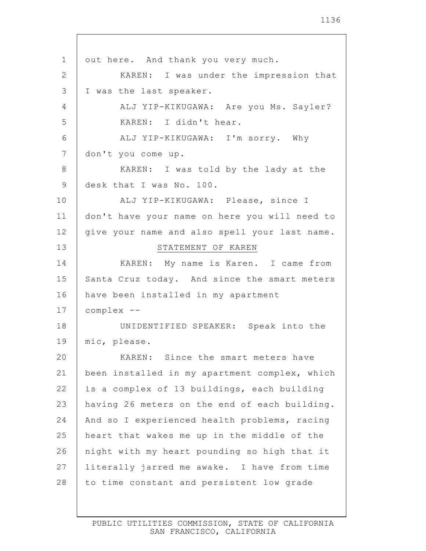1 2 3 4 5 6 7 8 9 10 11 12 13 14 15 16 17 18 19 20 21 22 23 24 25 26 27 28 out here. And thank you very much. KAREN: I was under the impression that I was the last speaker. ALJ YIP-KIKUGAWA: Are you Ms. Sayler? KAREN: I didn't hear. ALJ YIP-KIKUGAWA: I'm sorry. Why don't you come up. KAREN: I was told by the lady at the desk that I was No. 100. ALJ YIP-KIKUGAWA: Please, since I don't have your name on here you will need to give your name and also spell your last name. STATEMENT OF KAREN KAREN: My name is Karen. I came from Santa Cruz today. And since the smart meters have been installed in my apartment complex -- UNIDENTIFIED SPEAKER: Speak into the mic, please. KAREN: Since the smart meters have been installed in my apartment complex, which is a complex of 13 buildings, each building having 26 meters on the end of each building. And so I experienced health problems, racing heart that wakes me up in the middle of the night with my heart pounding so high that it literally jarred me awake. I have from time to time constant and persistent low grade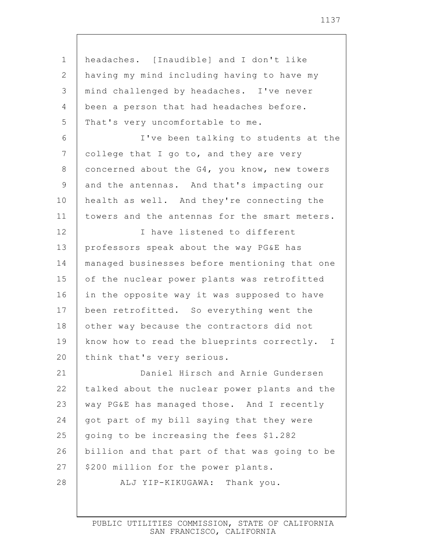1 2 3 4 5 6 7 8 9 10 11 12 13 14 15 16 17 18 19 20 21 22 23 24 25 26 27 28 headaches. [Inaudible] and I don't like having my mind including having to have my mind challenged by headaches. I've never been a person that had headaches before. That's very uncomfortable to me. I've been talking to students at the college that I go to, and they are very concerned about the G4, you know, new towers and the antennas. And that's impacting our health as well. And they're connecting the towers and the antennas for the smart meters. I have listened to different professors speak about the way PG&E has managed businesses before mentioning that one of the nuclear power plants was retrofitted in the opposite way it was supposed to have been retrofitted. So everything went the other way because the contractors did not know how to read the blueprints correctly. I think that's very serious. Daniel Hirsch and Arnie Gundersen talked about the nuclear power plants and the way PG&E has managed those. And I recently got part of my bill saying that they were going to be increasing the fees \$1.282 billion and that part of that was going to be \$200 million for the power plants. ALJ YIP-KIKUGAWA: Thank you.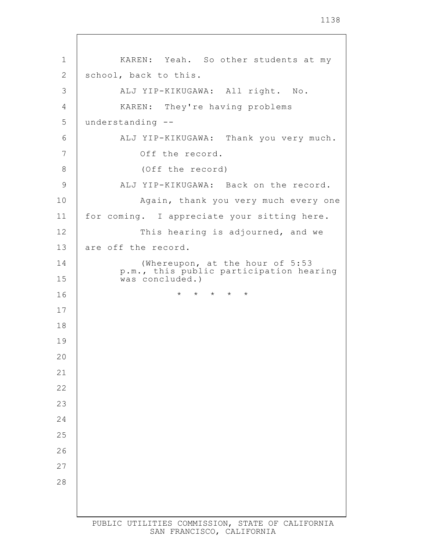KAREN: Yeah. So other students at my school, back to this. ALJ YIP-KIKUGAWA: All right. No. KAREN: They're having problems understanding -- ALJ YIP-KIKUGAWA: Thank you very much. Off the record. (Off the record) ALJ YIP-KIKUGAWA: Back on the record. Again, thank you very much every one for coming. I appreciate your sitting here. This hearing is adjourned, and we are off the record. (Whereupon, at the hour of 5:53 p.m., this public participation hearing was concluded.) \* \* \* \* \*